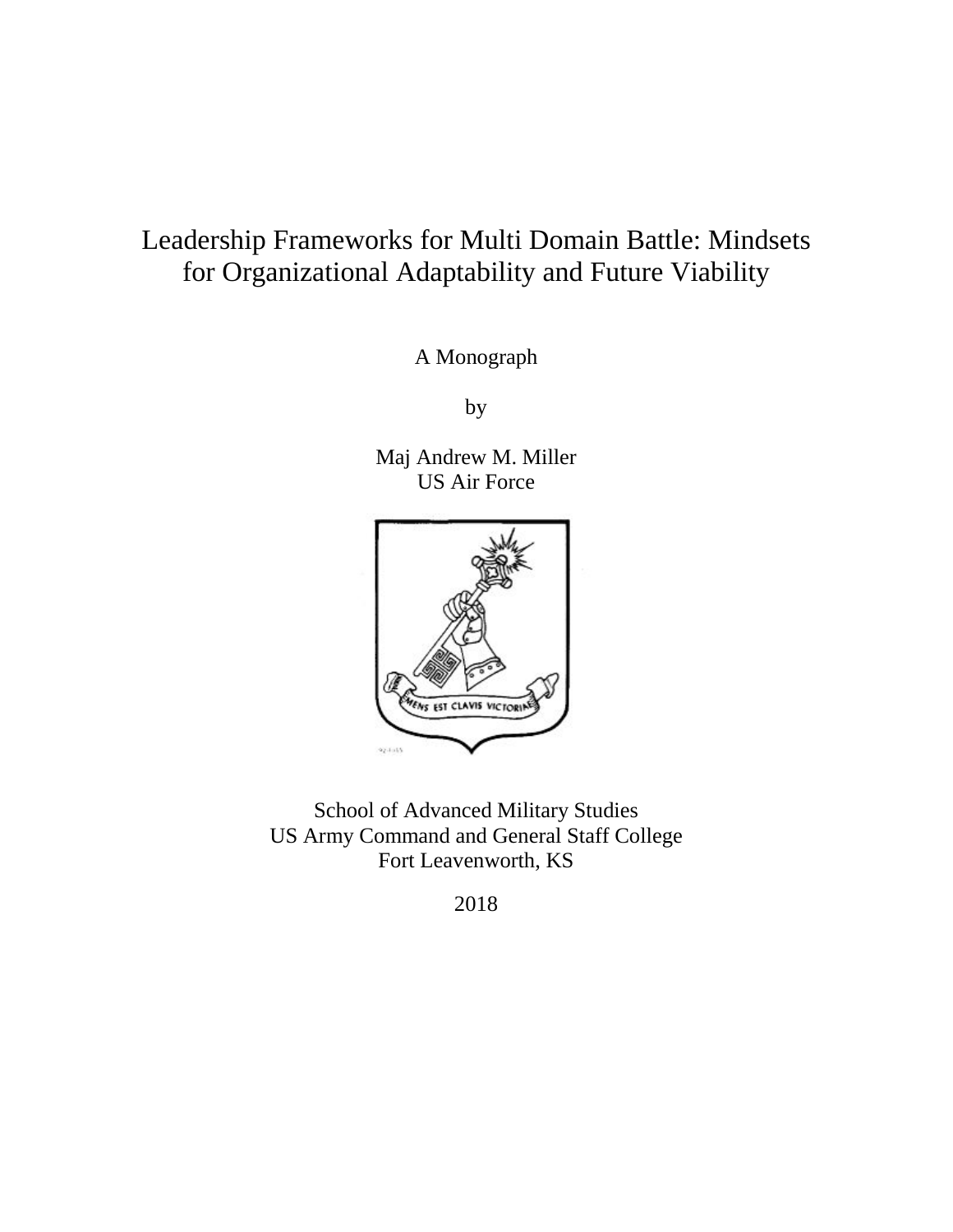# Leadership Frameworks for Multi Domain Battle: Mindsets for Organizational Adaptability and Future Viability

A Monograph

by

Maj Andrew M. Miller US Air Force



School of Advanced Military Studies US Army Command and General Staff College Fort Leavenworth, KS

2018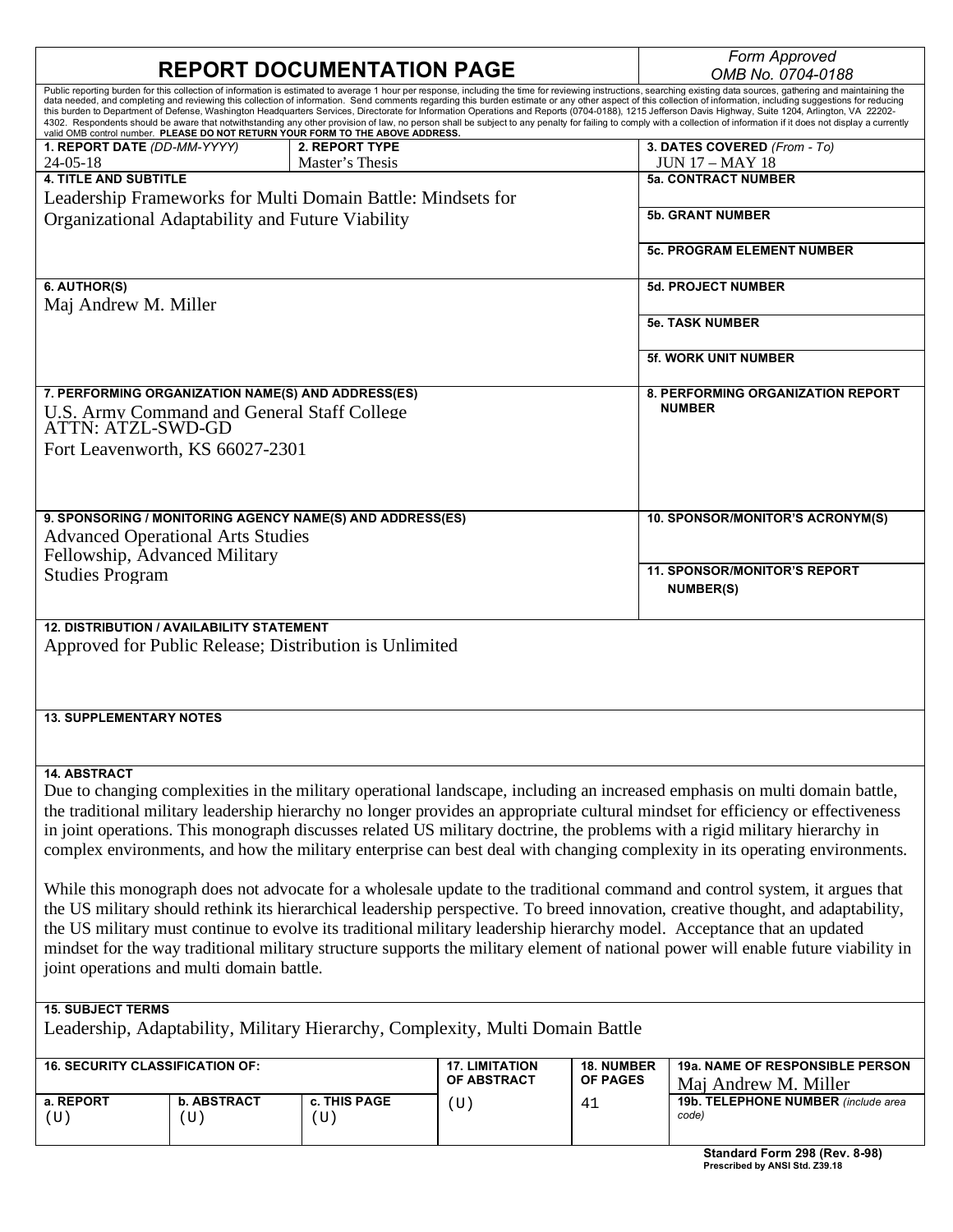|                                                                                                                                                                                                                                                                                                                                                                                                                                                                                                                                                                               |                                                  |                                                                                |                                      |                        | Form Approved                                                                                                                                                                                                                                                                                                                                                                                                                                                                                                                                                                                                                                                                                                                                                                                                                                                                 |  |  |
|-------------------------------------------------------------------------------------------------------------------------------------------------------------------------------------------------------------------------------------------------------------------------------------------------------------------------------------------------------------------------------------------------------------------------------------------------------------------------------------------------------------------------------------------------------------------------------|--------------------------------------------------|--------------------------------------------------------------------------------|--------------------------------------|------------------------|-------------------------------------------------------------------------------------------------------------------------------------------------------------------------------------------------------------------------------------------------------------------------------------------------------------------------------------------------------------------------------------------------------------------------------------------------------------------------------------------------------------------------------------------------------------------------------------------------------------------------------------------------------------------------------------------------------------------------------------------------------------------------------------------------------------------------------------------------------------------------------|--|--|
|                                                                                                                                                                                                                                                                                                                                                                                                                                                                                                                                                                               |                                                  | <b>REPORT DOCUMENTATION PAGE</b>                                               |                                      |                        | OMB No. 0704-0188                                                                                                                                                                                                                                                                                                                                                                                                                                                                                                                                                                                                                                                                                                                                                                                                                                                             |  |  |
|                                                                                                                                                                                                                                                                                                                                                                                                                                                                                                                                                                               |                                                  | valid OMB control number. PLEASE DO NOT RETURN YOUR FORM TO THE ABOVE ADDRESS. |                                      |                        | Public reporting burden for this collection of information is estimated to average 1 hour per response, including the time for reviewing instructions, searching existing data sources, gathering and maintaining the<br>data needed, and completing and reviewing this collection of information. Send comments regarding this burden estimate or any other aspect of this collection of information, including suggestions for reducing<br>this burden to Department of Defense, Washington Headquarters Services, Directorate for Information Operations and Reports (0704-0188), 1215 Jefferson Davis Highway, Suite 1204, Arlington, VA 22202-<br>4302. Respondents should be aware that notwithstanding any other provision of law, no person shall be subject to any penalty for failing to comply with a collection of information if it does not display a currently |  |  |
| 1. REPORT DATE (DD-MM-YYYY)<br>$24 - 05 - 18$                                                                                                                                                                                                                                                                                                                                                                                                                                                                                                                                 |                                                  | 2. REPORT TYPE<br>Master's Thesis                                              |                                      |                        | 3. DATES COVERED (From - To)<br><b>JUN 17 – MAY 18</b>                                                                                                                                                                                                                                                                                                                                                                                                                                                                                                                                                                                                                                                                                                                                                                                                                        |  |  |
| <b>4. TITLE AND SUBTITLE</b>                                                                                                                                                                                                                                                                                                                                                                                                                                                                                                                                                  |                                                  |                                                                                |                                      |                        | <b>5a. CONTRACT NUMBER</b>                                                                                                                                                                                                                                                                                                                                                                                                                                                                                                                                                                                                                                                                                                                                                                                                                                                    |  |  |
|                                                                                                                                                                                                                                                                                                                                                                                                                                                                                                                                                                               |                                                  | Leadership Frameworks for Multi Domain Battle: Mindsets for                    |                                      |                        |                                                                                                                                                                                                                                                                                                                                                                                                                                                                                                                                                                                                                                                                                                                                                                                                                                                                               |  |  |
|                                                                                                                                                                                                                                                                                                                                                                                                                                                                                                                                                                               | Organizational Adaptability and Future Viability |                                                                                |                                      |                        | <b>5b. GRANT NUMBER</b>                                                                                                                                                                                                                                                                                                                                                                                                                                                                                                                                                                                                                                                                                                                                                                                                                                                       |  |  |
|                                                                                                                                                                                                                                                                                                                                                                                                                                                                                                                                                                               |                                                  |                                                                                |                                      |                        | <b>5c. PROGRAM ELEMENT NUMBER</b>                                                                                                                                                                                                                                                                                                                                                                                                                                                                                                                                                                                                                                                                                                                                                                                                                                             |  |  |
| 6. AUTHOR(S)<br>Maj Andrew M. Miller                                                                                                                                                                                                                                                                                                                                                                                                                                                                                                                                          |                                                  |                                                                                |                                      |                        | <b>5d. PROJECT NUMBER</b>                                                                                                                                                                                                                                                                                                                                                                                                                                                                                                                                                                                                                                                                                                                                                                                                                                                     |  |  |
|                                                                                                                                                                                                                                                                                                                                                                                                                                                                                                                                                                               |                                                  |                                                                                |                                      |                        | <b>5e. TASK NUMBER</b>                                                                                                                                                                                                                                                                                                                                                                                                                                                                                                                                                                                                                                                                                                                                                                                                                                                        |  |  |
|                                                                                                                                                                                                                                                                                                                                                                                                                                                                                                                                                                               |                                                  |                                                                                |                                      |                        | <b>5f. WORK UNIT NUMBER</b>                                                                                                                                                                                                                                                                                                                                                                                                                                                                                                                                                                                                                                                                                                                                                                                                                                                   |  |  |
| 7. PERFORMING ORGANIZATION NAME(S) AND ADDRESS(ES)<br>U.S. Army Command and General Staff College                                                                                                                                                                                                                                                                                                                                                                                                                                                                             |                                                  |                                                                                |                                      |                        | 8. PERFORMING ORGANIZATION REPORT<br><b>NUMBER</b>                                                                                                                                                                                                                                                                                                                                                                                                                                                                                                                                                                                                                                                                                                                                                                                                                            |  |  |
| <b>ATTN: ATZL-SWD-GD</b>                                                                                                                                                                                                                                                                                                                                                                                                                                                                                                                                                      | Fort Leavenworth, KS 66027-2301                  |                                                                                |                                      |                        |                                                                                                                                                                                                                                                                                                                                                                                                                                                                                                                                                                                                                                                                                                                                                                                                                                                                               |  |  |
|                                                                                                                                                                                                                                                                                                                                                                                                                                                                                                                                                                               |                                                  |                                                                                |                                      |                        |                                                                                                                                                                                                                                                                                                                                                                                                                                                                                                                                                                                                                                                                                                                                                                                                                                                                               |  |  |
| 9. SPONSORING / MONITORING AGENCY NAME(S) AND ADDRESS(ES)<br><b>Advanced Operational Arts Studies</b>                                                                                                                                                                                                                                                                                                                                                                                                                                                                         |                                                  |                                                                                |                                      |                        | 10. SPONSOR/MONITOR'S ACRONYM(S)                                                                                                                                                                                                                                                                                                                                                                                                                                                                                                                                                                                                                                                                                                                                                                                                                                              |  |  |
| Fellowship, Advanced Military                                                                                                                                                                                                                                                                                                                                                                                                                                                                                                                                                 |                                                  |                                                                                |                                      |                        |                                                                                                                                                                                                                                                                                                                                                                                                                                                                                                                                                                                                                                                                                                                                                                                                                                                                               |  |  |
| <b>Studies Program</b>                                                                                                                                                                                                                                                                                                                                                                                                                                                                                                                                                        |                                                  |                                                                                |                                      |                        | <b>11. SPONSOR/MONITOR'S REPORT</b><br><b>NUMBER(S)</b>                                                                                                                                                                                                                                                                                                                                                                                                                                                                                                                                                                                                                                                                                                                                                                                                                       |  |  |
| <b>12. DISTRIBUTION / AVAILABILITY STATEMENT</b><br>Approved for Public Release; Distribution is Unlimited                                                                                                                                                                                                                                                                                                                                                                                                                                                                    |                                                  |                                                                                |                                      |                        |                                                                                                                                                                                                                                                                                                                                                                                                                                                                                                                                                                                                                                                                                                                                                                                                                                                                               |  |  |
| <b>13. SUPPLEMENTARY NOTES</b>                                                                                                                                                                                                                                                                                                                                                                                                                                                                                                                                                |                                                  |                                                                                |                                      |                        |                                                                                                                                                                                                                                                                                                                                                                                                                                                                                                                                                                                                                                                                                                                                                                                                                                                                               |  |  |
|                                                                                                                                                                                                                                                                                                                                                                                                                                                                                                                                                                               |                                                  |                                                                                |                                      |                        |                                                                                                                                                                                                                                                                                                                                                                                                                                                                                                                                                                                                                                                                                                                                                                                                                                                                               |  |  |
| <b>14. ABSTRACT</b><br>Due to changing complexities in the military operational landscape, including an increased emphasis on multi domain battle,<br>the traditional military leadership hierarchy no longer provides an appropriate cultural mindset for efficiency or effectiveness<br>in joint operations. This monograph discusses related US military doctrine, the problems with a rigid military hierarchy in<br>complex environments, and how the military enterprise can best deal with changing complexity in its operating environments.                          |                                                  |                                                                                |                                      |                        |                                                                                                                                                                                                                                                                                                                                                                                                                                                                                                                                                                                                                                                                                                                                                                                                                                                                               |  |  |
| While this monograph does not advocate for a wholesale update to the traditional command and control system, it argues that<br>the US military should rethink its hierarchical leadership perspective. To breed innovation, creative thought, and adaptability,<br>the US military must continue to evolve its traditional military leadership hierarchy model. Acceptance that an updated<br>mindset for the way traditional military structure supports the military element of national power will enable future viability in<br>joint operations and multi domain battle. |                                                  |                                                                                |                                      |                        |                                                                                                                                                                                                                                                                                                                                                                                                                                                                                                                                                                                                                                                                                                                                                                                                                                                                               |  |  |
| <b>15. SUBJECT TERMS</b>                                                                                                                                                                                                                                                                                                                                                                                                                                                                                                                                                      |                                                  |                                                                                |                                      |                        |                                                                                                                                                                                                                                                                                                                                                                                                                                                                                                                                                                                                                                                                                                                                                                                                                                                                               |  |  |
| Leadership, Adaptability, Military Hierarchy, Complexity, Multi Domain Battle                                                                                                                                                                                                                                                                                                                                                                                                                                                                                                 |                                                  |                                                                                |                                      |                        |                                                                                                                                                                                                                                                                                                                                                                                                                                                                                                                                                                                                                                                                                                                                                                                                                                                                               |  |  |
| 16. SECURITY CLASSIFICATION OF:                                                                                                                                                                                                                                                                                                                                                                                                                                                                                                                                               |                                                  |                                                                                | <b>17. LIMITATION</b><br>OF ABSTRACT | 18. NUMBER<br>OF PAGES | 19a. NAME OF RESPONSIBLE PERSON<br>Maj Andrew M. Miller                                                                                                                                                                                                                                                                                                                                                                                                                                                                                                                                                                                                                                                                                                                                                                                                                       |  |  |
| a. REPORT<br>(U)                                                                                                                                                                                                                                                                                                                                                                                                                                                                                                                                                              | <b>b. ABSTRACT</b><br>(U)                        | c. THIS PAGE<br>(U)                                                            | (U)                                  | 41                     | 19b. TELEPHONE NUMBER (include area<br>code)                                                                                                                                                                                                                                                                                                                                                                                                                                                                                                                                                                                                                                                                                                                                                                                                                                  |  |  |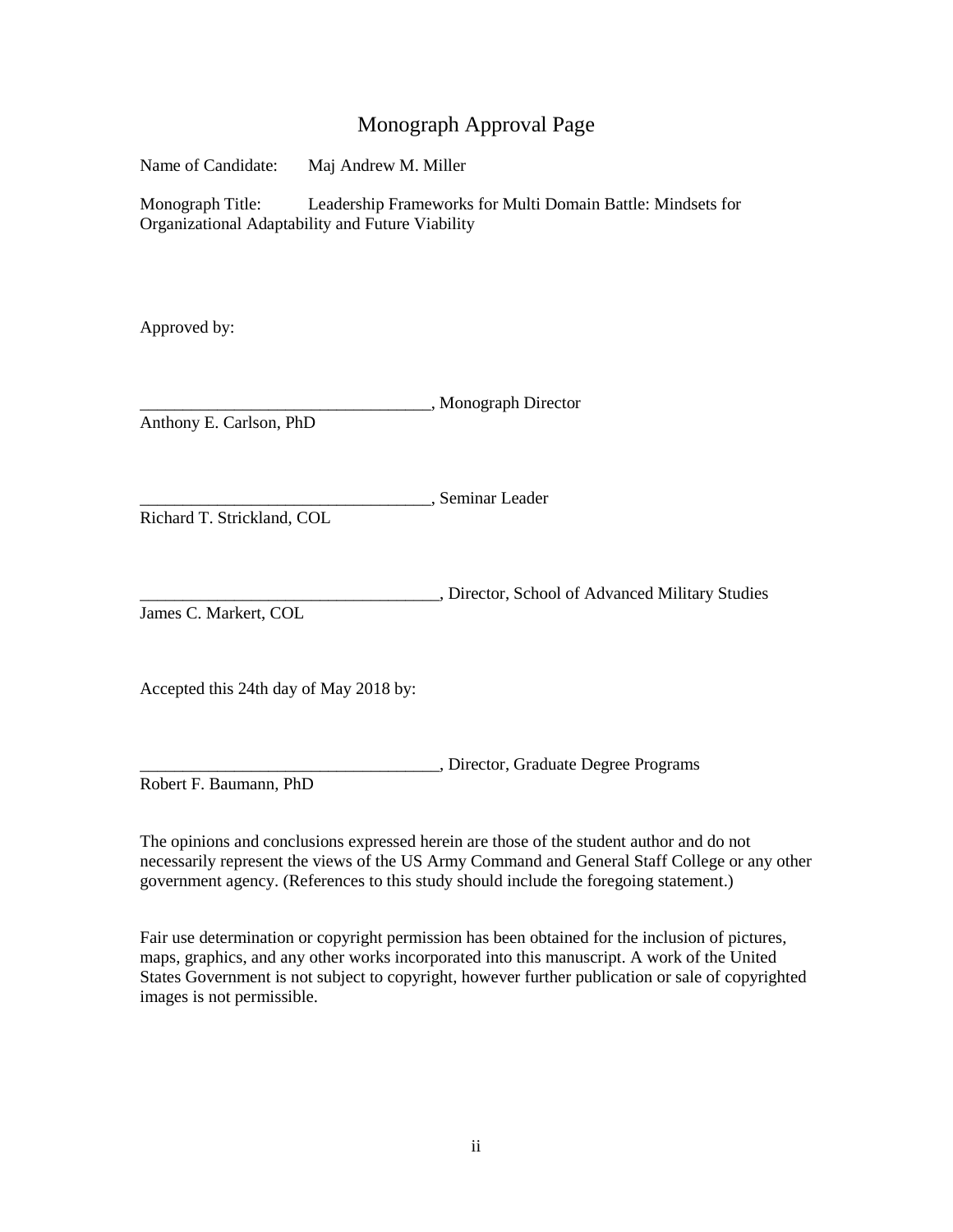# Monograph Approval Page

Name of Candidate: Maj Andrew M. Miller

Monograph Title: Leadership Frameworks for Multi Domain Battle: Mindsets for Organizational Adaptability and Future Viability

Approved by:

\_\_\_\_\_\_\_\_\_\_\_\_\_\_\_\_\_\_\_\_\_\_\_\_\_\_\_\_\_\_\_\_\_\_, Monograph Director Anthony E. Carlson, PhD

\_\_\_\_\_\_\_\_\_\_\_\_\_\_\_\_\_\_\_\_\_\_\_\_\_\_\_\_\_\_\_\_\_\_, Seminar Leader

Richard T. Strickland, COL

\_\_\_\_\_\_\_\_\_\_\_\_\_\_\_\_\_\_\_\_\_\_\_\_\_\_\_\_\_\_\_\_\_\_\_, Director, School of Advanced Military Studies James C. Markert, COL

Accepted this 24th day of May 2018 by:

\_\_\_\_\_\_\_\_\_\_\_\_\_\_\_\_\_\_\_\_\_\_\_\_\_\_\_\_\_\_\_\_\_\_\_, Director, Graduate Degree Programs Robert F. Baumann, PhD

The opinions and conclusions expressed herein are those of the student author and do not necessarily represent the views of the US Army Command and General Staff College or any other government agency. (References to this study should include the foregoing statement.)

Fair use determination or copyright permission has been obtained for the inclusion of pictures, maps, graphics, and any other works incorporated into this manuscript. A work of the United States Government is not subject to copyright, however further publication or sale of copyrighted images is not permissible.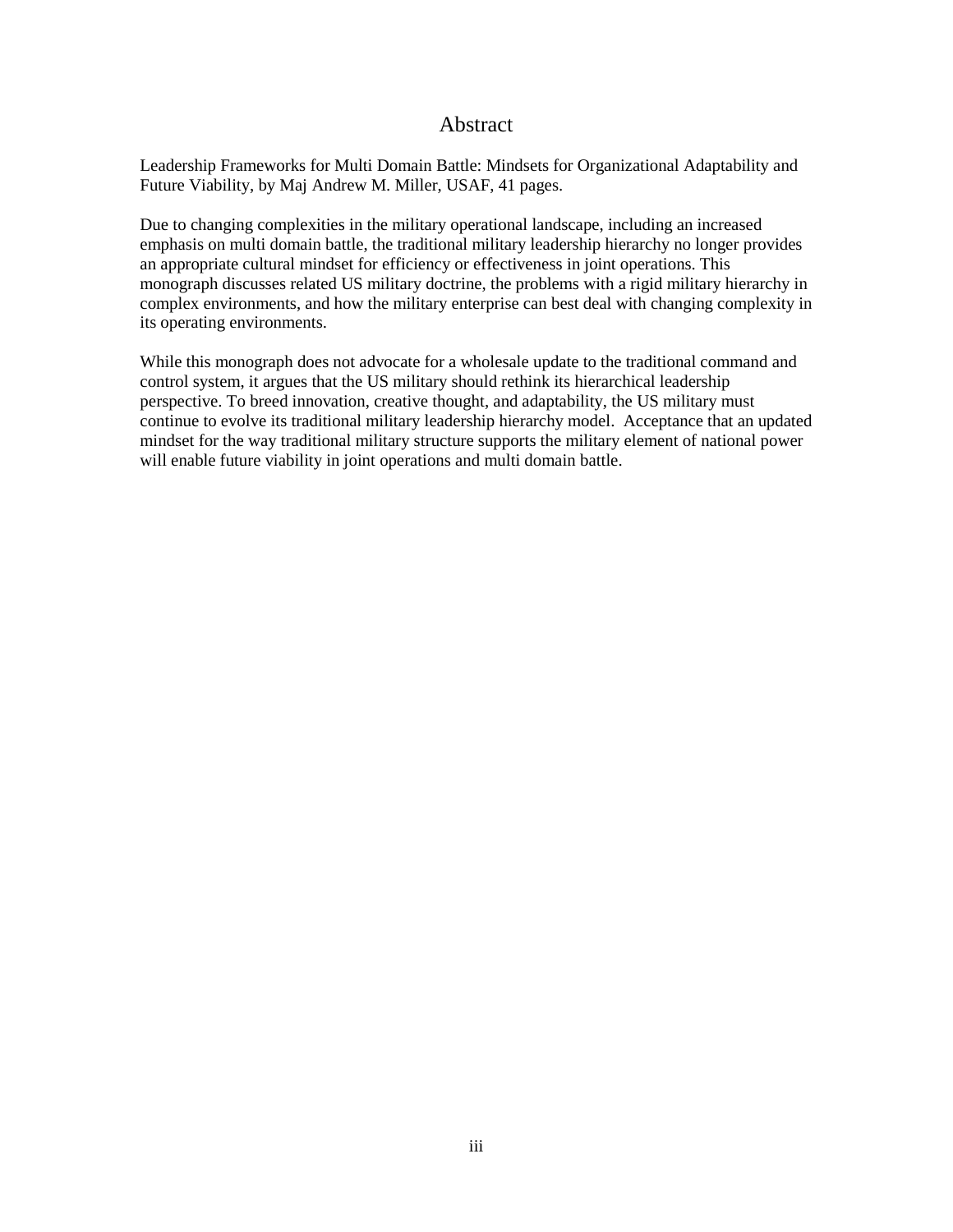# Abstract

<span id="page-3-0"></span>Leadership Frameworks for Multi Domain Battle: Mindsets for Organizational Adaptability and Future Viability, by Maj Andrew M. Miller, USAF, 41 pages.

Due to changing complexities in the military operational landscape, including an increased emphasis on multi domain battle, the traditional military leadership hierarchy no longer provides an appropriate cultural mindset for efficiency or effectiveness in joint operations. This monograph discusses related US military doctrine, the problems with a rigid military hierarchy in complex environments, and how the military enterprise can best deal with changing complexity in its operating environments.

While this monograph does not advocate for a wholesale update to the traditional command and control system, it argues that the US military should rethink its hierarchical leadership perspective. To breed innovation, creative thought, and adaptability, the US military must continue to evolve its traditional military leadership hierarchy model. Acceptance that an updated mindset for the way traditional military structure supports the military element of national power will enable future viability in joint operations and multi domain battle.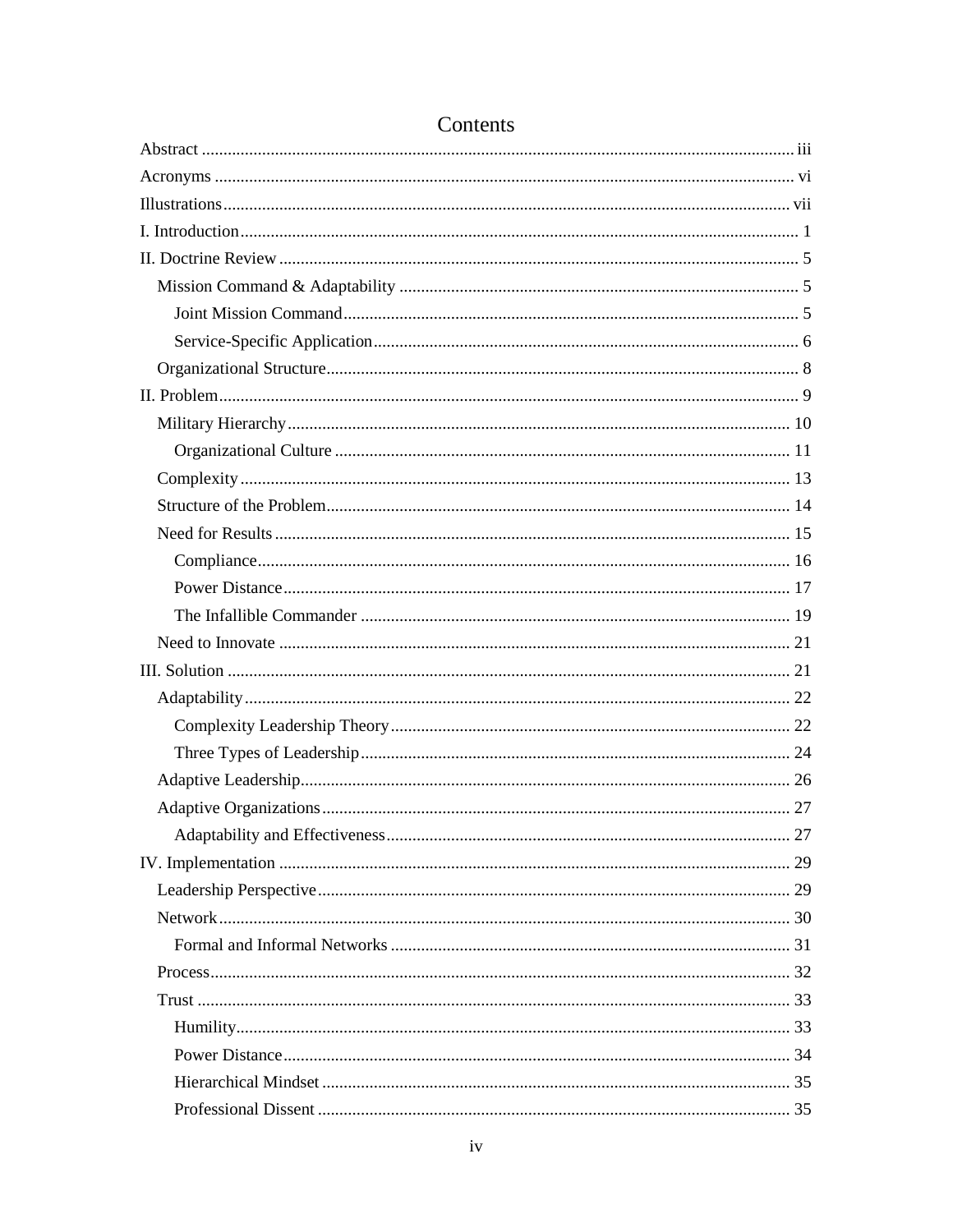# Contents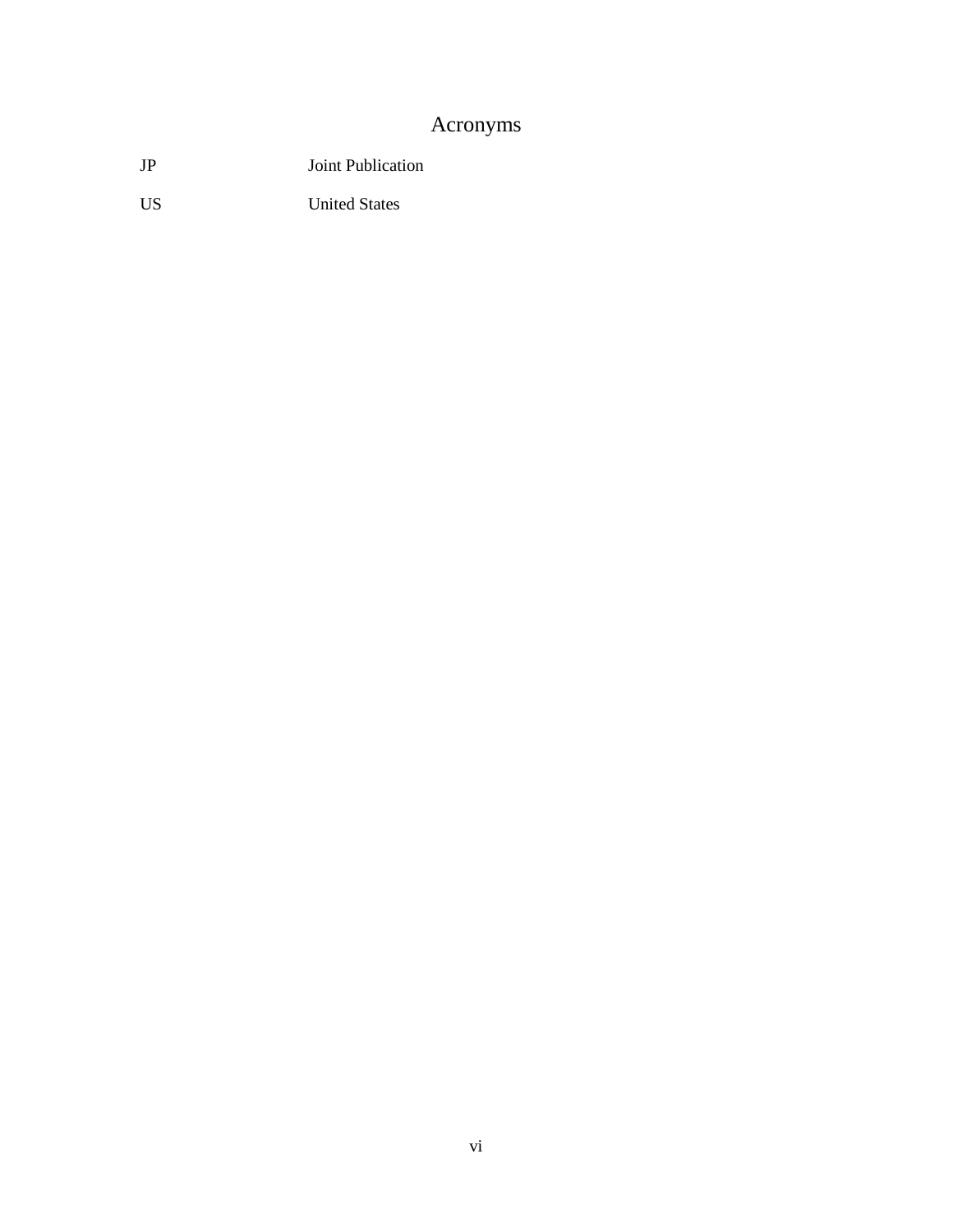# Acronyms

<span id="page-6-0"></span>JP Joint Publication

US United States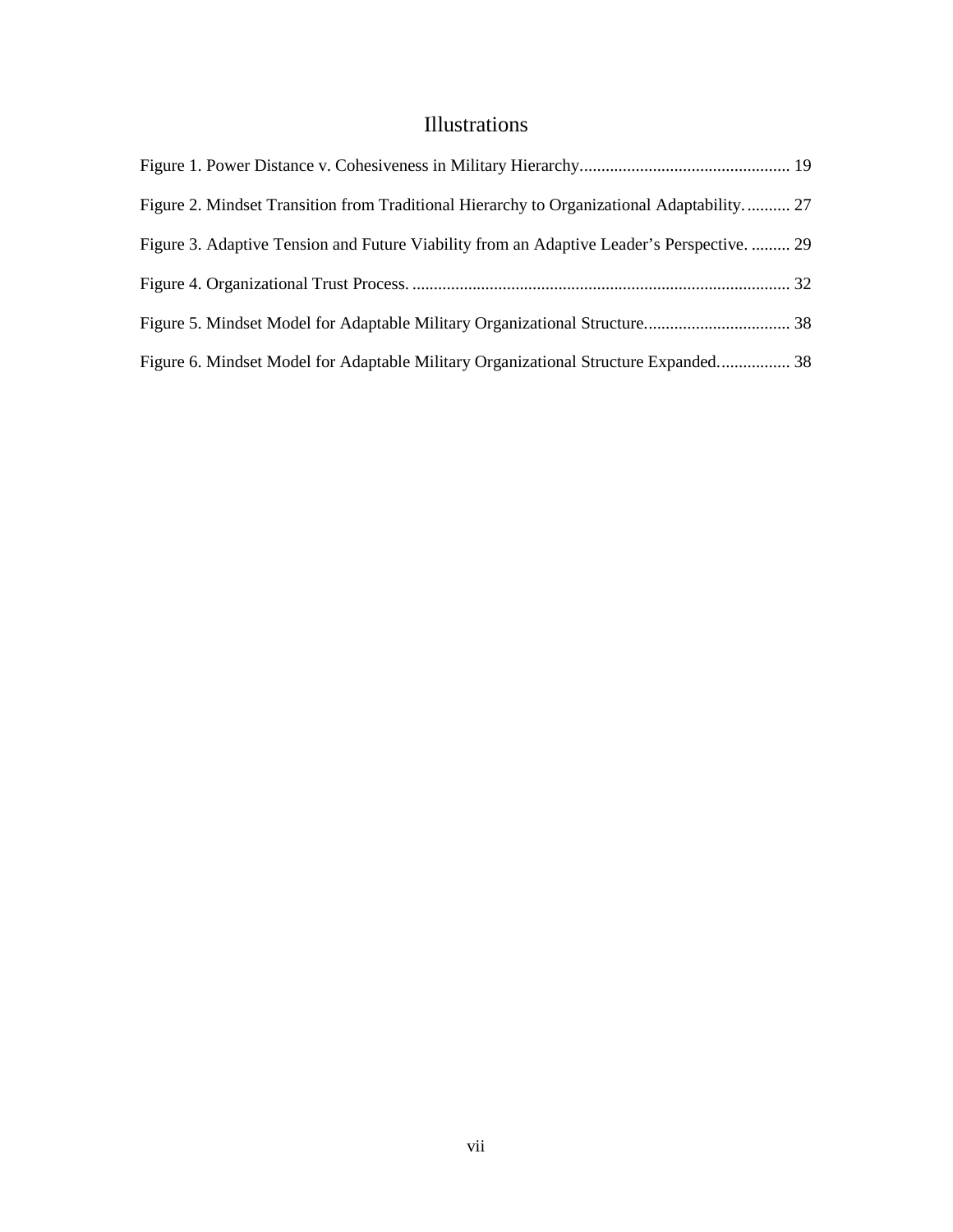# Illustrations

<span id="page-7-0"></span>

| Figure 2. Mindset Transition from Traditional Hierarchy to Organizational Adaptability 27  |  |
|--------------------------------------------------------------------------------------------|--|
| Figure 3. Adaptive Tension and Future Viability from an Adaptive Leader's Perspective.  29 |  |
|                                                                                            |  |
|                                                                                            |  |
| Figure 6. Mindset Model for Adaptable Military Organizational Structure Expanded 38        |  |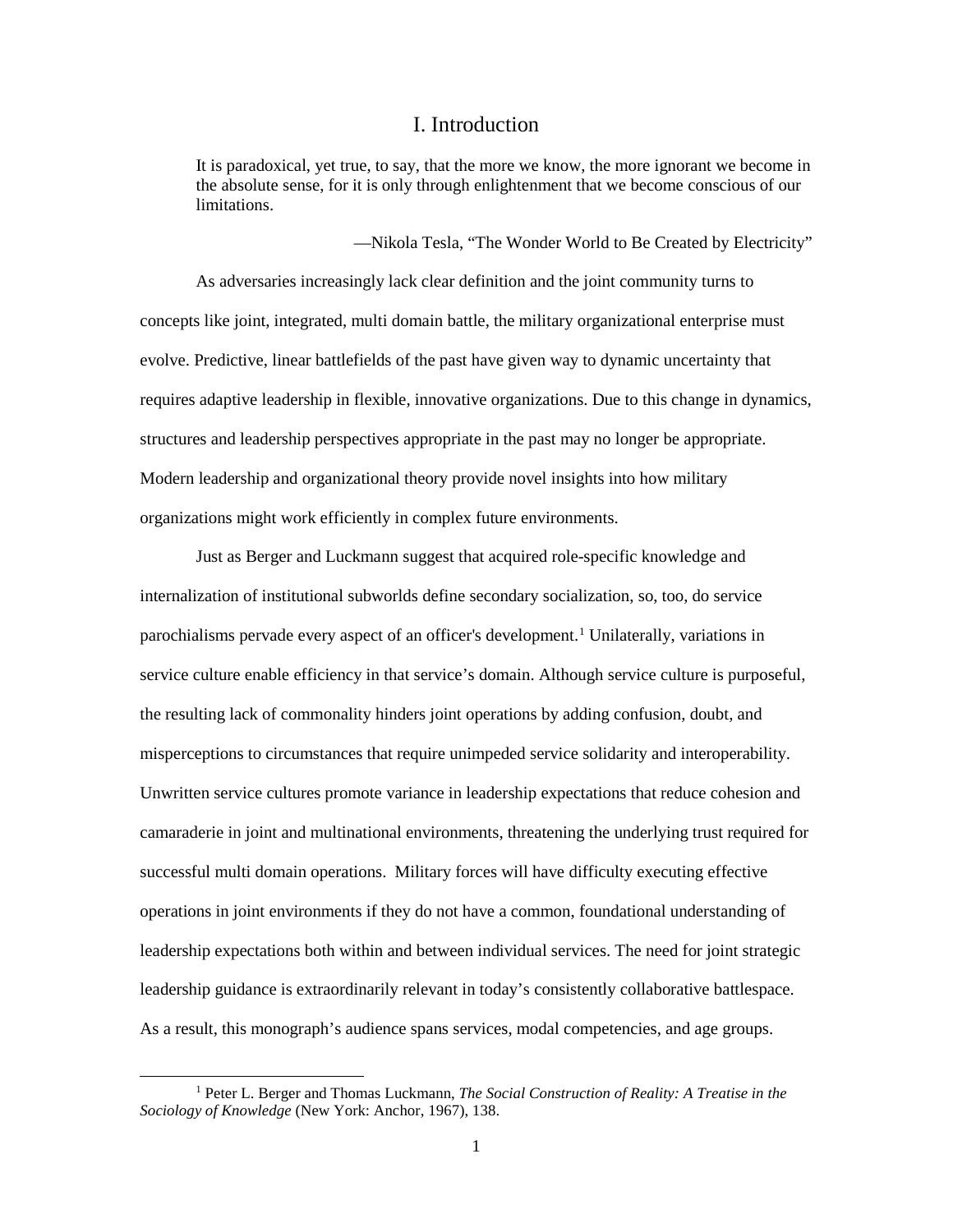## I. Introduction

<span id="page-8-0"></span>It is paradoxical, yet true, to say, that the more we know, the more ignorant we become in the absolute sense, for it is only through enlightenment that we become conscious of our limitations.

—Nikola Tesla, "The Wonder World to Be Created by Electricity"

As adversaries increasingly lack clear definition and the joint community turns to concepts like joint, integrated, multi domain battle, the military organizational enterprise must evolve. Predictive, linear battlefields of the past have given way to dynamic uncertainty that requires adaptive leadership in flexible, innovative organizations. Due to this change in dynamics, structures and leadership perspectives appropriate in the past may no longer be appropriate. Modern leadership and organizational theory provide novel insights into how military organizations might work efficiently in complex future environments.

Just as Berger and Luckmann suggest that acquired role-specific knowledge and internalization of institutional subworlds define secondary socialization, so, too, do service parochialisms pervade every aspect of an officer's development.<sup>[1](#page-8-1)</sup> Unilaterally, variations in service culture enable efficiency in that service's domain. Although service culture is purposeful, the resulting lack of commonality hinders joint operations by adding confusion, doubt, and misperceptions to circumstances that require unimpeded service solidarity and interoperability. Unwritten service cultures promote variance in leadership expectations that reduce cohesion and camaraderie in joint and multinational environments, threatening the underlying trust required for successful multi domain operations. Military forces will have difficulty executing effective operations in joint environments if they do not have a common, foundational understanding of leadership expectations both within and between individual services. The need for joint strategic leadership guidance is extraordinarily relevant in today's consistently collaborative battlespace. As a result, this monograph's audience spans services, modal competencies, and age groups.

<span id="page-8-1"></span> <sup>1</sup> Peter L. Berger and Thomas Luckmann, *The Social Construction of Reality: A Treatise in the Sociology of Knowledge* (New York: Anchor, 1967), 138.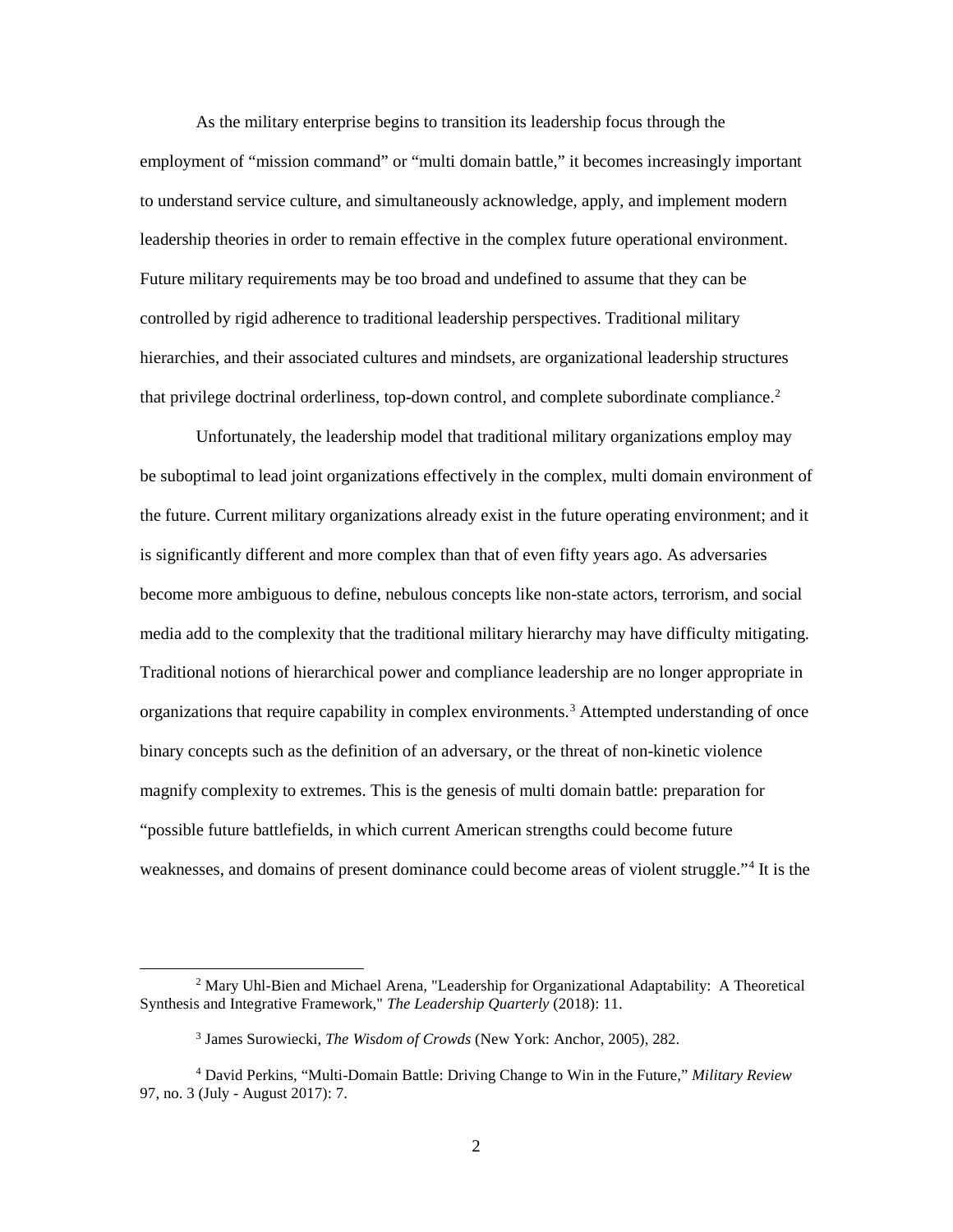As the military enterprise begins to transition its leadership focus through the employment of "mission command" or "multi domain battle," it becomes increasingly important to understand service culture, and simultaneously acknowledge, apply, and implement modern leadership theories in order to remain effective in the complex future operational environment. Future military requirements may be too broad and undefined to assume that they can be controlled by rigid adherence to traditional leadership perspectives. Traditional military hierarchies, and their associated cultures and mindsets, are organizational leadership structures that privilege doctrinal orderliness, top-down control, and complete subordinate compliance.<sup>[2](#page-9-0)</sup>

Unfortunately, the leadership model that traditional military organizations employ may be suboptimal to lead joint organizations effectively in the complex, multi domain environment of the future. Current military organizations already exist in the future operating environment; and it is significantly different and more complex than that of even fifty years ago. As adversaries become more ambiguous to define, nebulous concepts like non-state actors, terrorism, and social media add to the complexity that the traditional military hierarchy may have difficulty mitigating. Traditional notions of hierarchical power and compliance leadership are no longer appropriate in organizations that require capability in complex environments.<sup>[3](#page-9-1)</sup> Attempted understanding of once binary concepts such as the definition of an adversary, or the threat of non-kinetic violence magnify complexity to extremes. This is the genesis of multi domain battle: preparation for "possible future battlefields, in which current American strengths could become future weaknesses, and domains of present dominance could become areas of violent struggle."[4](#page-9-2) It is the

<span id="page-9-0"></span><sup>&</sup>lt;sup>2</sup> Mary Uhl-Bien and Michael Arena, "Leadership for Organizational Adaptability: A Theoretical Synthesis and Integrative Framework," *The Leadership Quarterly* (2018): 11.

<sup>3</sup> James Surowiecki, *The Wisdom of Crowds* (New York: Anchor, 2005), 282.

<span id="page-9-2"></span><span id="page-9-1"></span><sup>4</sup> David Perkins, "Multi-Domain Battle: Driving Change to Win in the Future," *Military Review* 97, no. 3 (July - August 2017): 7.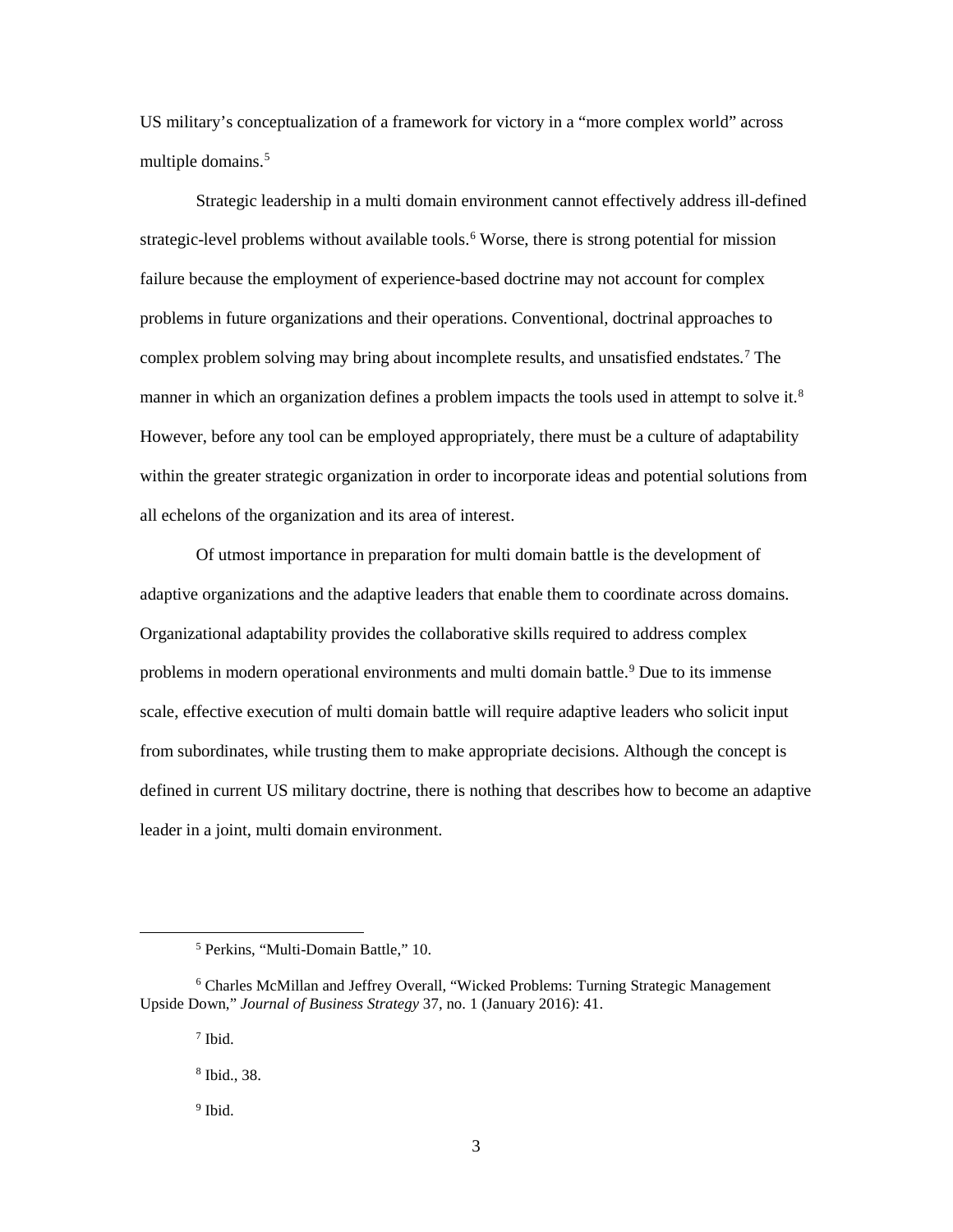US military's conceptualization of a framework for victory in a "more complex world" across multiple domains.<sup>[5](#page-10-0)</sup>

Strategic leadership in a multi domain environment cannot effectively address ill-defined strategic-level problems without available tools.<sup>[6](#page-10-1)</sup> Worse, there is strong potential for mission failure because the employment of experience-based doctrine may not account for complex problems in future organizations and their operations. Conventional, doctrinal approaches to complex problem solving may bring about incomplete results, and unsatisfied endstates.[7](#page-10-2) The manner in which an organization defines a problem impacts the tools used in attempt to solve it.<sup>[8](#page-10-3)</sup> However, before any tool can be employed appropriately, there must be a culture of adaptability within the greater strategic organization in order to incorporate ideas and potential solutions from all echelons of the organization and its area of interest.

Of utmost importance in preparation for multi domain battle is the development of adaptive organizations and the adaptive leaders that enable them to coordinate across domains. Organizational adaptability provides the collaborative skills required to address complex problems in modern operational environments and multi domain battle.<sup>[9](#page-10-4)</sup> Due to its immense scale, effective execution of multi domain battle will require adaptive leaders who solicit input from subordinates, while trusting them to make appropriate decisions. Although the concept is defined in current US military doctrine, there is nothing that describes how to become an adaptive leader in a joint, multi domain environment.

 <sup>5</sup> Perkins, "Multi-Domain Battle," 10.

<span id="page-10-4"></span><span id="page-10-3"></span><span id="page-10-2"></span><span id="page-10-1"></span><span id="page-10-0"></span><sup>6</sup> Charles McMillan and Jeffrey Overall, "Wicked Problems: Turning Strategic Management Upside Down," *Journal of Business Strategy* 37, no. 1 (January 2016): 41.

<sup>7</sup> Ibid.

<sup>8</sup> Ibid., 38.

<sup>&</sup>lt;sup>9</sup> Ibid.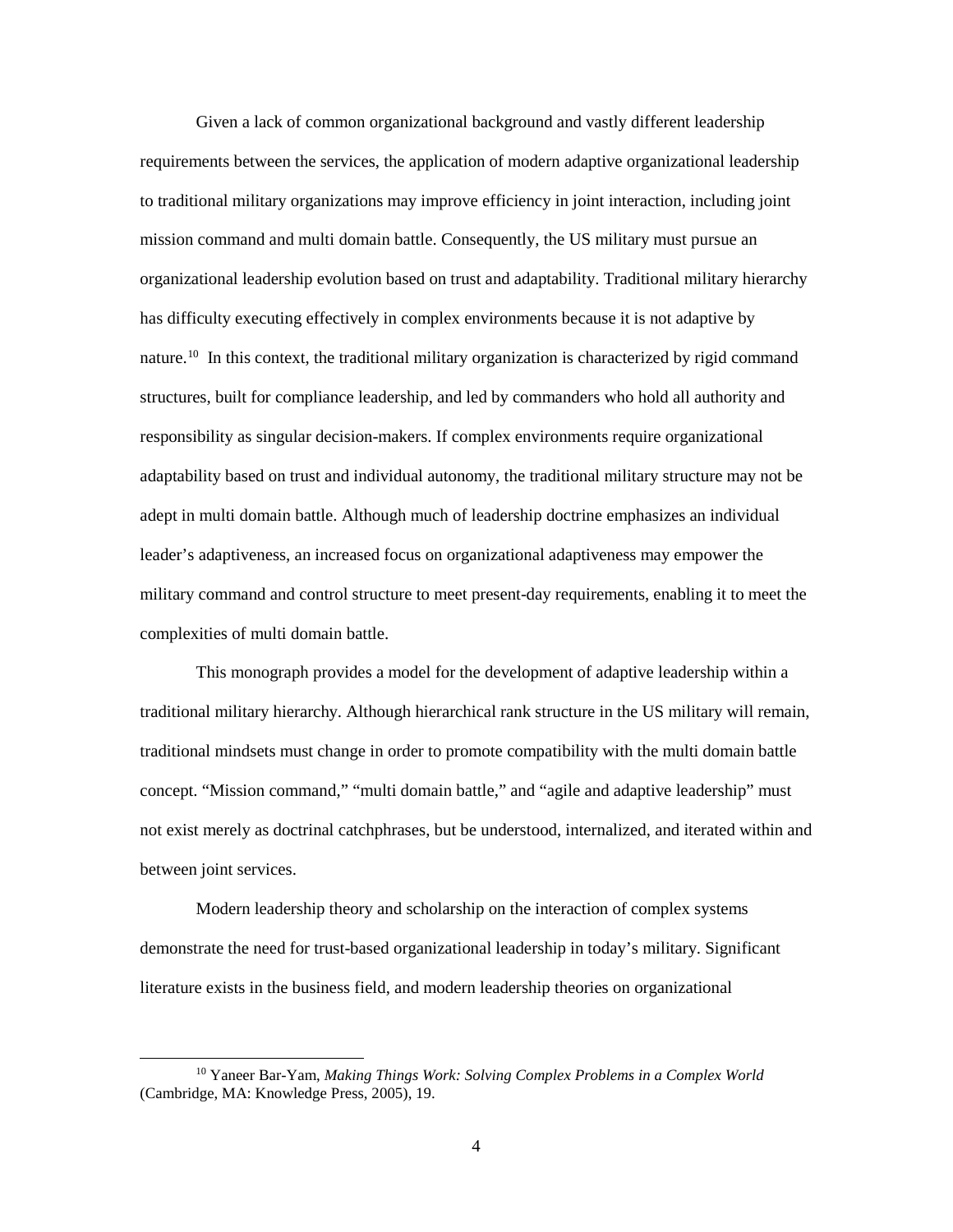Given a lack of common organizational background and vastly different leadership requirements between the services, the application of modern adaptive organizational leadership to traditional military organizations may improve efficiency in joint interaction, including joint mission command and multi domain battle. Consequently, the US military must pursue an organizational leadership evolution based on trust and adaptability. Traditional military hierarchy has difficulty executing effectively in complex environments because it is not adaptive by nature.<sup>10</sup> In this context, the traditional military organization is characterized by rigid command structures, built for compliance leadership, and led by commanders who hold all authority and responsibility as singular decision-makers. If complex environments require organizational adaptability based on trust and individual autonomy, the traditional military structure may not be adept in multi domain battle. Although much of leadership doctrine emphasizes an individual leader's adaptiveness, an increased focus on organizational adaptiveness may empower the military command and control structure to meet present-day requirements, enabling it to meet the complexities of multi domain battle.

This monograph provides a model for the development of adaptive leadership within a traditional military hierarchy. Although hierarchical rank structure in the US military will remain, traditional mindsets must change in order to promote compatibility with the multi domain battle concept. "Mission command," "multi domain battle," and "agile and adaptive leadership" must not exist merely as doctrinal catchphrases, but be understood, internalized, and iterated within and between joint services.

Modern leadership theory and scholarship on the interaction of complex systems demonstrate the need for trust-based organizational leadership in today's military. Significant literature exists in the business field, and modern leadership theories on organizational

<span id="page-11-0"></span> <sup>10</sup> Yaneer Bar-Yam, *Making Things Work: Solving Complex Problems in a Complex World* (Cambridge, MA: Knowledge Press, 2005), 19.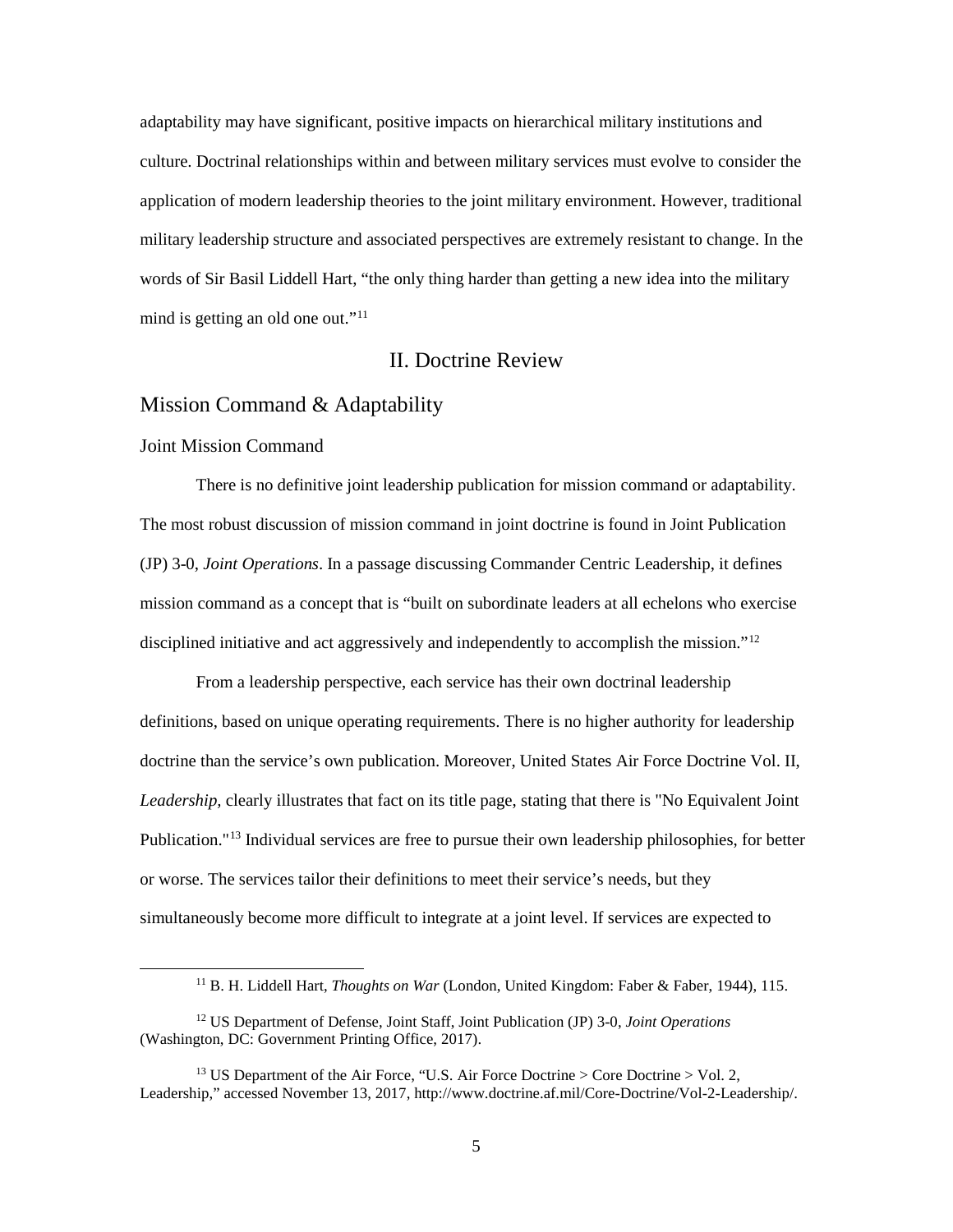adaptability may have significant, positive impacts on hierarchical military institutions and culture. Doctrinal relationships within and between military services must evolve to consider the application of modern leadership theories to the joint military environment. However, traditional military leadership structure and associated perspectives are extremely resistant to change. In the words of Sir Basil Liddell Hart, "the only thing harder than getting a new idea into the military mind is getting an old one out."<sup>[11](#page-12-3)</sup>

# II. Doctrine Review

## <span id="page-12-1"></span><span id="page-12-0"></span>Mission Command & Adaptability

#### <span id="page-12-2"></span>Joint Mission Command

There is no definitive joint leadership publication for mission command or adaptability. The most robust discussion of mission command in joint doctrine is found in Joint Publication (JP) 3-0, *Joint Operations*. In a passage discussing Commander Centric Leadership, it defines mission command as a concept that is "built on subordinate leaders at all echelons who exercise disciplined initiative and act aggressively and independently to accomplish the mission."<sup>[12](#page-12-4)</sup>

From a leadership perspective, each service has their own doctrinal leadership definitions, based on unique operating requirements. There is no higher authority for leadership doctrine than the service's own publication. Moreover, United States Air Force Doctrine Vol. II, *Leadership,* clearly illustrates that fact on its title page, stating that there is "No Equivalent Joint Publication."[13](#page-12-5) Individual services are free to pursue their own leadership philosophies, for better or worse. The services tailor their definitions to meet their service's needs, but they simultaneously become more difficult to integrate at a joint level. If services are expected to

 <sup>11</sup> B. H. Liddell Hart, *Thoughts on War* (London, United Kingdom: Faber & Faber, 1944), 115.

<span id="page-12-4"></span><span id="page-12-3"></span><sup>12</sup> US Department of Defense, Joint Staff, Joint Publication (JP) 3-0, *Joint Operations*  (Washington, DC: Government Printing Office, 2017).

<span id="page-12-5"></span><sup>&</sup>lt;sup>13</sup> US Department of the Air Force, "U.S. Air Force Doctrine > Core Doctrine > Vol. 2, Leadership," accessed November 13, 2017, http://www.doctrine.af.mil/Core-Doctrine/Vol-2-Leadership/.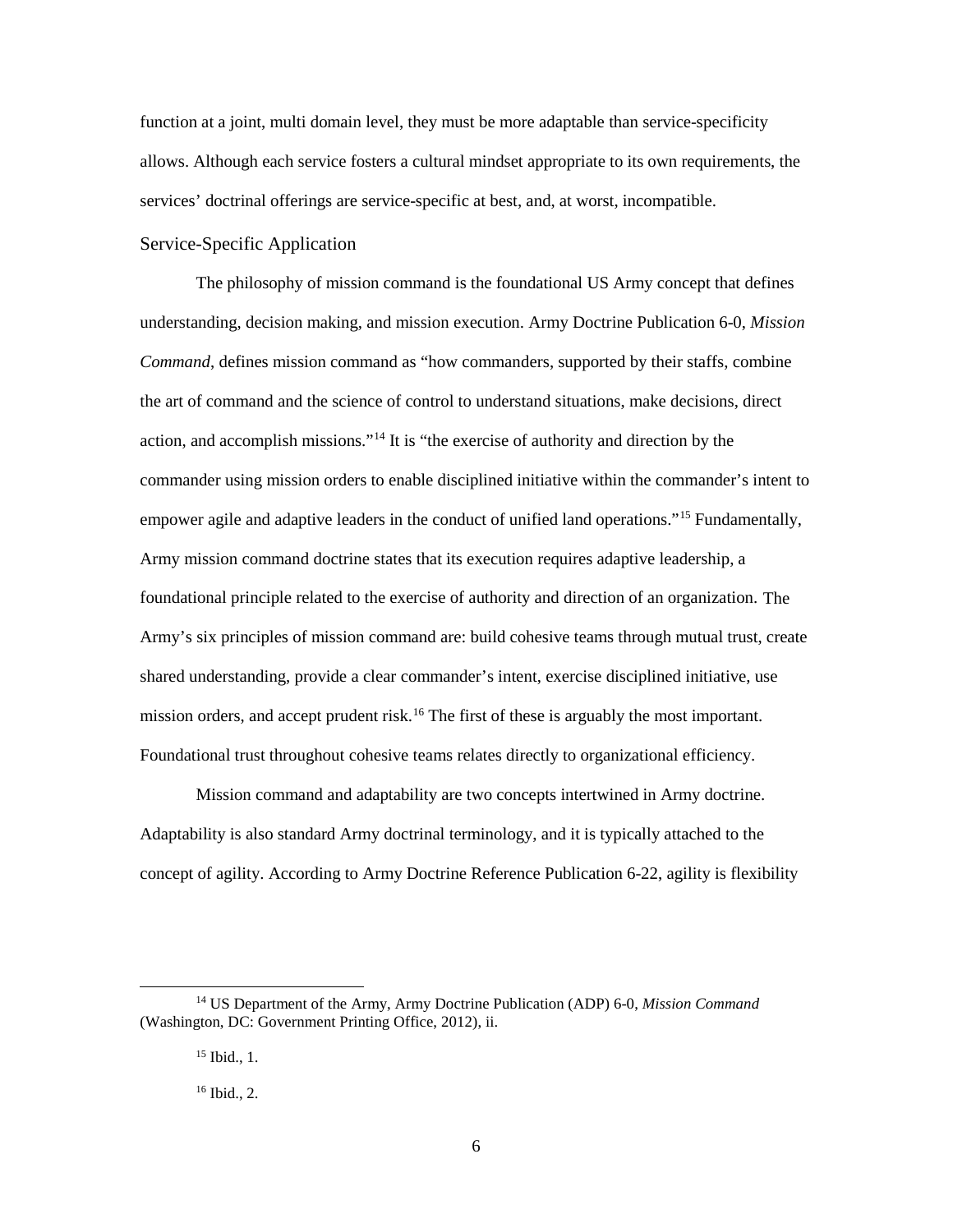function at a joint, multi domain level, they must be more adaptable than service-specificity allows. Although each service fosters a cultural mindset appropriate to its own requirements, the services' doctrinal offerings are service-specific at best, and, at worst, incompatible.

# <span id="page-13-0"></span>Service-Specific Application

The philosophy of mission command is the foundational US Army concept that defines understanding, decision making, and mission execution. Army Doctrine Publication 6-0, *Mission Command*, defines mission command as "how commanders, supported by their staffs, combine the art of command and the science of control to understand situations, make decisions, direct action, and accomplish missions.["14](#page-13-1) It is "the exercise of authority and direction by the commander using mission orders to enable disciplined initiative within the commander's intent to empower agile and adaptive leaders in the conduct of unified land operations."<sup>15</sup> Fundamentally, Army mission command doctrine states that its execution requires adaptive leadership, a foundational principle related to the exercise of authority and direction of an organization. The Army's six principles of mission command are: build cohesive teams through mutual trust, create shared understanding, provide a clear commander's intent, exercise disciplined initiative, use mission orders, and accept prudent risk.<sup>[16](#page-13-3)</sup> The first of these is arguably the most important. Foundational trust throughout cohesive teams relates directly to organizational efficiency.

Mission command and adaptability are two concepts intertwined in Army doctrine. Adaptability is also standard Army doctrinal terminology, and it is typically attached to the concept of agility. According to Army Doctrine Reference Publication 6-22, agility is flexibility

<span id="page-13-3"></span><span id="page-13-2"></span><span id="page-13-1"></span> <sup>14</sup> US Department of the Army, Army Doctrine Publication (ADP) 6-0, *Mission Command* (Washington, DC: Government Printing Office, 2012), ii.

<sup>15</sup> Ibid., 1.

<sup>16</sup> Ibid., 2.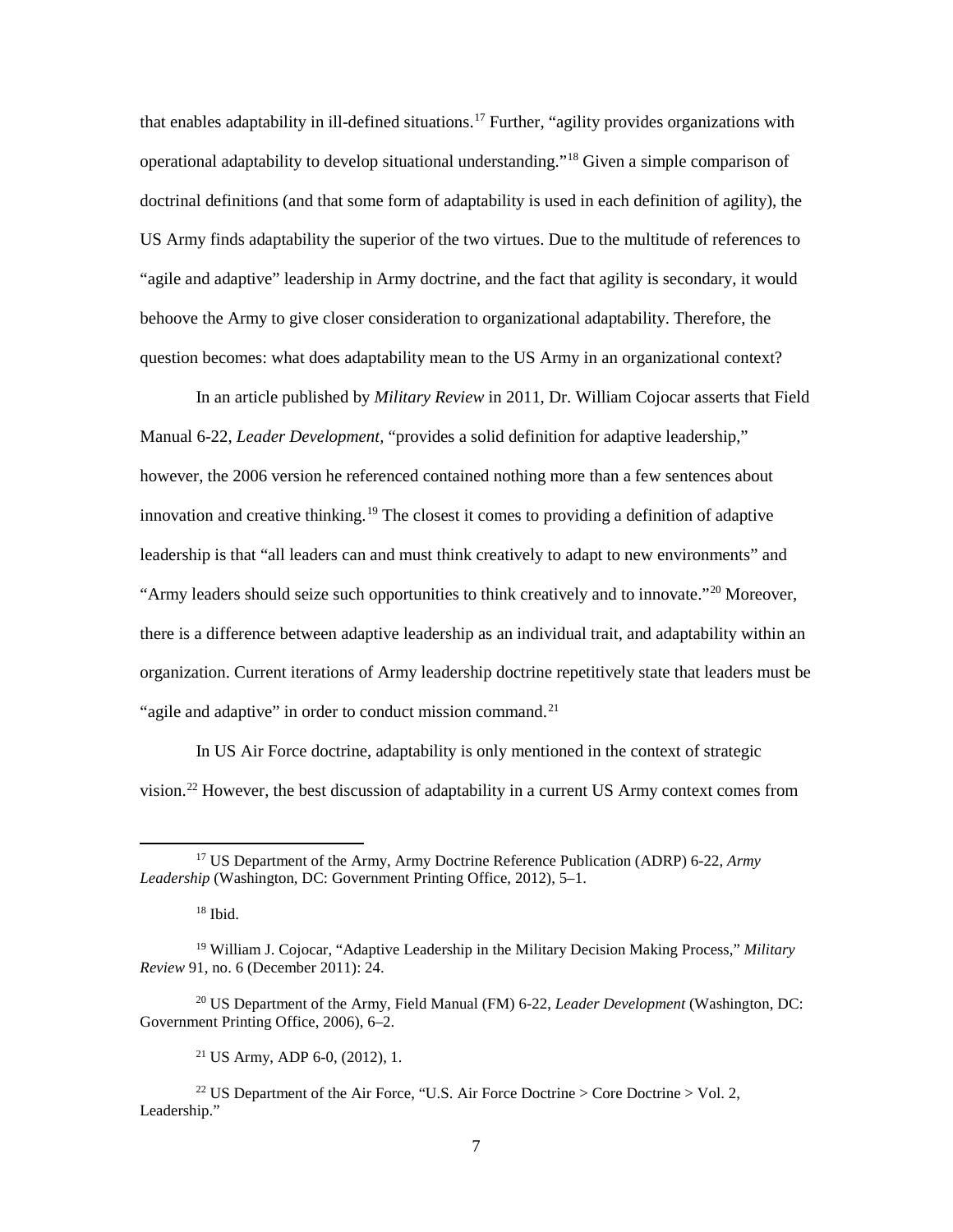that enables adaptability in ill-defined situations.<sup>17</sup> Further, "agility provides organizations with operational adaptability to develop situational understanding."[18](#page-14-1) Given a simple comparison of doctrinal definitions (and that some form of adaptability is used in each definition of agility), the US Army finds adaptability the superior of the two virtues. Due to the multitude of references to "agile and adaptive" leadership in Army doctrine, and the fact that agility is secondary, it would behoove the Army to give closer consideration to organizational adaptability. Therefore, the question becomes: what does adaptability mean to the US Army in an organizational context?

In an article published by *Military Review* in 2011, Dr. William Cojocar asserts that Field Manual 6-22, *Leader Development,* "provides a solid definition for adaptive leadership," however, the 2006 version he referenced contained nothing more than a few sentences about innovation and creative thinking.<sup>[19](#page-14-2)</sup> The closest it comes to providing a definition of adaptive leadership is that "all leaders can and must think creatively to adapt to new environments" and "Army leaders should seize such opportunities to think creatively and to innovate."[20](#page-14-3) Moreover, there is a difference between adaptive leadership as an individual trait, and adaptability within an organization. Current iterations of Army leadership doctrine repetitively state that leaders must be "agile and adaptive" in order to conduct mission command.<sup>[21](#page-14-4)</sup>

In US Air Force doctrine, adaptability is only mentioned in the context of strategic vision.[22](#page-14-5) However, the best discussion of adaptability in a current US Army context comes from

<span id="page-14-0"></span> <sup>17</sup> US Department of the Army, Army Doctrine Reference Publication (ADRP) 6-22, *Army Leadership* (Washington, DC: Government Printing Office, 2012), 5–1.

 $18$  Ibid.

<span id="page-14-2"></span><span id="page-14-1"></span><sup>19</sup> William J. Cojocar, "Adaptive Leadership in the Military Decision Making Process," *Military Review* 91, no. 6 (December 2011): 24.

<span id="page-14-3"></span><sup>20</sup> US Department of the Army, Field Manual (FM) 6-22, *Leader Development* (Washington, DC: Government Printing Office, 2006), 6–2.

<sup>21</sup> US Army, ADP 6-0, (2012), 1.

<span id="page-14-5"></span><span id="page-14-4"></span><sup>&</sup>lt;sup>22</sup> US Department of the Air Force, "U.S. Air Force Doctrine > Core Doctrine > Vol. 2, Leadership."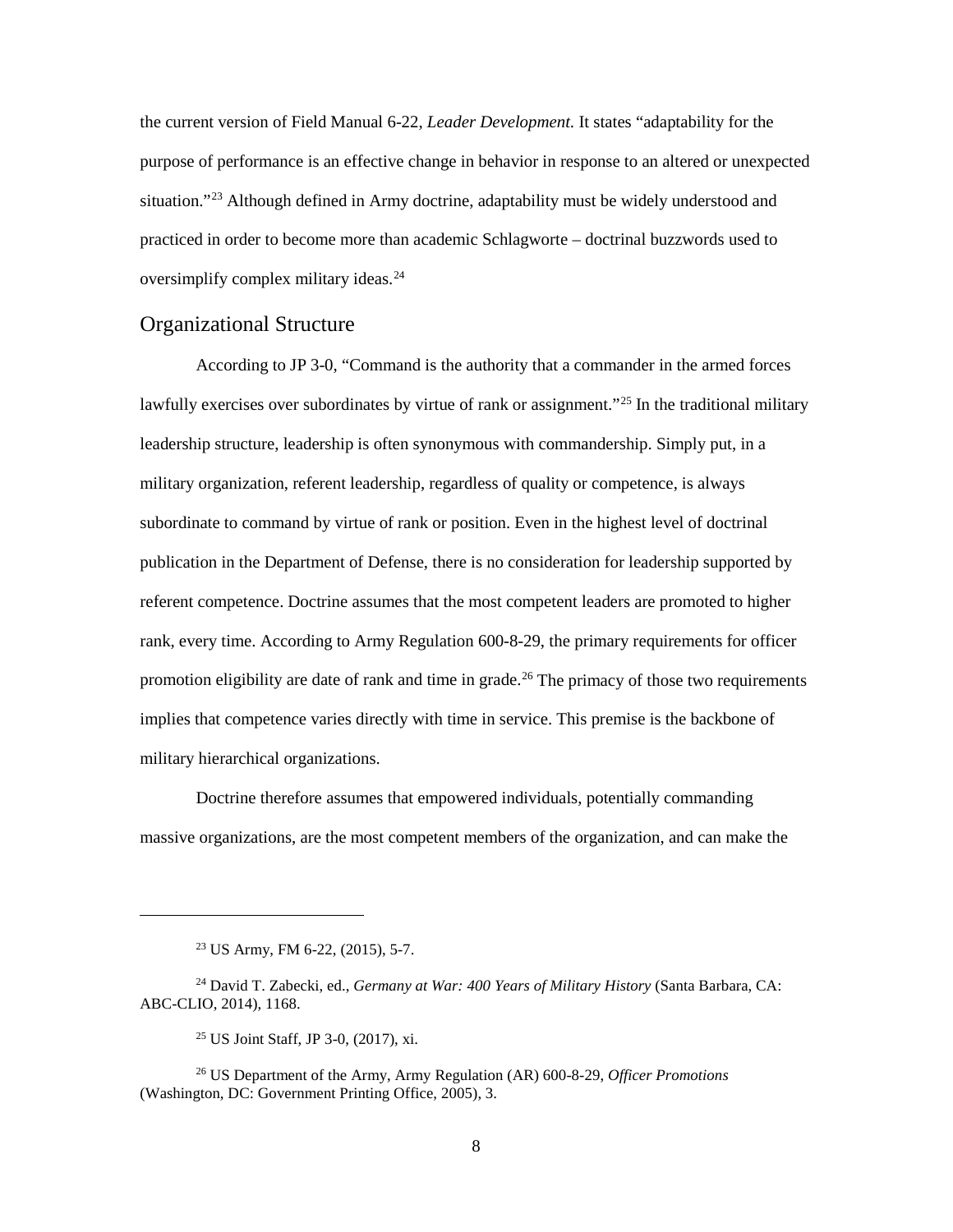the current version of Field Manual 6-22, *Leader Development.* It states "adaptability for the purpose of performance is an effective change in behavior in response to an altered or unexpected situation."<sup>[23](#page-15-1)</sup> Although defined in Army doctrine, adaptability must be widely understood and practiced in order to become more than academic Schlagworte – doctrinal buzzwords used to oversimplify complex military ideas.<sup>[24](#page-15-2)</sup>

# <span id="page-15-0"></span>Organizational Structure

According to JP 3-0, "Command is the authority that a commander in the armed forces lawfully exercises over subordinates by virtue of rank or assignment."<sup>[25](#page-15-3)</sup> In the traditional military leadership structure, leadership is often synonymous with commandership. Simply put, in a military organization, referent leadership, regardless of quality or competence, is always subordinate to command by virtue of rank or position. Even in the highest level of doctrinal publication in the Department of Defense, there is no consideration for leadership supported by referent competence. Doctrine assumes that the most competent leaders are promoted to higher rank, every time. According to Army Regulation 600-8-29, the primary requirements for officer promotion eligibility are date of rank and time in grade.<sup>[26](#page-15-4)</sup> The primacy of those two requirements implies that competence varies directly with time in service. This premise is the backbone of military hierarchical organizations.

Doctrine therefore assumes that empowered individuals, potentially commanding massive organizations, are the most competent members of the organization, and can make the

 $\overline{a}$ 

<sup>23</sup> US Army, FM 6-22, (2015), 5-7.

<span id="page-15-2"></span><span id="page-15-1"></span><sup>24</sup> David T. Zabecki, ed., *Germany at War: 400 Years of Military History* (Santa Barbara, CA: ABC-CLIO, 2014), 1168.

<sup>25</sup> US Joint Staff, JP 3-0, (2017), xi.

<span id="page-15-4"></span><span id="page-15-3"></span><sup>26</sup> US Department of the Army, Army Regulation (AR) 600-8-29, *Officer Promotions* (Washington, DC: Government Printing Office, 2005), 3.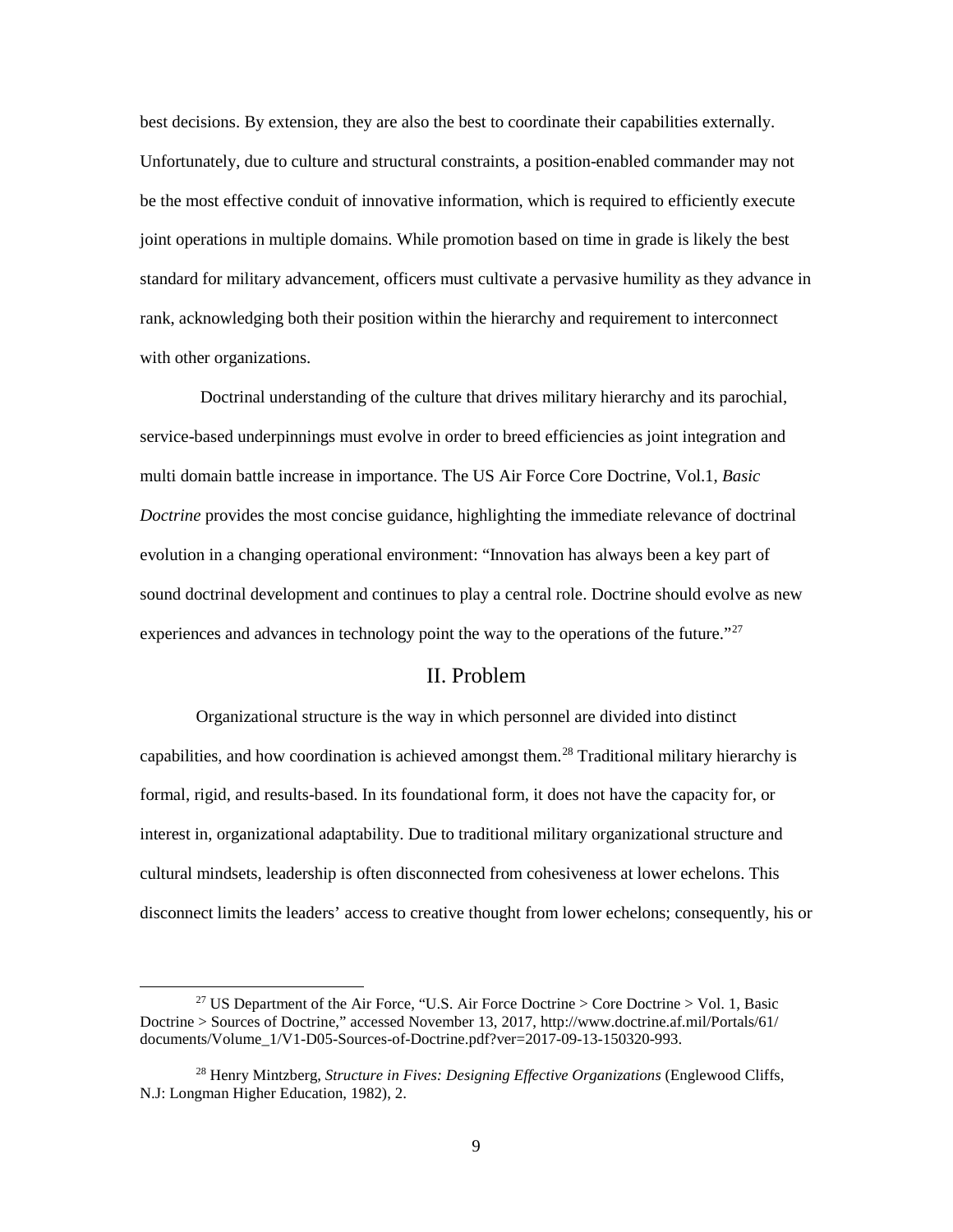best decisions. By extension, they are also the best to coordinate their capabilities externally. Unfortunately, due to culture and structural constraints, a position-enabled commander may not be the most effective conduit of innovative information, which is required to efficiently execute joint operations in multiple domains. While promotion based on time in grade is likely the best standard for military advancement, officers must cultivate a pervasive humility as they advance in rank, acknowledging both their position within the hierarchy and requirement to interconnect with other organizations.

Doctrinal understanding of the culture that drives military hierarchy and its parochial, service-based underpinnings must evolve in order to breed efficiencies as joint integration and multi domain battle increase in importance. The US Air Force Core Doctrine, Vol.1, *Basic Doctrine* provides the most concise guidance, highlighting the immediate relevance of doctrinal evolution in a changing operational environment: "Innovation has always been a key part of sound doctrinal development and continues to play a central role. Doctrine should evolve as new experiences and advances in technology point the way to the operations of the future."<sup>[27](#page-16-1)</sup>

## II. Problem

<span id="page-16-0"></span>Organizational structure is the way in which personnel are divided into distinct capabilities, and how coordination is achieved amongst them.<sup>[28](#page-16-2)</sup> Traditional military hierarchy is formal, rigid, and results-based. In its foundational form, it does not have the capacity for, or interest in, organizational adaptability. Due to traditional military organizational structure and cultural mindsets, leadership is often disconnected from cohesiveness at lower echelons. This disconnect limits the leaders' access to creative thought from lower echelons; consequently, his or

<span id="page-16-1"></span><sup>&</sup>lt;sup>27</sup> US Department of the Air Force, "U.S. Air Force Doctrine > Core Doctrine > Vol. 1, Basic Doctrine > Sources of Doctrine," accessed November 13, 2017, http://www.doctrine.af.mil/Portals/61/ documents/Volume\_1/V1-D05-Sources-of-Doctrine.pdf?ver=2017-09-13-150320-993.

<span id="page-16-2"></span><sup>28</sup> Henry Mintzberg, *Structure in Fives: Designing Effective Organizations* (Englewood Cliffs, N.J: Longman Higher Education, 1982), 2.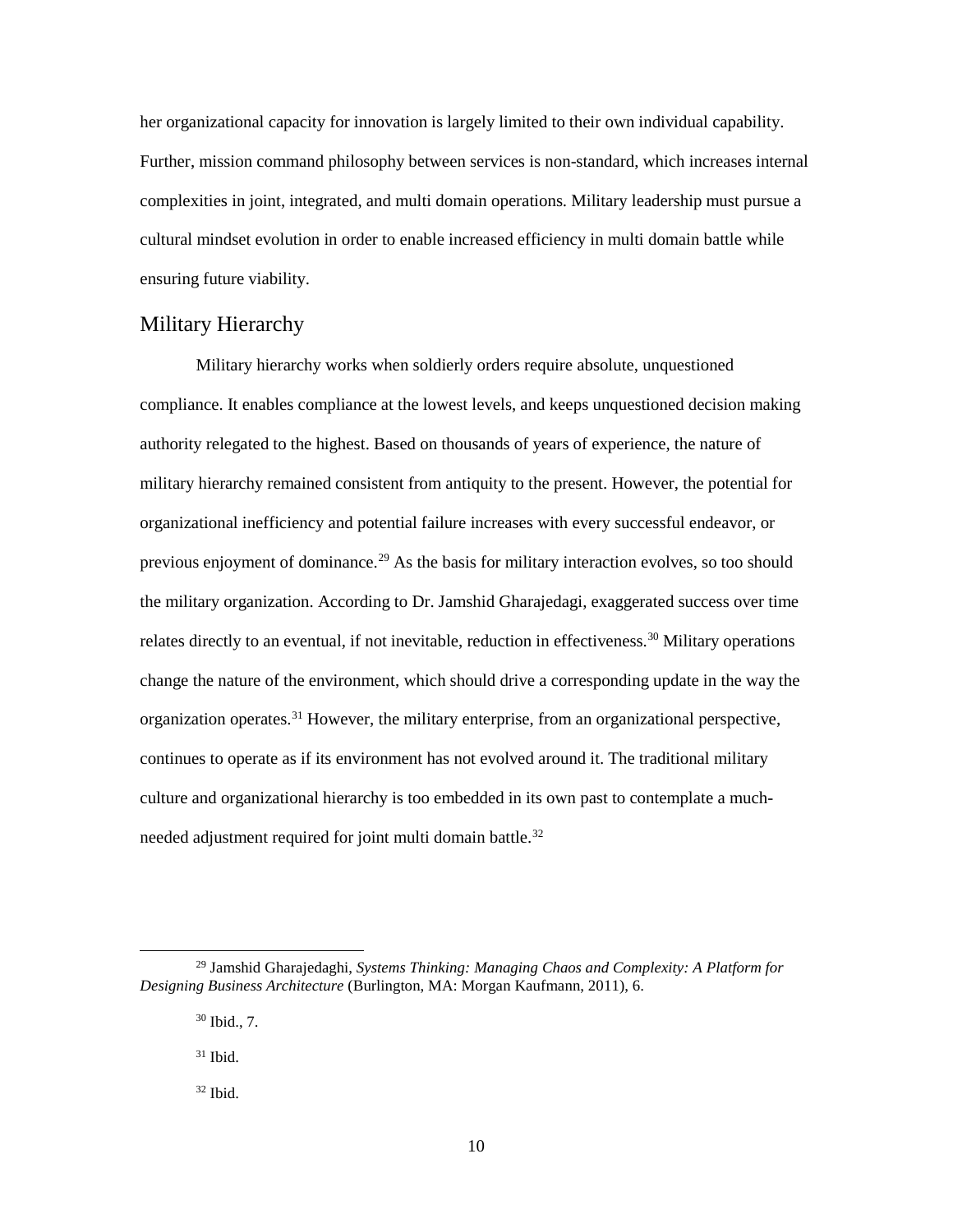her organizational capacity for innovation is largely limited to their own individual capability. Further, mission command philosophy between services is non-standard, which increases internal complexities in joint, integrated, and multi domain operations. Military leadership must pursue a cultural mindset evolution in order to enable increased efficiency in multi domain battle while ensuring future viability.

# <span id="page-17-0"></span>Military Hierarchy

Military hierarchy works when soldierly orders require absolute, unquestioned compliance. It enables compliance at the lowest levels, and keeps unquestioned decision making authority relegated to the highest. Based on thousands of years of experience, the nature of military hierarchy remained consistent from antiquity to the present. However, the potential for organizational inefficiency and potential failure increases with every successful endeavor, or previous enjoyment of dominance.[29](#page-17-1) As the basis for military interaction evolves, so too should the military organization. According to Dr. Jamshid Gharajedagi, exaggerated success over time relates directly to an eventual, if not inevitable, reduction in effectiveness.<sup>30</sup> Military operations change the nature of the environment, which should drive a corresponding update in the way the organization operates.[31](#page-17-3) However, the military enterprise, from an organizational perspective, continues to operate as if its environment has not evolved around it. The traditional military culture and organizational hierarchy is too embedded in its own past to contemplate a much-needed adjustment required for joint multi domain battle.<sup>[32](#page-17-4)</sup>

<span id="page-17-4"></span><span id="page-17-3"></span><span id="page-17-2"></span><span id="page-17-1"></span> <sup>29</sup> Jamshid Gharajedaghi, *Systems Thinking: Managing Chaos and Complexity: A Platform for Designing Business Architecture* (Burlington, MA: Morgan Kaufmann, 2011), 6.

<sup>30</sup> Ibid., 7.

 $31$  Ibid.

 $32$  Ibid.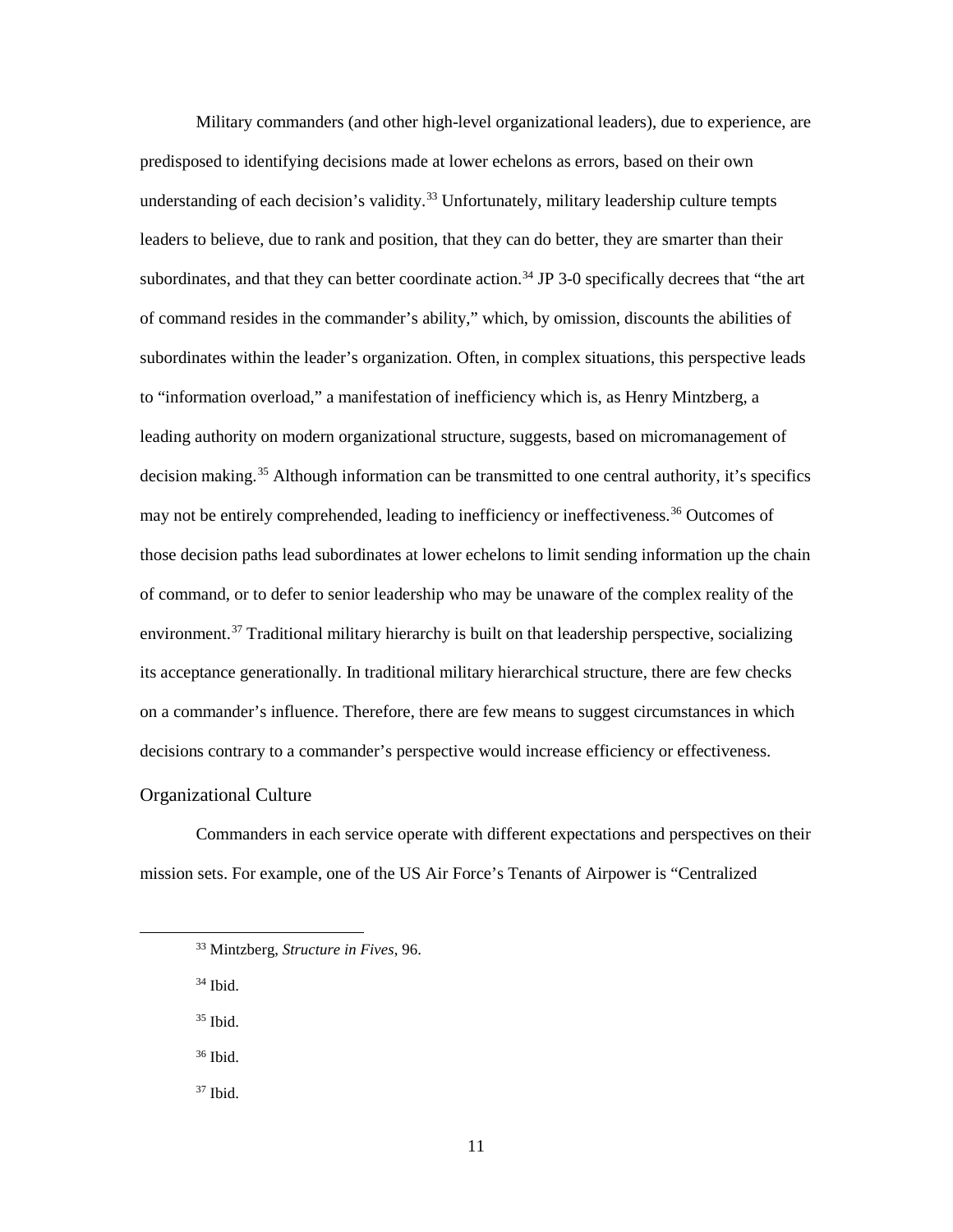Military commanders (and other high-level organizational leaders), due to experience, are predisposed to identifying decisions made at lower echelons as errors, based on their own understanding of each decision's validity.<sup>[33](#page-18-1)</sup> Unfortunately, military leadership culture tempts leaders to believe, due to rank and position, that they can do better, they are smarter than their subordinates, and that they can better coordinate action.<sup>[34](#page-18-2)</sup> JP 3-0 specifically decrees that "the art of command resides in the commander's ability," which, by omission, discounts the abilities of subordinates within the leader's organization. Often, in complex situations, this perspective leads to "information overload," a manifestation of inefficiency which is, as Henry Mintzberg, a leading authority on modern organizational structure, suggests, based on micromanagement of decision making.<sup>35</sup> Although information can be transmitted to one central authority, it's specifics may not be entirely comprehended, leading to inefficiency or ineffectiveness.<sup>[36](#page-18-4)</sup> Outcomes of those decision paths lead subordinates at lower echelons to limit sending information up the chain of command, or to defer to senior leadership who may be unaware of the complex reality of the environment.<sup>[37](#page-18-5)</sup> Traditional military hierarchy is built on that leadership perspective, socializing its acceptance generationally. In traditional military hierarchical structure, there are few checks on a commander's influence. Therefore, there are few means to suggest circumstances in which decisions contrary to a commander's perspective would increase efficiency or effectiveness.

### <span id="page-18-0"></span>Organizational Culture

<span id="page-18-1"></span>Commanders in each service operate with different expectations and perspectives on their mission sets. For example, one of the US Air Force's Tenants of Airpower is "Centralized

<span id="page-18-2"></span> $34$  Ibid.

<span id="page-18-3"></span><sup>35</sup> Ibid.

<span id="page-18-4"></span><sup>36</sup> Ibid.

<span id="page-18-5"></span><sup>37</sup> Ibid.

 <sup>33</sup> Mintzberg, *Structure in Fives*, 96.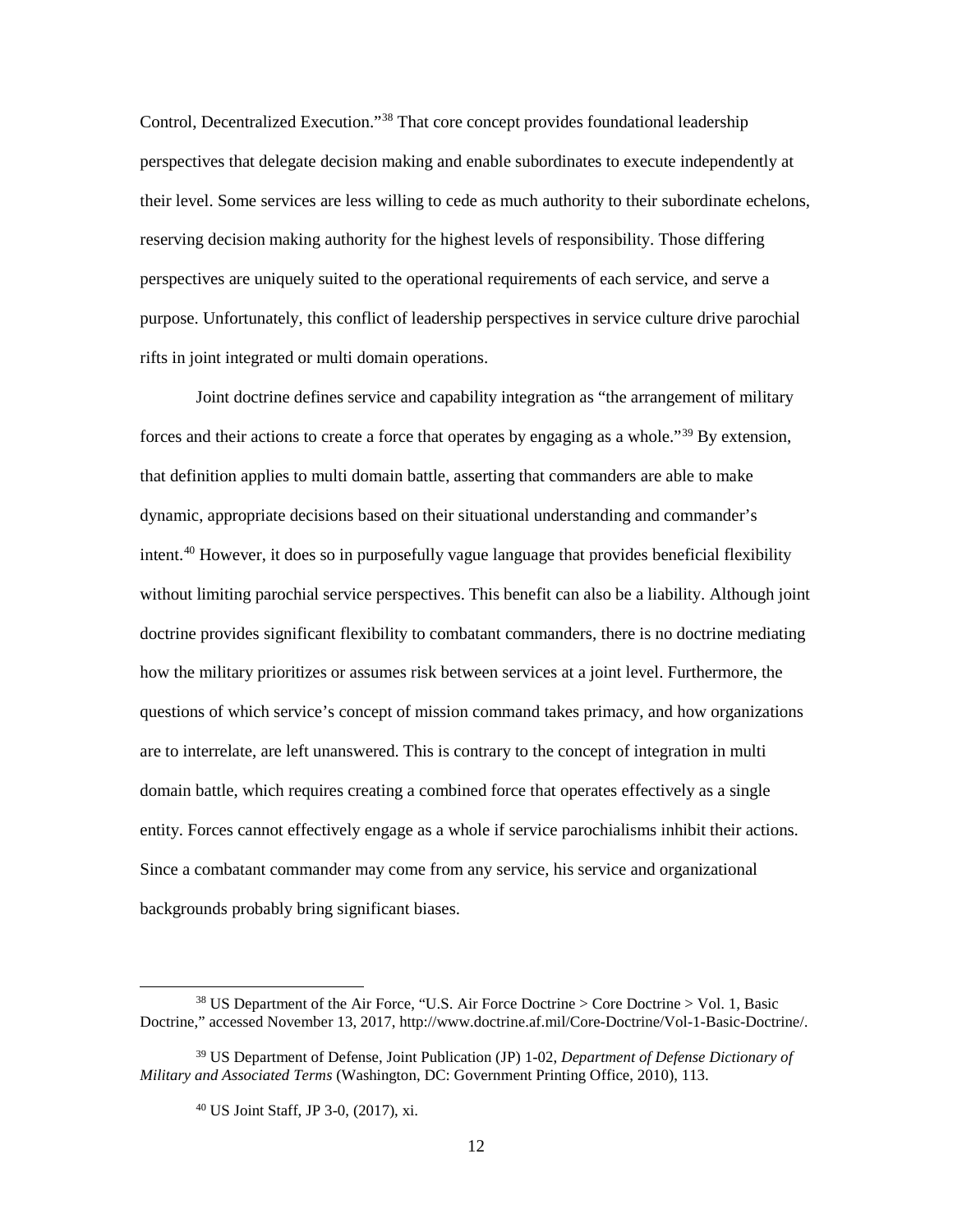Control, Decentralized Execution."<sup>38</sup> That core concept provides foundational leadership perspectives that delegate decision making and enable subordinates to execute independently at their level. Some services are less willing to cede as much authority to their subordinate echelons, reserving decision making authority for the highest levels of responsibility. Those differing perspectives are uniquely suited to the operational requirements of each service, and serve a purpose. Unfortunately, this conflict of leadership perspectives in service culture drive parochial rifts in joint integrated or multi domain operations.

Joint doctrine defines service and capability integration as "the arrangement of military forces and their actions to create a force that operates by engaging as a whole."<sup>[39](#page-19-1)</sup> By extension, that definition applies to multi domain battle, asserting that commanders are able to make dynamic, appropriate decisions based on their situational understanding and commander's intent.[40](#page-19-2) However, it does so in purposefully vague language that provides beneficial flexibility without limiting parochial service perspectives. This benefit can also be a liability. Although joint doctrine provides significant flexibility to combatant commanders, there is no doctrine mediating how the military prioritizes or assumes risk between services at a joint level. Furthermore, the questions of which service's concept of mission command takes primacy, and how organizations are to interrelate, are left unanswered. This is contrary to the concept of integration in multi domain battle, which requires creating a combined force that operates effectively as a single entity. Forces cannot effectively engage as a whole if service parochialisms inhibit their actions. Since a combatant commander may come from any service, his service and organizational backgrounds probably bring significant biases.

<span id="page-19-0"></span> <sup>38</sup> US Department of the Air Force, "U.S. Air Force Doctrine > Core Doctrine > Vol. 1, Basic Doctrine," accessed November 13, 2017, http://www.doctrine.af.mil/Core-Doctrine/Vol-1-Basic-Doctrine/.

<span id="page-19-2"></span><span id="page-19-1"></span><sup>39</sup> US Department of Defense, Joint Publication (JP) 1-02, *Department of Defense Dictionary of Military and Associated Terms* (Washington, DC: Government Printing Office, 2010), 113.

<sup>40</sup> US Joint Staff, JP 3-0, (2017), xi.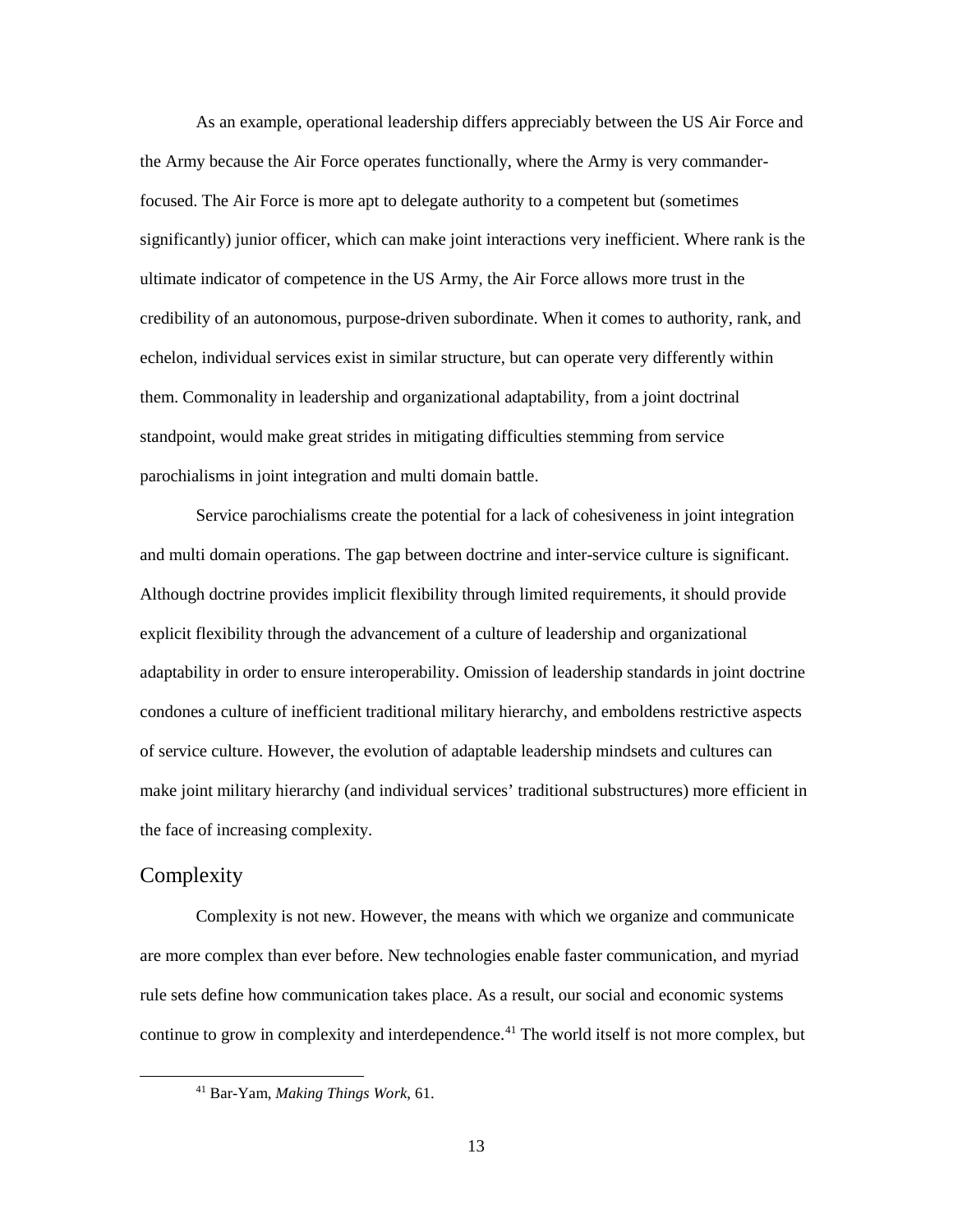As an example, operational leadership differs appreciably between the US Air Force and the Army because the Air Force operates functionally, where the Army is very commanderfocused. The Air Force is more apt to delegate authority to a competent but (sometimes significantly) junior officer, which can make joint interactions very inefficient. Where rank is the ultimate indicator of competence in the US Army, the Air Force allows more trust in the credibility of an autonomous, purpose-driven subordinate. When it comes to authority, rank, and echelon, individual services exist in similar structure, but can operate very differently within them. Commonality in leadership and organizational adaptability, from a joint doctrinal standpoint, would make great strides in mitigating difficulties stemming from service parochialisms in joint integration and multi domain battle.

Service parochialisms create the potential for a lack of cohesiveness in joint integration and multi domain operations. The gap between doctrine and inter-service culture is significant. Although doctrine provides implicit flexibility through limited requirements, it should provide explicit flexibility through the advancement of a culture of leadership and organizational adaptability in order to ensure interoperability. Omission of leadership standards in joint doctrine condones a culture of inefficient traditional military hierarchy, and emboldens restrictive aspects of service culture. However, the evolution of adaptable leadership mindsets and cultures can make joint military hierarchy (and individual services' traditional substructures) more efficient in the face of increasing complexity.

# <span id="page-20-0"></span>**Complexity**

Complexity is not new. However, the means with which we organize and communicate are more complex than ever before. New technologies enable faster communication, and myriad rule sets define how communication takes place. As a result, our social and economic systems continue to grow in complexity and interdependence.<sup>41</sup> The world itself is not more complex, but

<span id="page-20-1"></span> <sup>41</sup> Bar-Yam, *Making Things Work*, 61.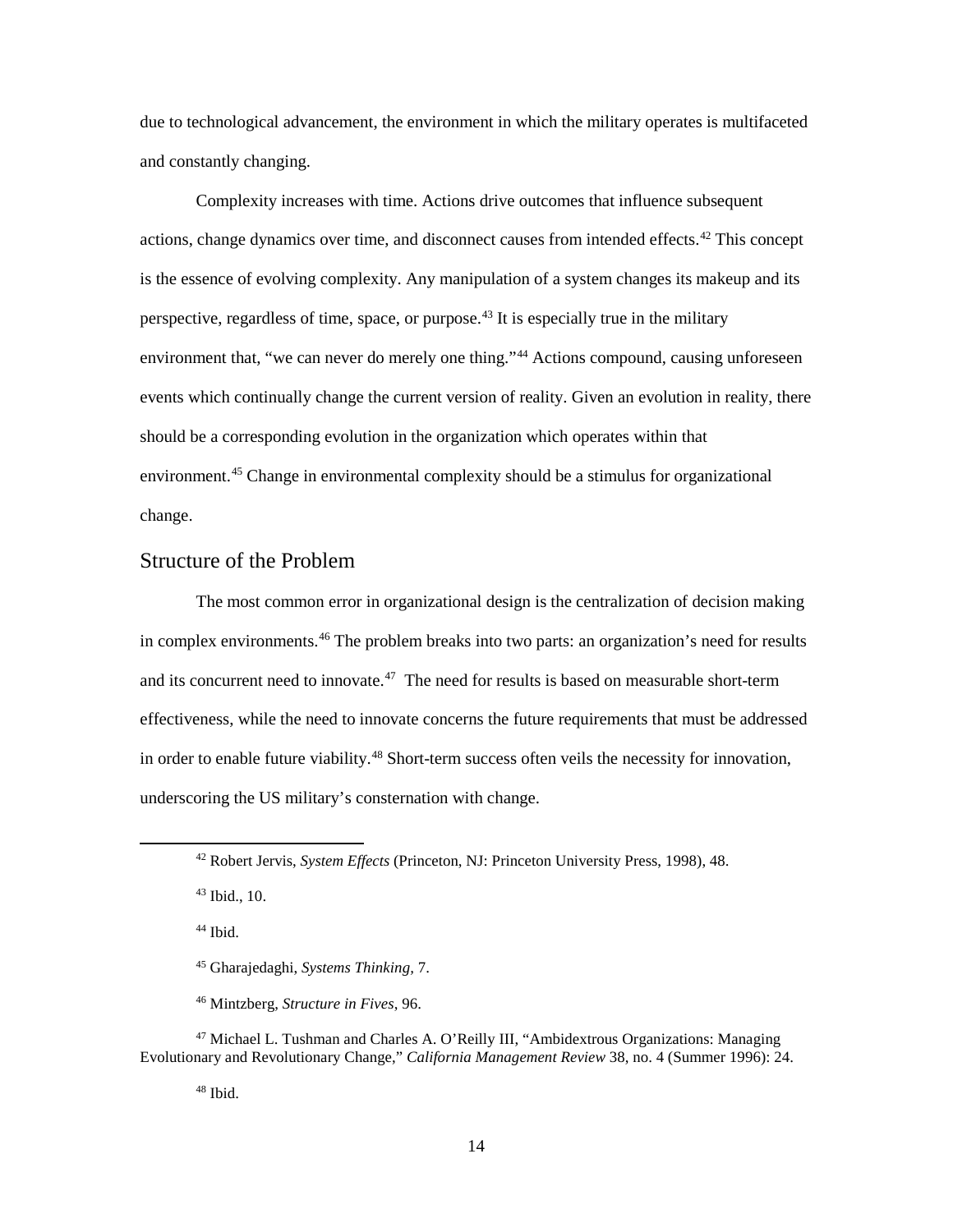due to technological advancement, the environment in which the military operates is multifaceted and constantly changing.

Complexity increases with time. Actions drive outcomes that influence subsequent actions, change dynamics over time, and disconnect causes from intended effects.<sup>[42](#page-21-1)</sup> This concept is the essence of evolving complexity. Any manipulation of a system changes its makeup and its perspective, regardless of time, space, or purpose. [43](#page-21-2) It is especially true in the military environment that, "we can never do merely one thing."<sup>[44](#page-21-3)</sup> Actions compound, causing unforeseen events which continually change the current version of reality. Given an evolution in reality, there should be a corresponding evolution in the organization which operates within that environment.<sup>45</sup> Change in environmental complexity should be a stimulus for organizational change.

# <span id="page-21-0"></span>Structure of the Problem

The most common error in organizational design is the centralization of decision making in complex environments.<sup>[46](#page-21-5)</sup> The problem breaks into two parts: an organization's need for results and its concurrent need to innovate. $47$  The need for results is based on measurable short-term effectiveness, while the need to innovate concerns the future requirements that must be addressed in order to enable future viability.<sup>[48](#page-21-7)</sup> Short-term success often veils the necessity for innovation, underscoring the US military's consternation with change.

<span id="page-21-2"></span><sup>43</sup> Ibid., 10.

 $44$  Ibid.

<span id="page-21-7"></span><span id="page-21-6"></span><span id="page-21-5"></span><span id="page-21-4"></span><span id="page-21-3"></span><sup>47</sup> Michael L. Tushman and Charles A. O'Reilly III, "Ambidextrous Organizations: Managing Evolutionary and Revolutionary Change," *California Management Review* 38, no. 4 (Summer 1996): 24.

 $48$  Ibid.

<span id="page-21-1"></span> <sup>42</sup> Robert Jervis, *System Effects* (Princeton, NJ: Princeton University Press, 1998), 48.

<sup>45</sup> Gharajedaghi, *Systems Thinking,* 7.

<sup>46</sup> Mintzberg, *Structure in Fives*, 96.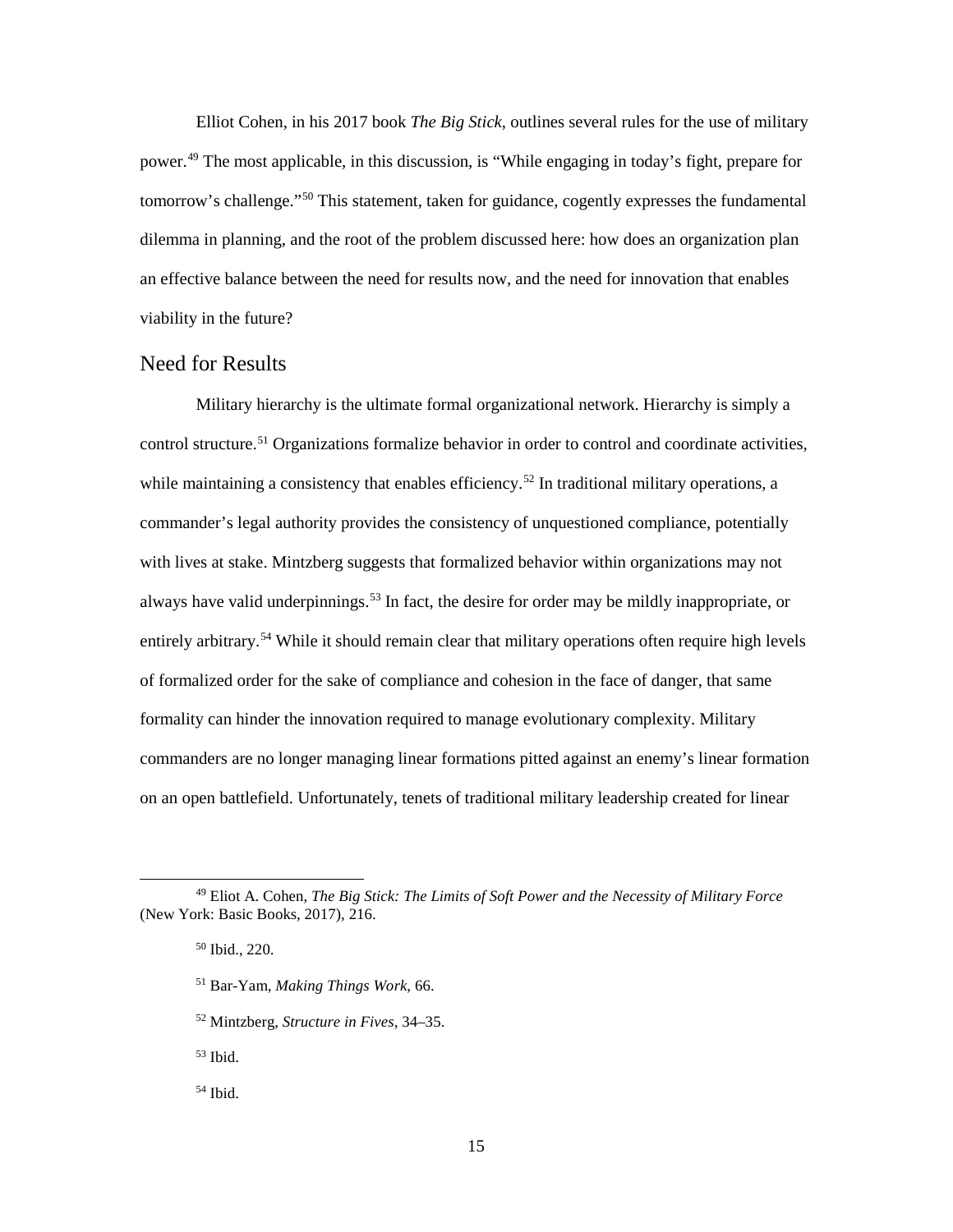Elliot Cohen, in his 2017 book *The Big Stick*, outlines several rules for the use of military power.[49](#page-22-1) The most applicable, in this discussion, is "While engaging in today's fight, prepare for tomorrow's challenge."[50](#page-22-2) This statement, taken for guidance, cogently expresses the fundamental dilemma in planning, and the root of the problem discussed here: how does an organization plan an effective balance between the need for results now, and the need for innovation that enables viability in the future?

## <span id="page-22-0"></span>Need for Results

Military hierarchy is the ultimate formal organizational network. Hierarchy is simply a control structure.<sup>[51](#page-22-3)</sup> Organizations formalize behavior in order to control and coordinate activities, while maintaining a consistency that enables efficiency.<sup>52</sup> In traditional military operations, a commander's legal authority provides the consistency of unquestioned compliance, potentially with lives at stake. Mintzberg suggests that formalized behavior within organizations may not always have valid underpinnings.<sup>53</sup> In fact, the desire for order may be mildly inappropriate, or entirely arbitrary.<sup>[54](#page-22-6)</sup> While it should remain clear that military operations often require high levels of formalized order for the sake of compliance and cohesion in the face of danger, that same formality can hinder the innovation required to manage evolutionary complexity. Military commanders are no longer managing linear formations pitted against an enemy's linear formation on an open battlefield. Unfortunately, tenets of traditional military leadership created for linear

- <sup>51</sup> Bar-Yam, *Making Things Work*, 66.
- <sup>52</sup> Mintzberg, *Structure in Fives*, 34–35.

<span id="page-22-5"></span> $53$  Ibid.

<span id="page-22-6"></span> $54$  Ibid.

<span id="page-22-4"></span><span id="page-22-3"></span><span id="page-22-2"></span><span id="page-22-1"></span> <sup>49</sup> Eliot A. Cohen, *The Big Stick: The Limits of Soft Power and the Necessity of Military Force* (New York: Basic Books, 2017), 216.

<sup>50</sup> Ibid., 220.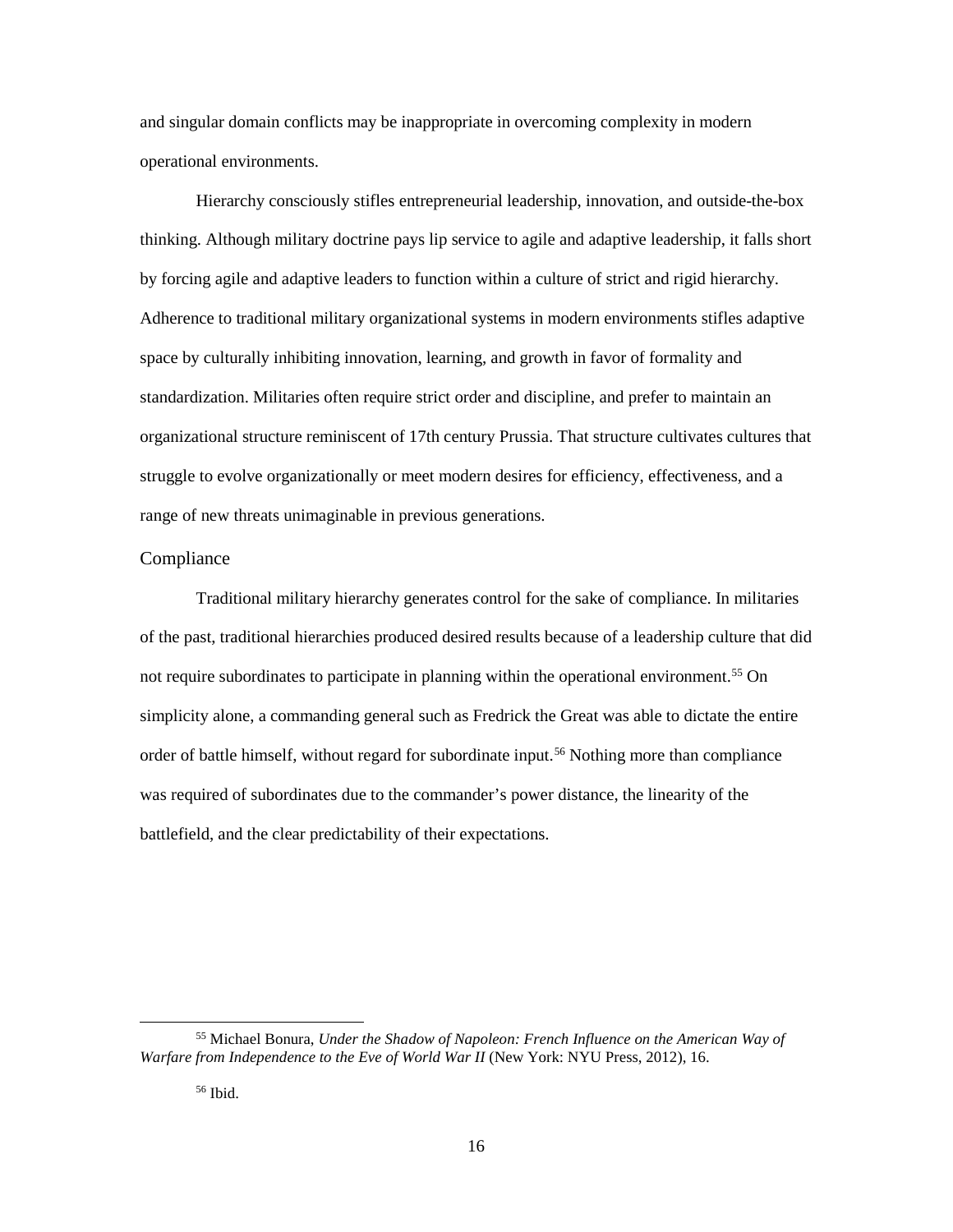and singular domain conflicts may be inappropriate in overcoming complexity in modern operational environments.

Hierarchy consciously stifles entrepreneurial leadership, innovation, and outside-the-box thinking. Although military doctrine pays lip service to agile and adaptive leadership, it falls short by forcing agile and adaptive leaders to function within a culture of strict and rigid hierarchy. Adherence to traditional military organizational systems in modern environments stifles adaptive space by culturally inhibiting innovation, learning, and growth in favor of formality and standardization. Militaries often require strict order and discipline, and prefer to maintain an organizational structure reminiscent of 17th century Prussia. That structure cultivates cultures that struggle to evolve organizationally or meet modern desires for efficiency, effectiveness, and a range of new threats unimaginable in previous generations.

#### <span id="page-23-0"></span>**Compliance**

Traditional military hierarchy generates control for the sake of compliance. In militaries of the past, traditional hierarchies produced desired results because of a leadership culture that did not require subordinates to participate in planning within the operational environment.<sup>[55](#page-23-1)</sup> On simplicity alone, a commanding general such as Fredrick the Great was able to dictate the entire order of battle himself, without regard for subordinate input.<sup>[56](#page-23-2)</sup> Nothing more than compliance was required of subordinates due to the commander's power distance, the linearity of the battlefield, and the clear predictability of their expectations.

<span id="page-23-2"></span><span id="page-23-1"></span> <sup>55</sup> Michael Bonura, *Under the Shadow of Napoleon: French Influence on the American Way of Warfare from Independence to the Eve of World War II* (New York: NYU Press, 2012), 16.

<sup>56</sup> Ibid.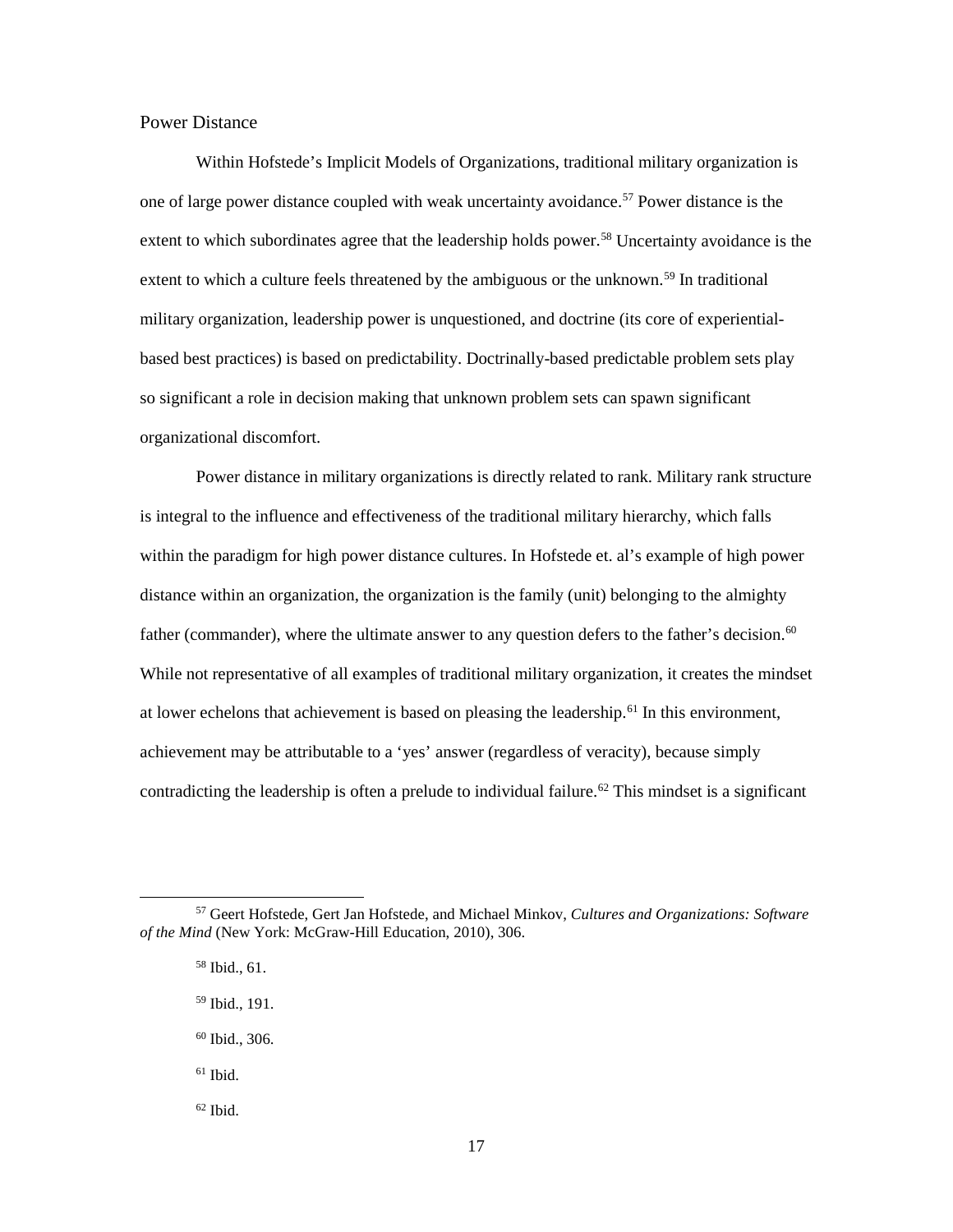#### <span id="page-24-0"></span>Power Distance

Within Hofstede's Implicit Models of Organizations, traditional military organization is one of large power distance coupled with weak uncertainty avoidance.<sup>[57](#page-24-1)</sup> Power distance is the extent to which subordinates agree that the leadership holds power.<sup>[58](#page-24-2)</sup> Uncertainty avoidance is the extent to which a culture feels threatened by the ambiguous or the unknown.<sup>59</sup> In traditional military organization, leadership power is unquestioned, and doctrine (its core of experientialbased best practices) is based on predictability. Doctrinally-based predictable problem sets play so significant a role in decision making that unknown problem sets can spawn significant organizational discomfort.

Power distance in military organizations is directly related to rank. Military rank structure is integral to the influence and effectiveness of the traditional military hierarchy, which falls within the paradigm for high power distance cultures. In Hofstede et. al's example of high power distance within an organization, the organization is the family (unit) belonging to the almighty father (commander), where the ultimate answer to any question defers to the father's decision.<sup>[60](#page-24-4)</sup> While not representative of all examples of traditional military organization, it creates the mindset at lower echelons that achievement is based on pleasing the leadership.<sup>[61](#page-24-5)</sup> In this environment, achievement may be attributable to a 'yes' answer (regardless of veracity), because simply contradicting the leadership is often a prelude to individual failure.<sup>62</sup> This mindset is a significant

<span id="page-24-4"></span><span id="page-24-3"></span><span id="page-24-2"></span><span id="page-24-1"></span> <sup>57</sup> Geert Hofstede, Gert Jan Hofstede, and Michael Minkov, *Cultures and Organizations: Software of the Mind* (New York: McGraw-Hill Education, 2010), 306.

<sup>58</sup> Ibid., 61.

<sup>59</sup> Ibid., 191.

 $60$  Ibid., 306.

<span id="page-24-5"></span> $61$  Ibid.

<span id="page-24-6"></span> $62$  Ibid.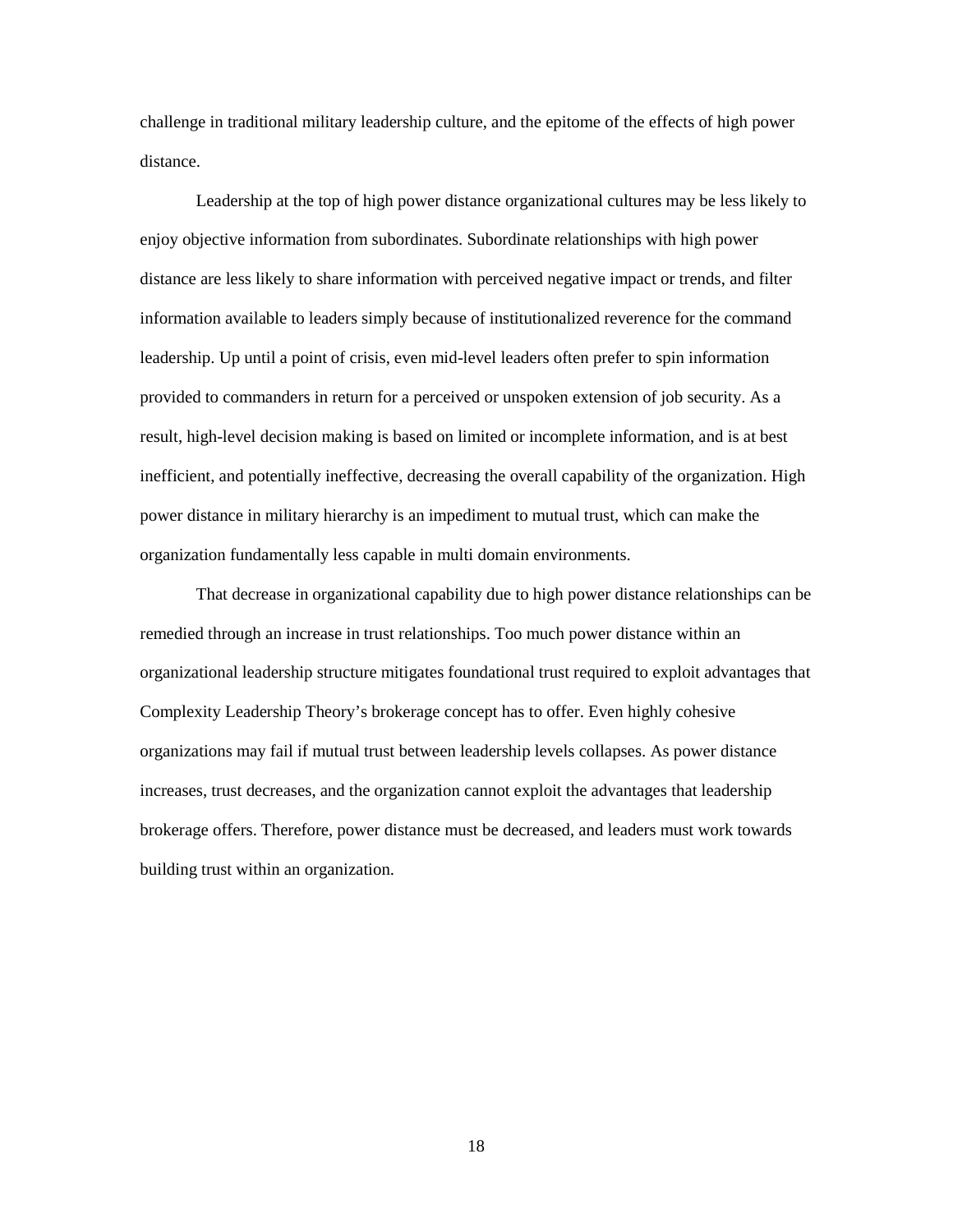challenge in traditional military leadership culture, and the epitome of the effects of high power distance.

Leadership at the top of high power distance organizational cultures may be less likely to enjoy objective information from subordinates. Subordinate relationships with high power distance are less likely to share information with perceived negative impact or trends, and filter information available to leaders simply because of institutionalized reverence for the command leadership. Up until a point of crisis, even mid-level leaders often prefer to spin information provided to commanders in return for a perceived or unspoken extension of job security. As a result, high-level decision making is based on limited or incomplete information, and is at best inefficient, and potentially ineffective, decreasing the overall capability of the organization. High power distance in military hierarchy is an impediment to mutual trust, which can make the organization fundamentally less capable in multi domain environments.

That decrease in organizational capability due to high power distance relationships can be remedied through an increase in trust relationships. Too much power distance within an organizational leadership structure mitigates foundational trust required to exploit advantages that Complexity Leadership Theory's brokerage concept has to offer. Even highly cohesive organizations may fail if mutual trust between leadership levels collapses. As power distance increases, trust decreases, and the organization cannot exploit the advantages that leadership brokerage offers. Therefore, power distance must be decreased, and leaders must work towards building trust within an organization.

18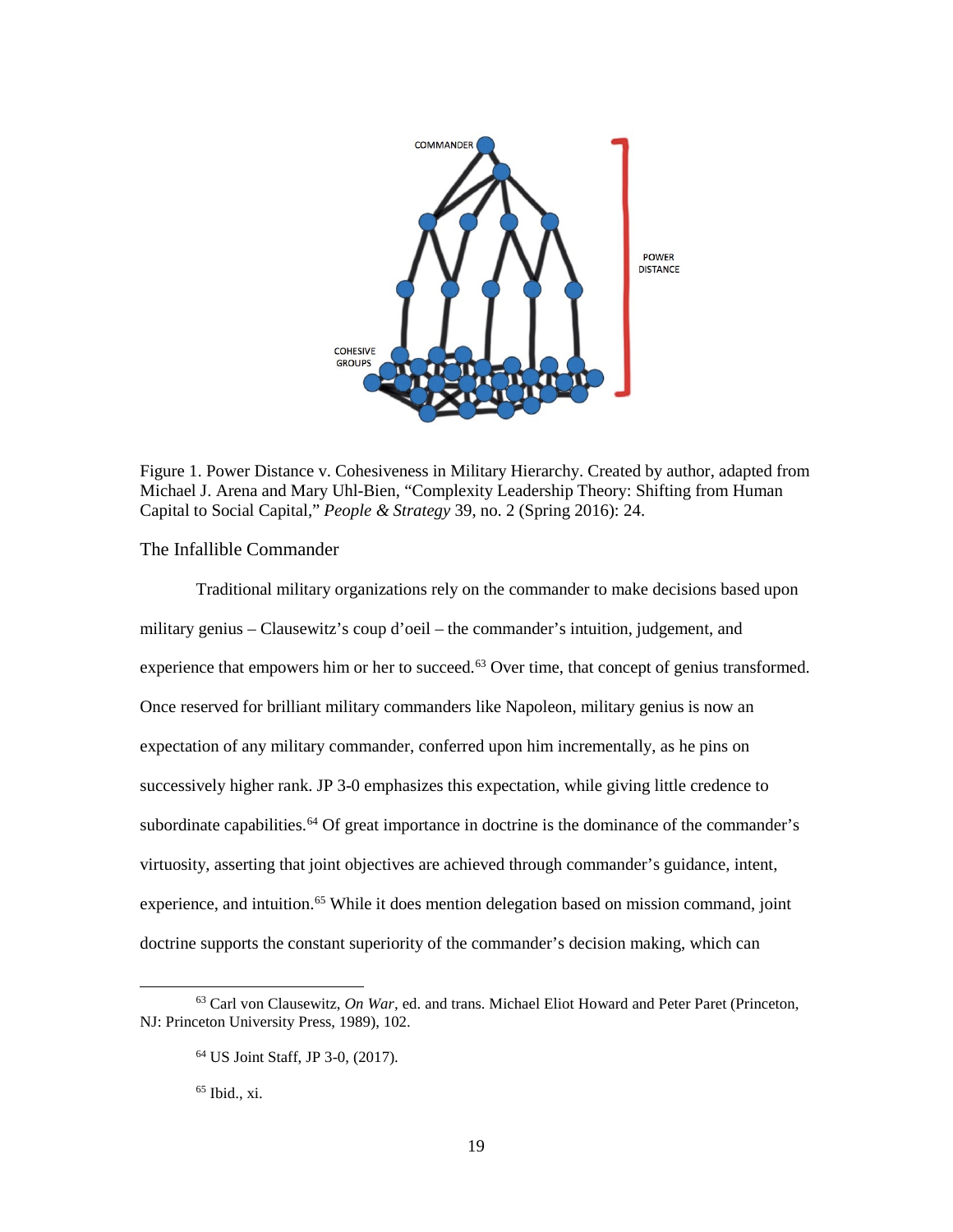

Figure 1. Power Distance v. Cohesiveness in Military Hierarchy. Created by author, adapted from Michael J. Arena and Mary Uhl-Bien, "Complexity Leadership Theory: Shifting from Human Capital to Social Capital," *People & Strategy* 39, no. 2 (Spring 2016): 24.

## <span id="page-26-1"></span><span id="page-26-0"></span>The Infallible Commander

Traditional military organizations rely on the commander to make decisions based upon military genius – Clausewitz's coup d'oeil – the commander's intuition, judgement, and experience that empowers him or her to succeed.<sup>[63](#page-26-2)</sup> Over time, that concept of genius transformed. Once reserved for brilliant military commanders like Napoleon, military genius is now an expectation of any military commander, conferred upon him incrementally, as he pins on successively higher rank. JP 3-0 emphasizes this expectation, while giving little credence to subordinate capabilities.<sup>64</sup> Of great importance in doctrine is the dominance of the commander's virtuosity, asserting that joint objectives are achieved through commander's guidance, intent, experience, and intuition.<sup>[65](#page-26-4)</sup> While it does mention delegation based on mission command, joint doctrine supports the constant superiority of the commander's decision making, which can

 $65$  Ibid., xi.

<span id="page-26-4"></span><span id="page-26-3"></span><span id="page-26-2"></span> <sup>63</sup> Carl von Clausewitz, *On War,* ed. and trans. Michael Eliot Howard and Peter Paret (Princeton, NJ: Princeton University Press, 1989), 102.

<sup>64</sup> US Joint Staff, JP 3-0, (2017).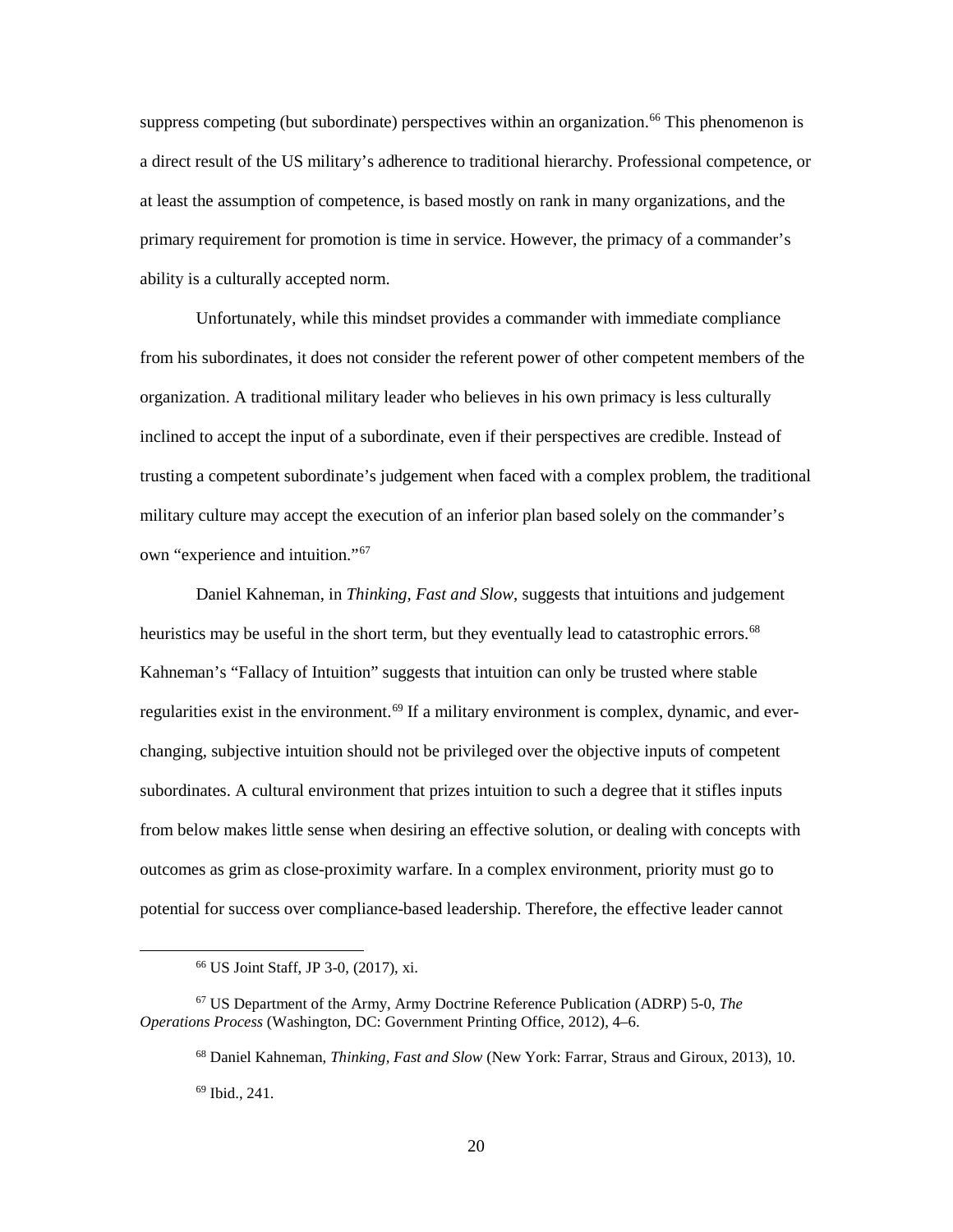suppress competing (but subordinate) perspectives within an organization.<sup>66</sup> This phenomenon is a direct result of the US military's adherence to traditional hierarchy. Professional competence, or at least the assumption of competence, is based mostly on rank in many organizations, and the primary requirement for promotion is time in service. However, the primacy of a commander's ability is a culturally accepted norm.

Unfortunately, while this mindset provides a commander with immediate compliance from his subordinates, it does not consider the referent power of other competent members of the organization. A traditional military leader who believes in his own primacy is less culturally inclined to accept the input of a subordinate, even if their perspectives are credible. Instead of trusting a competent subordinate's judgement when faced with a complex problem, the traditional military culture may accept the execution of an inferior plan based solely on the commander's own "experience and intuition."[67](#page-27-1)

Daniel Kahneman, in *Thinking, Fast and Slow*, suggests that intuitions and judgement heuristics may be useful in the short term, but they eventually lead to catastrophic errors.<sup>[68](#page-27-2)</sup> Kahneman's "Fallacy of Intuition" suggests that intuition can only be trusted where stable regularities exist in the environment.<sup>[69](#page-27-3)</sup> If a military environment is complex, dynamic, and everchanging, subjective intuition should not be privileged over the objective inputs of competent subordinates. A cultural environment that prizes intuition to such a degree that it stifles inputs from below makes little sense when desiring an effective solution, or dealing with concepts with outcomes as grim as close-proximity warfare. In a complex environment, priority must go to potential for success over compliance-based leadership. Therefore, the effective leader cannot

 <sup>66</sup> US Joint Staff, JP 3-0, (2017), xi.

<span id="page-27-3"></span><span id="page-27-2"></span><span id="page-27-1"></span><span id="page-27-0"></span><sup>67</sup> US Department of the Army, Army Doctrine Reference Publication (ADRP) 5-0, *The Operations Process* (Washington, DC: Government Printing Office, 2012), 4–6.

<sup>68</sup> Daniel Kahneman, *Thinking, Fast and Slow* (New York: Farrar, Straus and Giroux, 2013), 10.  $69$  Ibid., 241.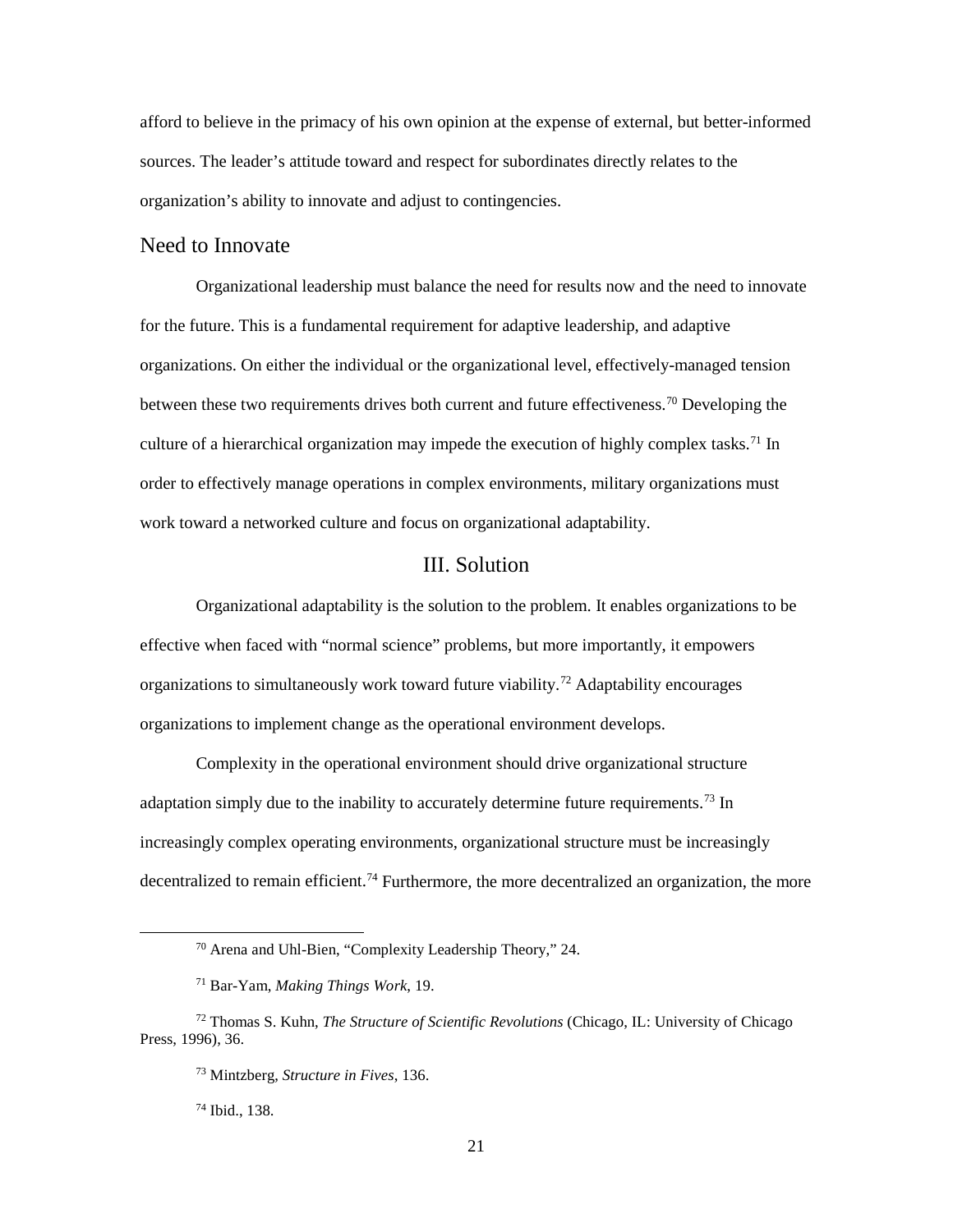afford to believe in the primacy of his own opinion at the expense of external, but better-informed sources. The leader's attitude toward and respect for subordinates directly relates to the organization's ability to innovate and adjust to contingencies.

## <span id="page-28-0"></span>Need to Innovate

Organizational leadership must balance the need for results now and the need to innovate for the future. This is a fundamental requirement for adaptive leadership, and adaptive organizations. On either the individual or the organizational level, effectively-managed tension between these two requirements drives both current and future effectiveness.<sup>70</sup> Developing the culture of a hierarchical organization may impede the execution of highly complex tasks.<sup>71</sup> In order to effectively manage operations in complex environments, military organizations must work toward a networked culture and focus on organizational adaptability.

# III. Solution

<span id="page-28-1"></span>Organizational adaptability is the solution to the problem. It enables organizations to be effective when faced with "normal science" problems, but more importantly, it empowers organizations to simultaneously work toward future viability. [72](#page-28-4) Adaptability encourages organizations to implement change as the operational environment develops.

Complexity in the operational environment should drive organizational structure adaptation simply due to the inability to accurately determine future requirements.<sup>[73](#page-28-5)</sup> In increasingly complex operating environments, organizational structure must be increasingly decentralized to remain efficient.<sup>74</sup> Furthermore, the more decentralized an organization, the more

<sup>74</sup> Ibid., 138.

 <sup>70</sup> Arena and Uhl-Bien, "Complexity Leadership Theory," 24.

<sup>71</sup> Bar-Yam, *Making Things Work*, 19.

<span id="page-28-6"></span><span id="page-28-5"></span><span id="page-28-4"></span><span id="page-28-3"></span><span id="page-28-2"></span><sup>72</sup> Thomas S. Kuhn, *The Structure of Scientific Revolutions* (Chicago, IL: University of Chicago Press, 1996), 36.

<sup>73</sup> Mintzberg, *Structure in Fives*, 136.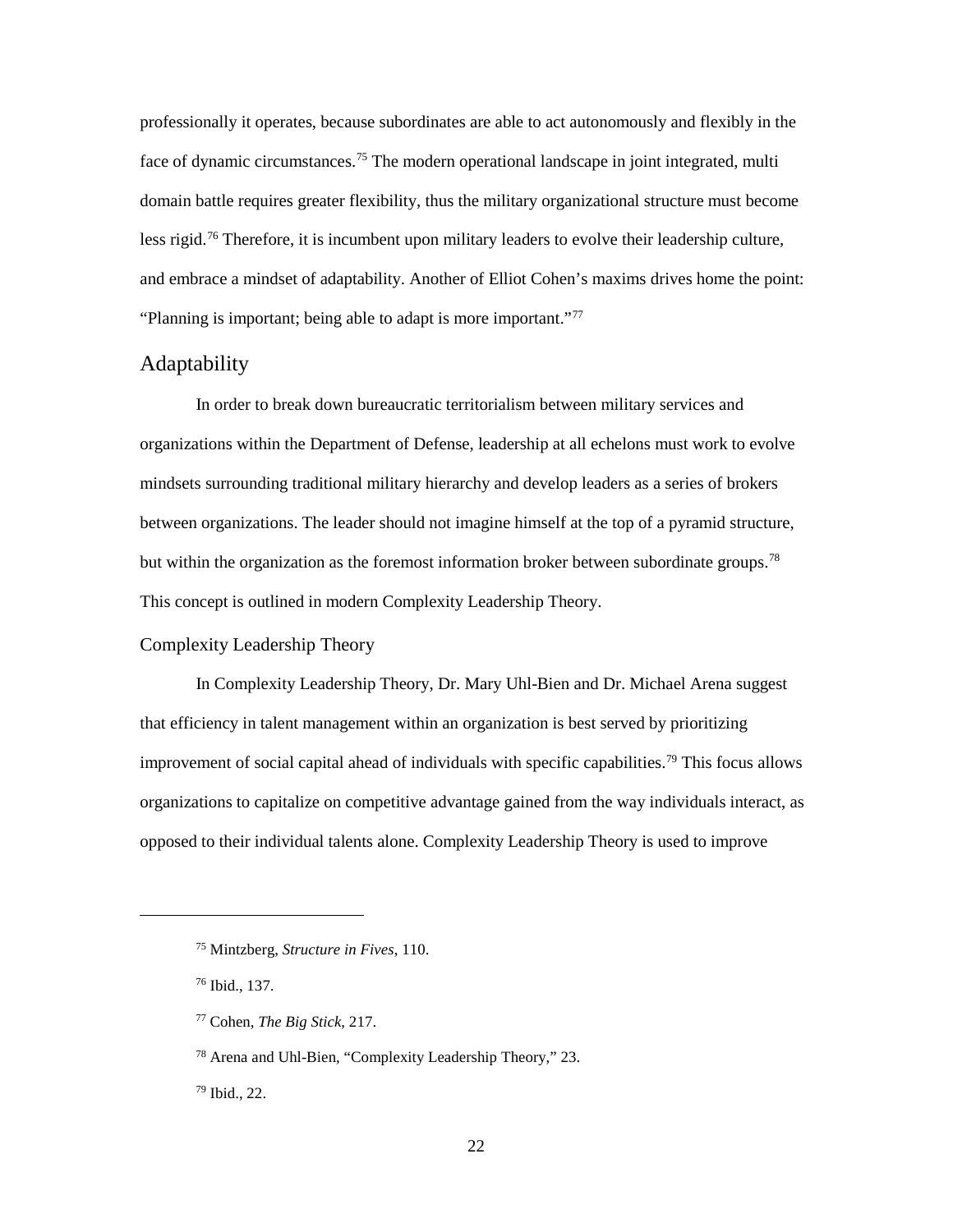professionally it operates, because subordinates are able to act autonomously and flexibly in the face of dynamic circumstances.<sup>[75](#page-29-2)</sup> The modern operational landscape in joint integrated, multi domain battle requires greater flexibility, thus the military organizational structure must become less rigid.<sup>[76](#page-29-3)</sup> Therefore, it is incumbent upon military leaders to evolve their leadership culture, and embrace a mindset of adaptability. Another of Elliot Cohen's maxims drives home the point: "Planning is important; being able to adapt is more important."[77](#page-29-4)

# <span id="page-29-0"></span>Adaptability

In order to break down bureaucratic territorialism between military services and organizations within the Department of Defense, leadership at all echelons must work to evolve mindsets surrounding traditional military hierarchy and develop leaders as a series of brokers between organizations. The leader should not imagine himself at the top of a pyramid structure, but within the organization as the foremost information broker between subordinate groups.<sup>[78](#page-29-5)</sup> This concept is outlined in modern Complexity Leadership Theory.

### <span id="page-29-1"></span>Complexity Leadership Theory

In Complexity Leadership Theory, Dr. Mary Uhl-Bien and Dr. Michael Arena suggest that efficiency in talent management within an organization is best served by prioritizing improvement of social capital ahead of individuals with specific capabilities.<sup>[79](#page-29-6)</sup> This focus allows organizations to capitalize on competitive advantage gained from the way individuals interact, as opposed to their individual talents alone. Complexity Leadership Theory is used to improve

<span id="page-29-4"></span><span id="page-29-3"></span><span id="page-29-2"></span> $\overline{a}$ 

<span id="page-29-6"></span><sup>79</sup> Ibid., 22.

<sup>75</sup> Mintzberg, *Structure in Fives*, 110.

<sup>76</sup> Ibid., 137.

<sup>77</sup> Cohen, *The Big Stick*, 217.

<span id="page-29-5"></span><sup>78</sup> Arena and Uhl-Bien, "Complexity Leadership Theory," 23.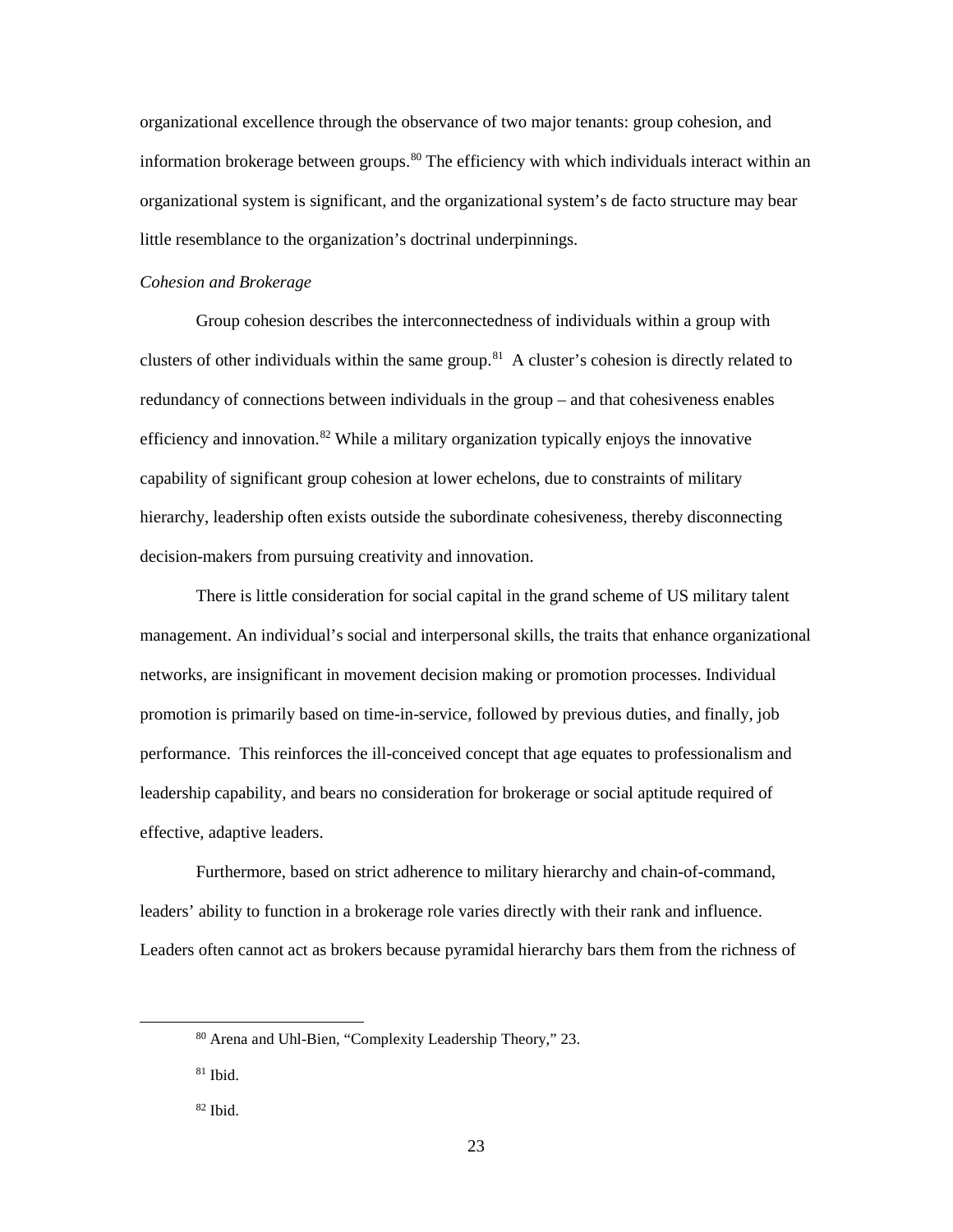organizational excellence through the observance of two major tenants: group cohesion, and information brokerage between groups.<sup>[80](#page-30-0)</sup> The efficiency with which individuals interact within an organizational system is significant, and the organizational system's de facto structure may bear little resemblance to the organization's doctrinal underpinnings.

#### *Cohesion and Brokerage*

 Group cohesion describes the interconnectedness of individuals within a group with clusters of other individuals within the same group.<sup>81</sup> A cluster's cohesion is directly related to redundancy of connections between individuals in the group – and that cohesiveness enables efficiency and innovation.<sup>[82](#page-30-2)</sup> While a military organization typically enjoys the innovative capability of significant group cohesion at lower echelons, due to constraints of military hierarchy, leadership often exists outside the subordinate cohesiveness, thereby disconnecting decision-makers from pursuing creativity and innovation.

There is little consideration for social capital in the grand scheme of US military talent management. An individual's social and interpersonal skills, the traits that enhance organizational networks, are insignificant in movement decision making or promotion processes. Individual promotion is primarily based on time-in-service, followed by previous duties, and finally, job performance. This reinforces the ill-conceived concept that age equates to professionalism and leadership capability, and bears no consideration for brokerage or social aptitude required of effective, adaptive leaders.

Furthermore, based on strict adherence to military hierarchy and chain-of-command, leaders' ability to function in a brokerage role varies directly with their rank and influence. Leaders often cannot act as brokers because pyramidal hierarchy bars them from the richness of

<span id="page-30-0"></span> <sup>80</sup> Arena and Uhl-Bien, "Complexity Leadership Theory," 23.

<span id="page-30-1"></span> $81$  Ibid.

<span id="page-30-2"></span> $82$  Ibid.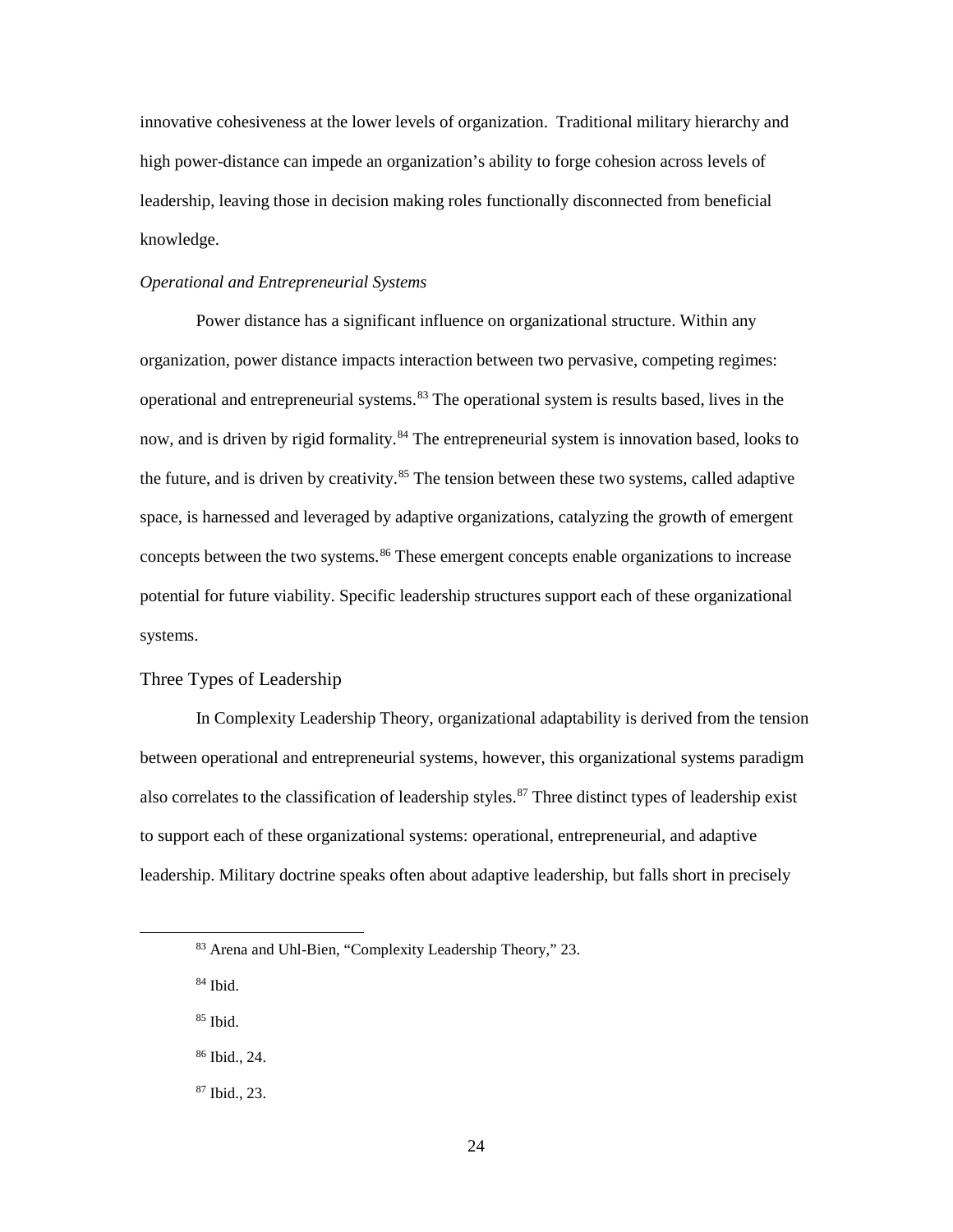innovative cohesiveness at the lower levels of organization. Traditional military hierarchy and high power-distance can impede an organization's ability to forge cohesion across levels of leadership, leaving those in decision making roles functionally disconnected from beneficial knowledge.

#### *Operational and Entrepreneurial Systems*

Power distance has a significant influence on organizational structure. Within any organization, power distance impacts interaction between two pervasive, competing regimes: operational and entrepreneurial systems.<sup>[83](#page-31-1)</sup> The operational system is results based, lives in the now, and is driven by rigid formality.<sup>[84](#page-31-2)</sup> The entrepreneurial system is innovation based, looks to the future, and is driven by creativity.<sup>[85](#page-31-3)</sup> The tension between these two systems, called adaptive space, is harnessed and leveraged by adaptive organizations, catalyzing the growth of emergent concepts between the two systems.<sup>[86](#page-31-4)</sup> These emergent concepts enable organizations to increase potential for future viability. Specific leadership structures support each of these organizational systems.

#### <span id="page-31-0"></span>Three Types of Leadership

In Complexity Leadership Theory, organizational adaptability is derived from the tension between operational and entrepreneurial systems, however, this organizational systems paradigm also correlates to the classification of leadership styles.<sup>87</sup> Three distinct types of leadership exist to support each of these organizational systems: operational, entrepreneurial, and adaptive leadership. Military doctrine speaks often about adaptive leadership, but falls short in precisely

<span id="page-31-2"></span><sup>84</sup> Ibid.

<span id="page-31-3"></span><sup>85</sup> Ibid.

<span id="page-31-4"></span><sup>86</sup> Ibid., 24.

<span id="page-31-5"></span><sup>87</sup> Ibid., 23.

<span id="page-31-1"></span> <sup>83</sup> Arena and Uhl-Bien, "Complexity Leadership Theory," 23.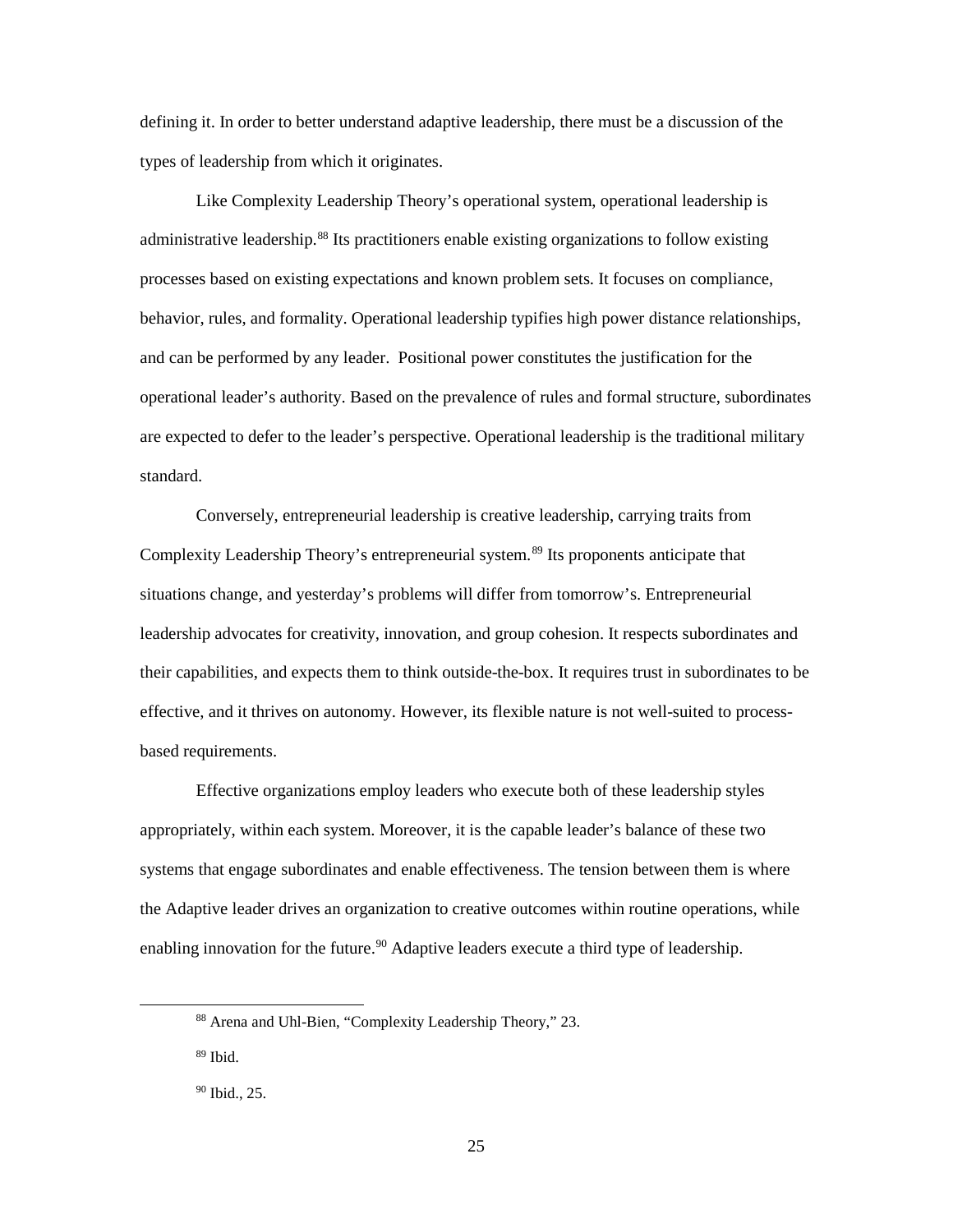defining it. In order to better understand adaptive leadership, there must be a discussion of the types of leadership from which it originates.

Like Complexity Leadership Theory's operational system, operational leadership is administrative leadership.<sup>[88](#page-32-0)</sup> Its practitioners enable existing organizations to follow existing processes based on existing expectations and known problem sets. It focuses on compliance, behavior, rules, and formality. Operational leadership typifies high power distance relationships, and can be performed by any leader. Positional power constitutes the justification for the operational leader's authority. Based on the prevalence of rules and formal structure, subordinates are expected to defer to the leader's perspective. Operational leadership is the traditional military standard.

Conversely, entrepreneurial leadership is creative leadership, carrying traits from Complexity Leadership Theory's entrepreneurial system. [89](#page-32-1) Its proponents anticipate that situations change, and yesterday's problems will differ from tomorrow's. Entrepreneurial leadership advocates for creativity, innovation, and group cohesion. It respects subordinates and their capabilities, and expects them to think outside-the-box. It requires trust in subordinates to be effective, and it thrives on autonomy. However, its flexible nature is not well-suited to processbased requirements.

Effective organizations employ leaders who execute both of these leadership styles appropriately, within each system. Moreover, it is the capable leader's balance of these two systems that engage subordinates and enable effectiveness. The tension between them is where the Adaptive leader drives an organization to creative outcomes within routine operations, while enabling innovation for the future.<sup>90</sup> Adaptive leaders execute a third type of leadership.

<span id="page-32-1"></span> $89$  Ibid.

<span id="page-32-0"></span> <sup>88</sup> Arena and Uhl-Bien, "Complexity Leadership Theory," 23.

<span id="page-32-2"></span><sup>90</sup> Ibid., 25.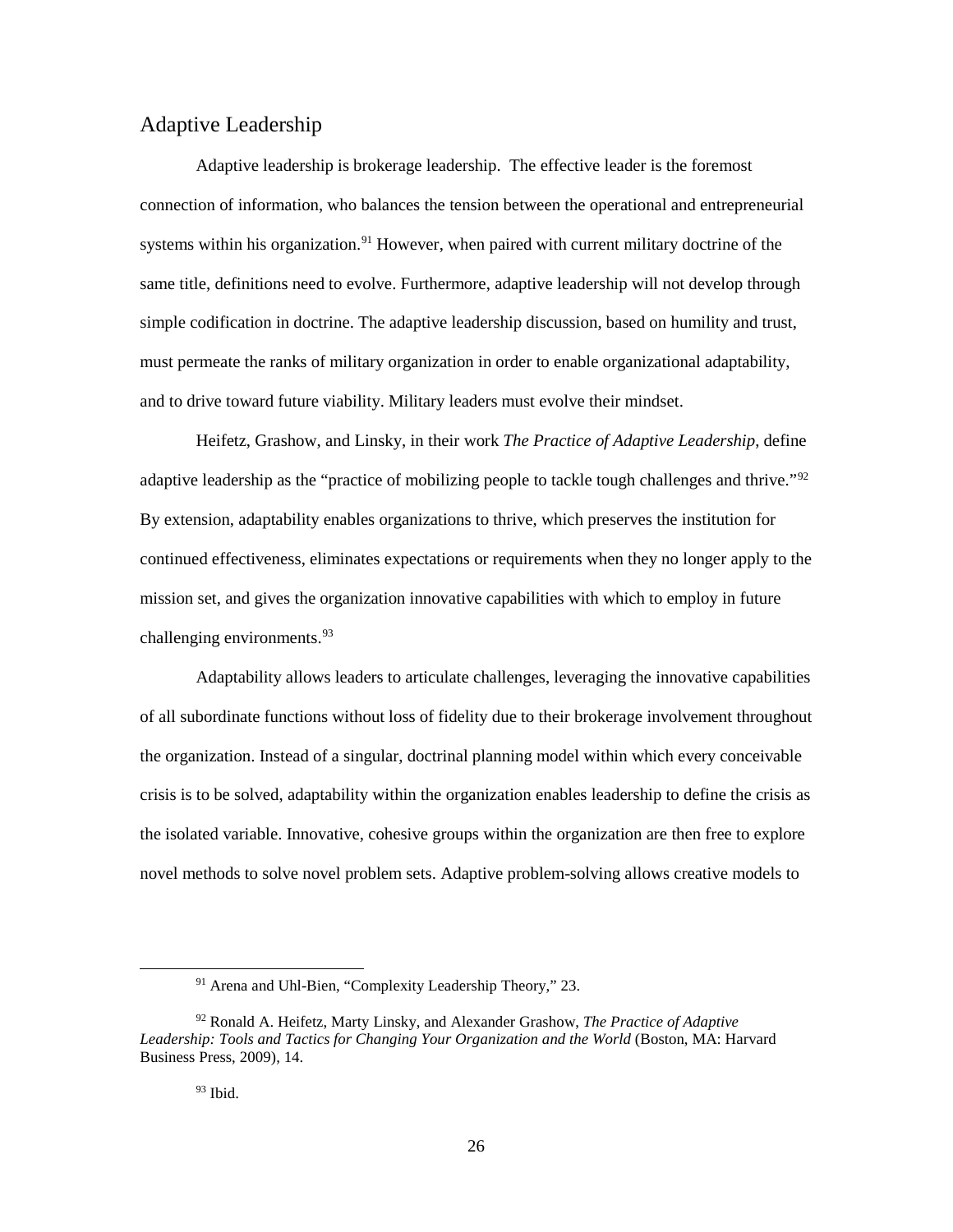# <span id="page-33-0"></span>Adaptive Leadership

Adaptive leadership is brokerage leadership. The effective leader is the foremost connection of information, who balances the tension between the operational and entrepreneurial systems within his organization.<sup>[91](#page-33-1)</sup> However, when paired with current military doctrine of the same title, definitions need to evolve. Furthermore, adaptive leadership will not develop through simple codification in doctrine. The adaptive leadership discussion, based on humility and trust, must permeate the ranks of military organization in order to enable organizational adaptability, and to drive toward future viability. Military leaders must evolve their mindset.

Heifetz, Grashow, and Linsky, in their work *The Practice of Adaptive Leadership*, define adaptive leadership as the "practice of mobilizing people to tackle tough challenges and thrive."<sup>[92](#page-33-2)</sup> By extension, adaptability enables organizations to thrive, which preserves the institution for continued effectiveness, eliminates expectations or requirements when they no longer apply to the mission set, and gives the organization innovative capabilities with which to employ in future challenging environments.<sup>[93](#page-33-3)</sup>

Adaptability allows leaders to articulate challenges, leveraging the innovative capabilities of all subordinate functions without loss of fidelity due to their brokerage involvement throughout the organization. Instead of a singular, doctrinal planning model within which every conceivable crisis is to be solved, adaptability within the organization enables leadership to define the crisis as the isolated variable. Innovative, cohesive groups within the organization are then free to explore novel methods to solve novel problem sets. Adaptive problem-solving allows creative models to

 <sup>91</sup> Arena and Uhl-Bien, "Complexity Leadership Theory," 23.

<span id="page-33-3"></span><span id="page-33-2"></span><span id="page-33-1"></span><sup>92</sup> Ronald A. Heifetz, Marty Linsky, and Alexander Grashow, *The Practice of Adaptive Leadership: Tools and Tactics for Changing Your Organization and the World* (Boston, MA: Harvard Business Press, 2009), 14.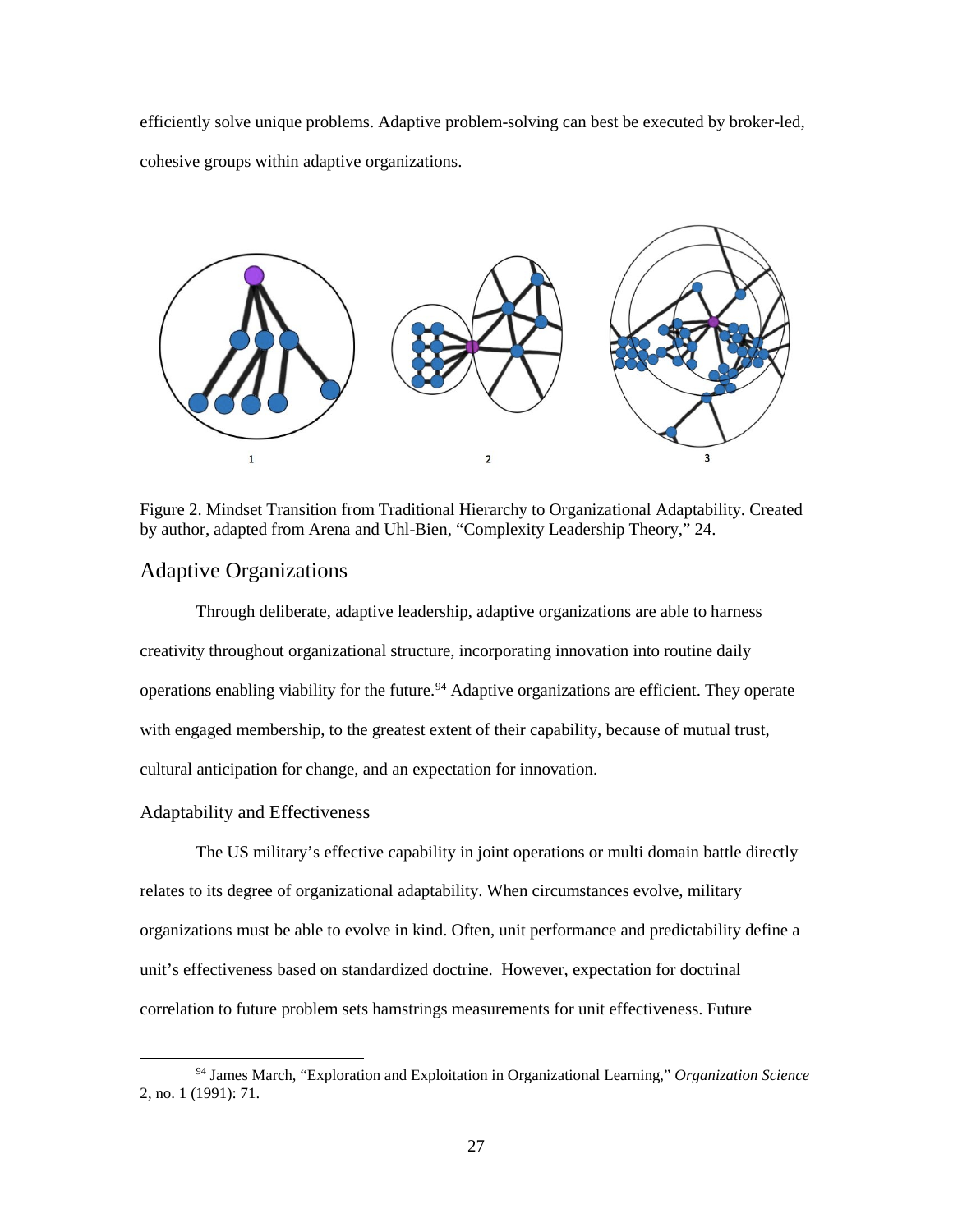efficiently solve unique problems. Adaptive problem-solving can best be executed by broker-led, cohesive groups within adaptive organizations.



<span id="page-34-2"></span>Figure 2. Mindset Transition from Traditional Hierarchy to Organizational Adaptability. Created by author, adapted from Arena and Uhl-Bien, "Complexity Leadership Theory," 24.

# <span id="page-34-0"></span>Adaptive Organizations

Through deliberate, adaptive leadership, adaptive organizations are able to harness creativity throughout organizational structure, incorporating innovation into routine daily operations enabling viability for the future.<sup>[94](#page-34-3)</sup> Adaptive organizations are efficient. They operate with engaged membership, to the greatest extent of their capability, because of mutual trust, cultural anticipation for change, and an expectation for innovation.

#### <span id="page-34-1"></span>Adaptability and Effectiveness

The US military's effective capability in joint operations or multi domain battle directly relates to its degree of organizational adaptability. When circumstances evolve, military organizations must be able to evolve in kind. Often, unit performance and predictability define a unit's effectiveness based on standardized doctrine. However, expectation for doctrinal correlation to future problem sets hamstrings measurements for unit effectiveness. Future

<span id="page-34-3"></span> <sup>94</sup> James March, "Exploration and Exploitation in Organizational Learning," *Organization Science* 2, no. 1 (1991): 71.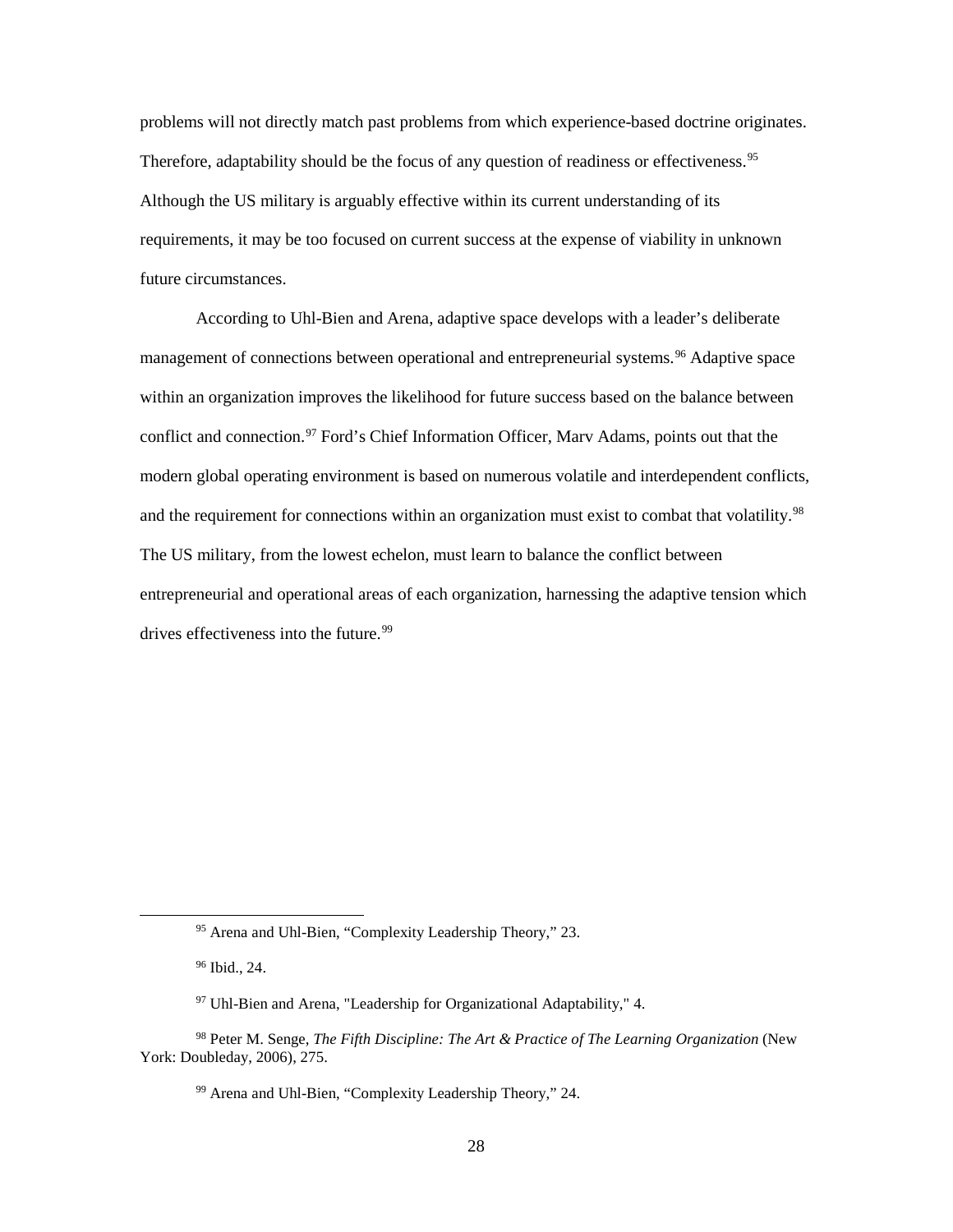problems will not directly match past problems from which experience-based doctrine originates. Therefore, adaptability should be the focus of any question of readiness or effectiveness.<sup>[95](#page-35-0)</sup> Although the US military is arguably effective within its current understanding of its requirements, it may be too focused on current success at the expense of viability in unknown future circumstances.

According to Uhl-Bien and Arena, adaptive space develops with a leader's deliberate management of connections between operational and entrepreneurial systems.<sup>[96](#page-35-1)</sup> Adaptive space within an organization improves the likelihood for future success based on the balance between conflict and connection.<sup>97</sup> Ford's Chief Information Officer, Marv Adams, points out that the modern global operating environment is based on numerous volatile and interdependent conflicts, and the requirement for connections within an organization must exist to combat that volatility.<sup>[98](#page-35-3)</sup> The US military, from the lowest echelon, must learn to balance the conflict between entrepreneurial and operational areas of each organization, harnessing the adaptive tension which drives effectiveness into the future.<sup>[99](#page-35-4)</sup>

 <sup>95</sup> Arena and Uhl-Bien, "Complexity Leadership Theory," 23.

<sup>96</sup> Ibid., 24.

<sup>97</sup> Uhl-Bien and Arena, "Leadership for Organizational Adaptability," 4.

<span id="page-35-4"></span><span id="page-35-3"></span><span id="page-35-2"></span><span id="page-35-1"></span><span id="page-35-0"></span><sup>98</sup> Peter M. Senge, *The Fifth Discipline: The Art & Practice of The Learning Organization* (New York: Doubleday, 2006), 275.

<sup>99</sup> Arena and Uhl-Bien, "Complexity Leadership Theory," 24.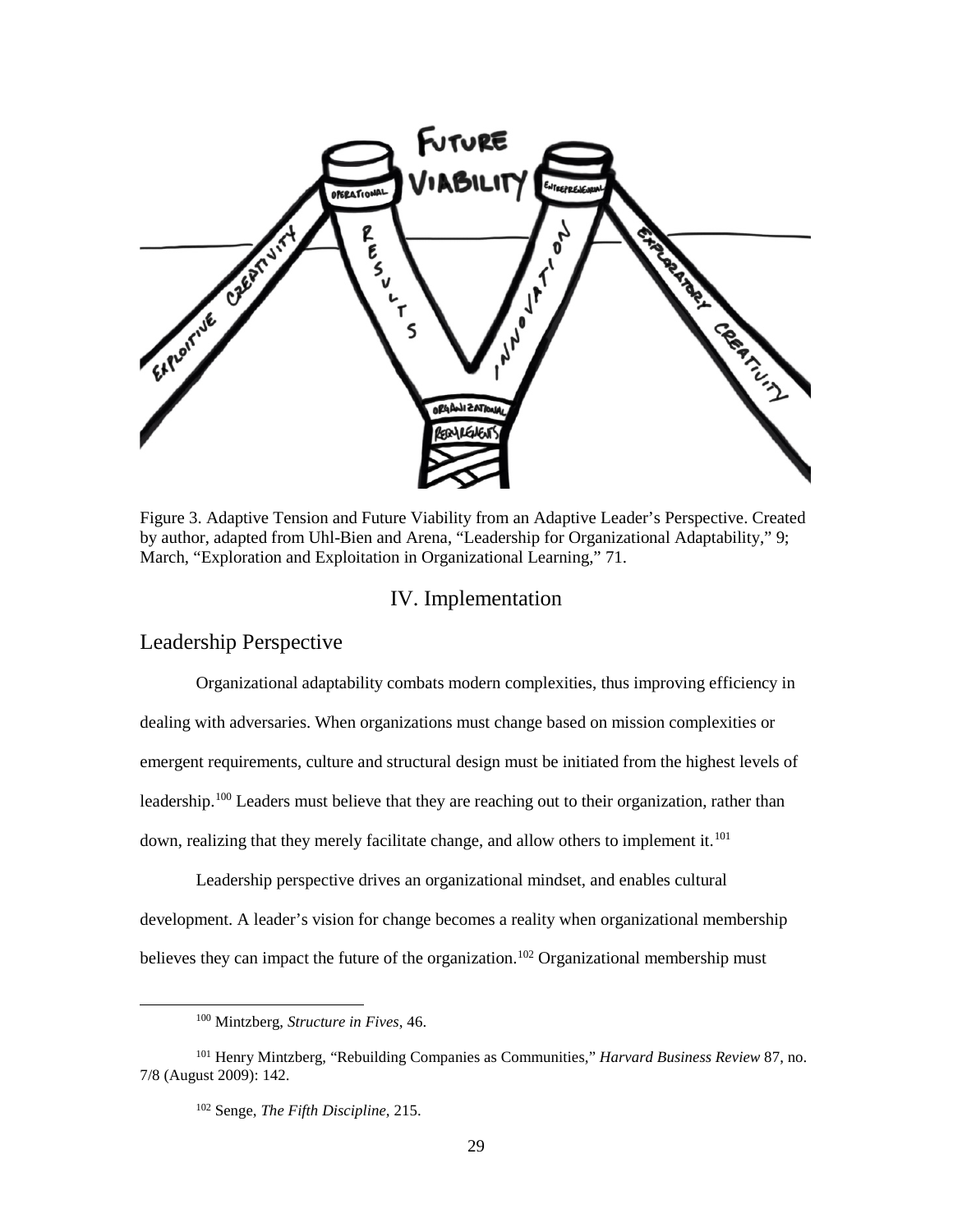

<span id="page-36-2"></span>Figure 3. Adaptive Tension and Future Viability from an Adaptive Leader's Perspective. Created by author, adapted from Uhl-Bien and Arena, "Leadership for Organizational Adaptability," 9; March, "Exploration and Exploitation in Organizational Learning," 71.

## IV. Implementation

# <span id="page-36-1"></span><span id="page-36-0"></span>Leadership Perspective

Organizational adaptability combats modern complexities, thus improving efficiency in dealing with adversaries. When organizations must change based on mission complexities or emergent requirements, culture and structural design must be initiated from the highest levels of leadership.<sup>[100](#page-36-3)</sup> Leaders must believe that they are reaching out to their organization, rather than down, realizing that they merely facilitate change, and allow others to implement it.<sup>[101](#page-36-4)</sup>

Leadership perspective drives an organizational mindset, and enables cultural development. A leader's vision for change becomes a reality when organizational membership believes they can impact the future of the organization.<sup>[102](#page-36-5)</sup> Organizational membership must

 <sup>100</sup> Mintzberg, *Structure in Fives*, 46.

<span id="page-36-5"></span><span id="page-36-4"></span><span id="page-36-3"></span><sup>101</sup> Henry Mintzberg, "Rebuilding Companies as Communities," *Harvard Business Review* 87, no. 7/8 (August 2009): 142.

<sup>102</sup> Senge, *The Fifth Discipline*, 215.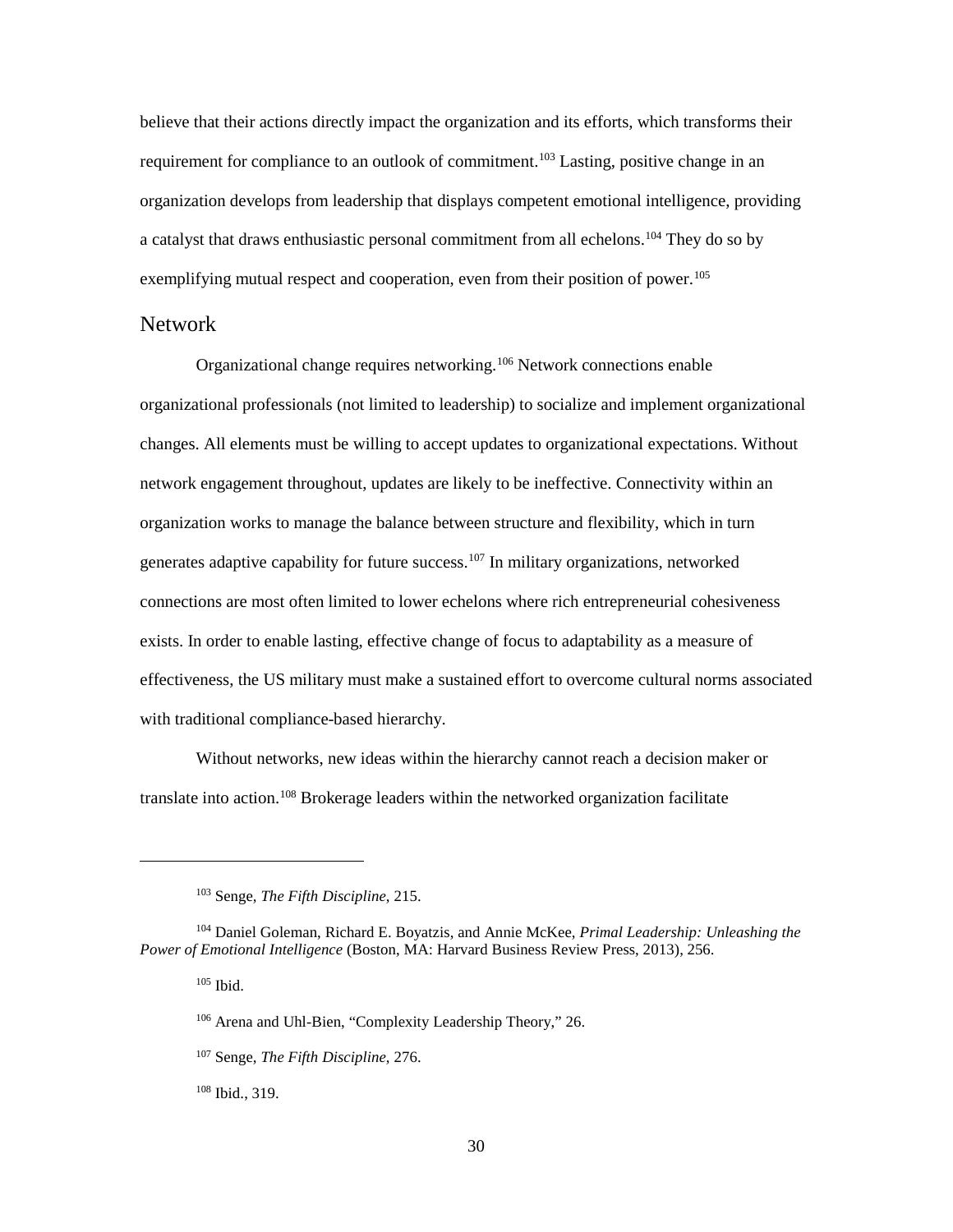believe that their actions directly impact the organization and its efforts, which transforms their requirement for compliance to an outlook of commitment.<sup>103</sup> Lasting, positive change in an organization develops from leadership that displays competent emotional intelligence, providing a catalyst that draws enthusiastic personal commitment from all echelons.<sup>[104](#page-37-2)</sup> They do so by exemplifying mutual respect and cooperation, even from their position of power.<sup>[105](#page-37-3)</sup>

#### <span id="page-37-0"></span>Network

Organizational change requires networking.<sup>[106](#page-37-4)</sup> Network connections enable organizational professionals (not limited to leadership) to socialize and implement organizational changes. All elements must be willing to accept updates to organizational expectations. Without network engagement throughout, updates are likely to be ineffective. Connectivity within an organization works to manage the balance between structure and flexibility, which in turn generates adaptive capability for future success.[107](#page-37-5) In military organizations, networked connections are most often limited to lower echelons where rich entrepreneurial cohesiveness exists. In order to enable lasting, effective change of focus to adaptability as a measure of effectiveness, the US military must make a sustained effort to overcome cultural norms associated with traditional compliance-based hierarchy.

Without networks, new ideas within the hierarchy cannot reach a decision maker or translate into action.<sup>[108](#page-37-6)</sup> Brokerage leaders within the networked organization facilitate

 $105$  Ibid.

 $\overline{a}$ 

<span id="page-37-6"></span><sup>108</sup> Ibid., 319.

<sup>103</sup> Senge, *The Fifth Discipline*, 215.

<span id="page-37-5"></span><span id="page-37-4"></span><span id="page-37-3"></span><span id="page-37-2"></span><span id="page-37-1"></span><sup>104</sup> Daniel Goleman, Richard E. Boyatzis, and Annie McKee, *Primal Leadership: Unleashing the Power of Emotional Intelligence* (Boston, MA: Harvard Business Review Press, 2013), 256.

<sup>106</sup> Arena and Uhl-Bien, "Complexity Leadership Theory," 26.

<sup>107</sup> Senge, *The Fifth Discipline*, 276.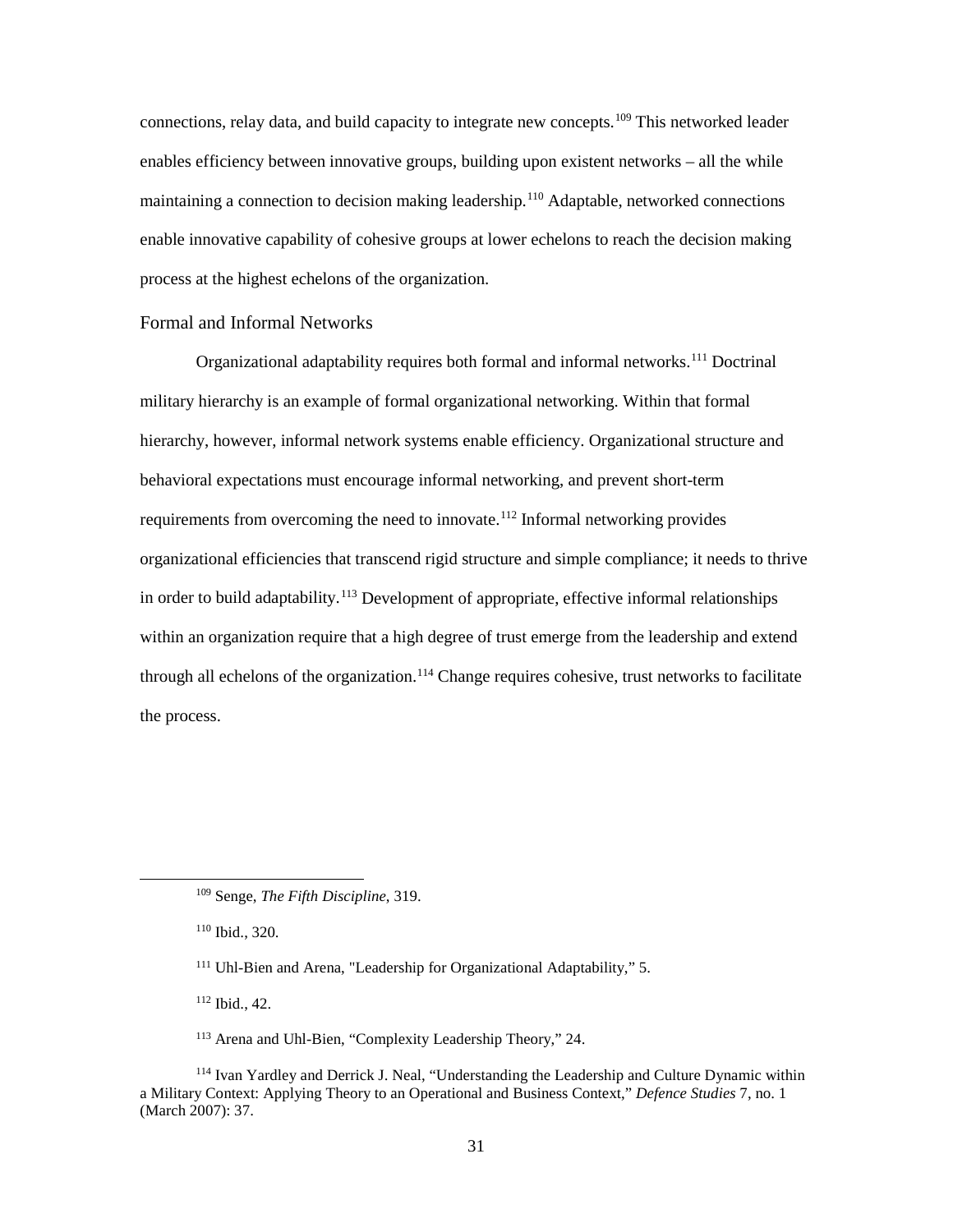connections, relay data, and build capacity to integrate new concepts.<sup>109</sup> This networked leader enables efficiency between innovative groups, building upon existent networks – all the while maintaining a connection to decision making leadership.<sup>[110](#page-38-2)</sup> Adaptable, networked connections enable innovative capability of cohesive groups at lower echelons to reach the decision making process at the highest echelons of the organization.

#### <span id="page-38-0"></span>Formal and Informal Networks

Organizational adaptability requires both formal and informal networks.[111](#page-38-3) Doctrinal military hierarchy is an example of formal organizational networking. Within that formal hierarchy, however, informal network systems enable efficiency. Organizational structure and behavioral expectations must encourage informal networking, and prevent short-term requirements from overcoming the need to innovate.<sup>[112](#page-38-4)</sup> Informal networking provides organizational efficiencies that transcend rigid structure and simple compliance; it needs to thrive in order to build adaptability.<sup>113</sup> Development of appropriate, effective informal relationships within an organization require that a high degree of trust emerge from the leadership and extend through all echelons of the organization.<sup>[114](#page-38-6)</sup> Change requires cohesive, trust networks to facilitate the process.

<sup>112</sup> Ibid., 42.

<span id="page-38-1"></span> <sup>109</sup> Senge, *The Fifth Discipline*, 319.

<span id="page-38-2"></span><sup>110</sup> Ibid., 320.

<sup>111</sup> Uhl-Bien and Arena, "Leadership for Organizational Adaptability," 5.

<sup>113</sup> Arena and Uhl-Bien, "Complexity Leadership Theory," 24.

<span id="page-38-6"></span><span id="page-38-5"></span><span id="page-38-4"></span><span id="page-38-3"></span><sup>114</sup> Ivan Yardley and Derrick J. Neal, "Understanding the Leadership and Culture Dynamic within a Military Context: Applying Theory to an Operational and Business Context," *Defence Studies* 7, no. 1 (March 2007): 37.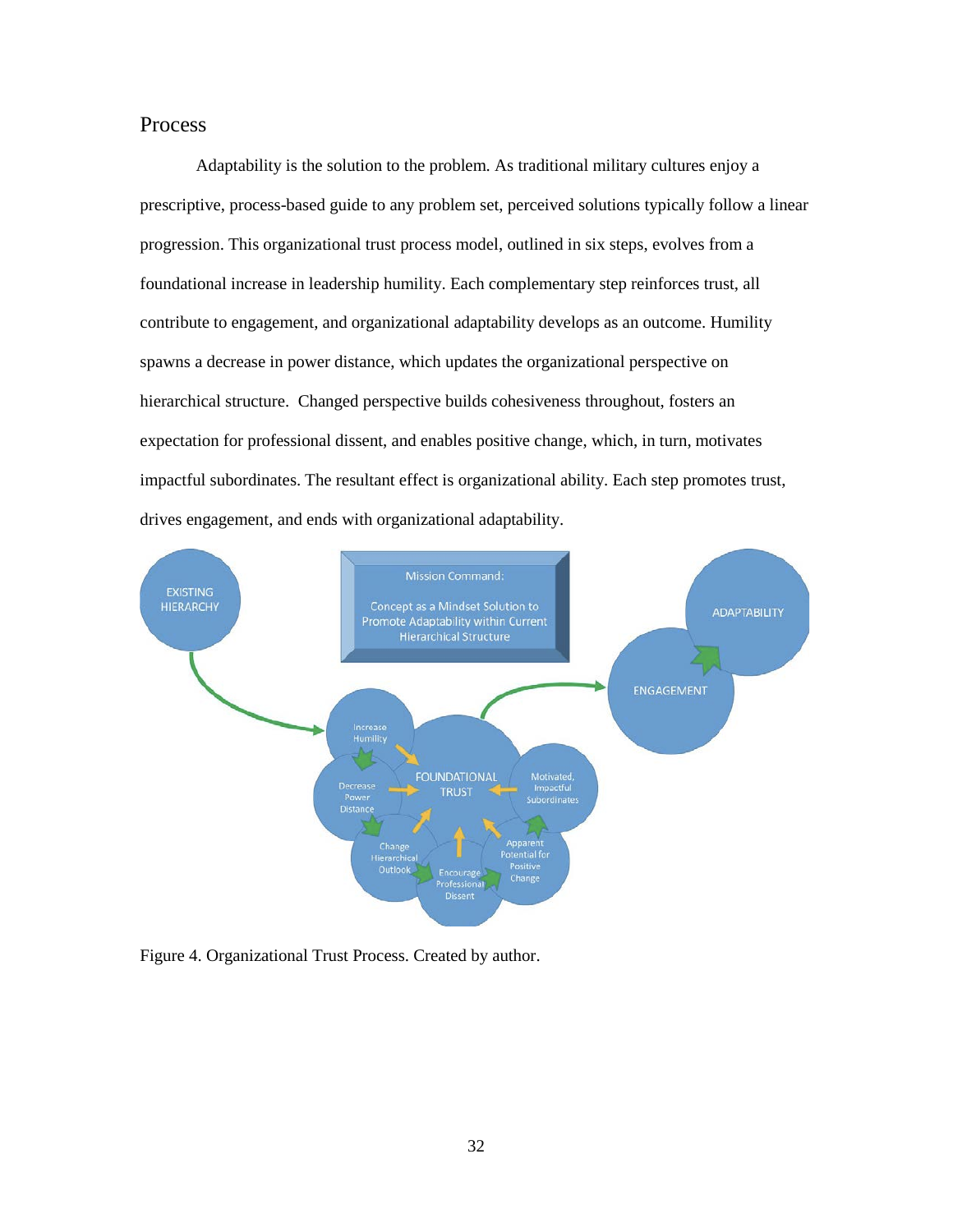# <span id="page-39-0"></span>Process

Adaptability is the solution to the problem. As traditional military cultures enjoy a prescriptive, process-based guide to any problem set, perceived solutions typically follow a linear progression. This organizational trust process model, outlined in six steps, evolves from a foundational increase in leadership humility. Each complementary step reinforces trust, all contribute to engagement, and organizational adaptability develops as an outcome. Humility spawns a decrease in power distance, which updates the organizational perspective on hierarchical structure. Changed perspective builds cohesiveness throughout, fosters an expectation for professional dissent, and enables positive change, which, in turn, motivates impactful subordinates. The resultant effect is organizational ability. Each step promotes trust, drives engagement, and ends with organizational adaptability.



<span id="page-39-1"></span>Figure 4. Organizational Trust Process. Created by author.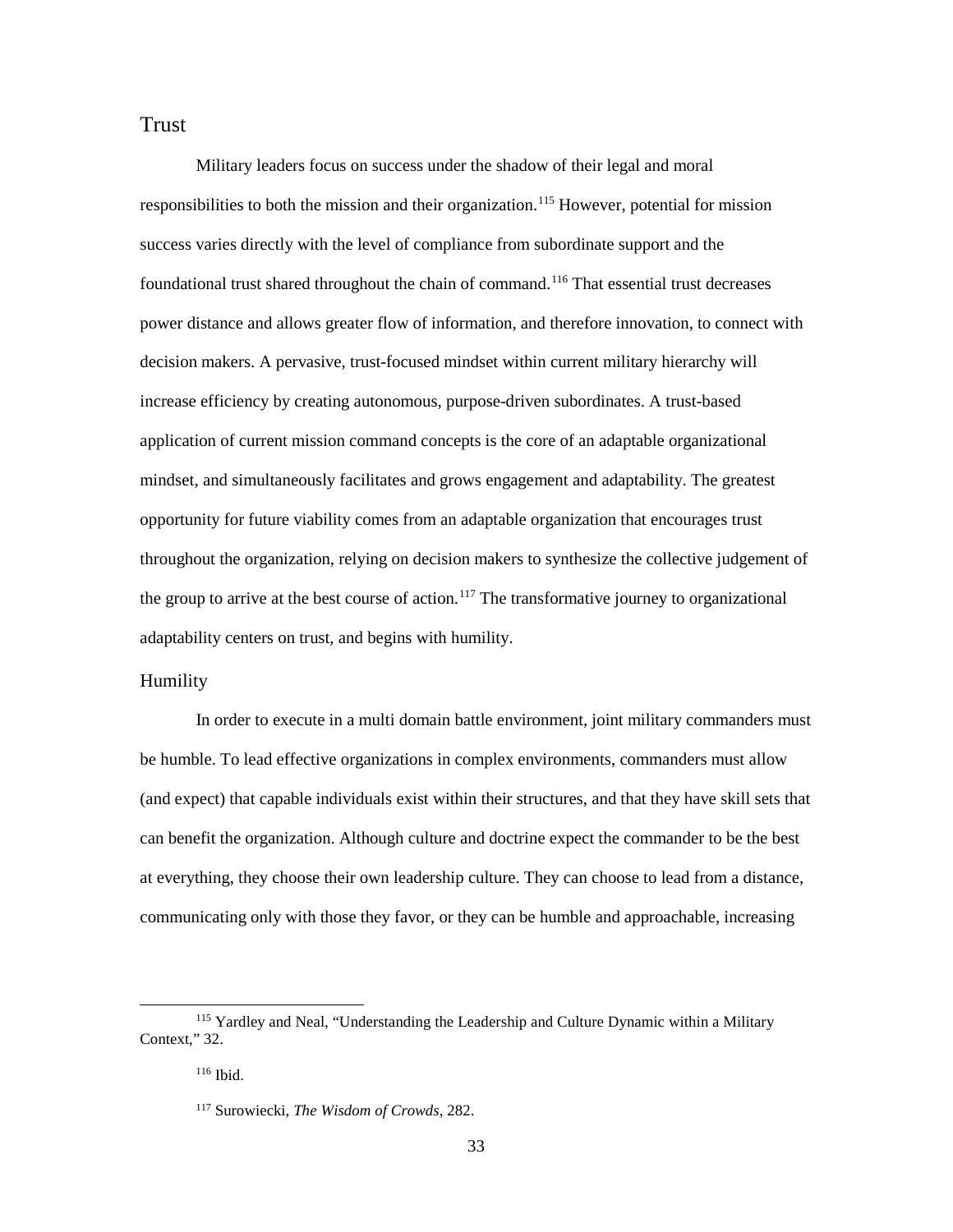# <span id="page-40-0"></span>Trust

Military leaders focus on success under the shadow of their legal and moral responsibilities to both the mission and their organization.<sup>[115](#page-40-2)</sup> However, potential for mission success varies directly with the level of compliance from subordinate support and the foundational trust shared throughout the chain of command.<sup>[116](#page-40-3)</sup> That essential trust decreases power distance and allows greater flow of information, and therefore innovation, to connect with decision makers. A pervasive, trust-focused mindset within current military hierarchy will increase efficiency by creating autonomous, purpose-driven subordinates. A trust-based application of current mission command concepts is the core of an adaptable organizational mindset, and simultaneously facilitates and grows engagement and adaptability. The greatest opportunity for future viability comes from an adaptable organization that encourages trust throughout the organization, relying on decision makers to synthesize the collective judgement of the group to arrive at the best course of action.<sup>117</sup> The transformative journey to organizational adaptability centers on trust, and begins with humility.

#### <span id="page-40-1"></span>Humility

In order to execute in a multi domain battle environment, joint military commanders must be humble. To lead effective organizations in complex environments, commanders must allow (and expect) that capable individuals exist within their structures, and that they have skill sets that can benefit the organization. Although culture and doctrine expect the commander to be the best at everything, they choose their own leadership culture. They can choose to lead from a distance, communicating only with those they favor, or they can be humble and approachable, increasing

<span id="page-40-4"></span><span id="page-40-3"></span><span id="page-40-2"></span> <sup>115</sup> Yardley and Neal, "Understanding the Leadership and Culture Dynamic within a Military Context," 32.

<sup>116</sup> Ibid.

<sup>117</sup> Surowiecki, *The Wisdom of Crowds*, 282.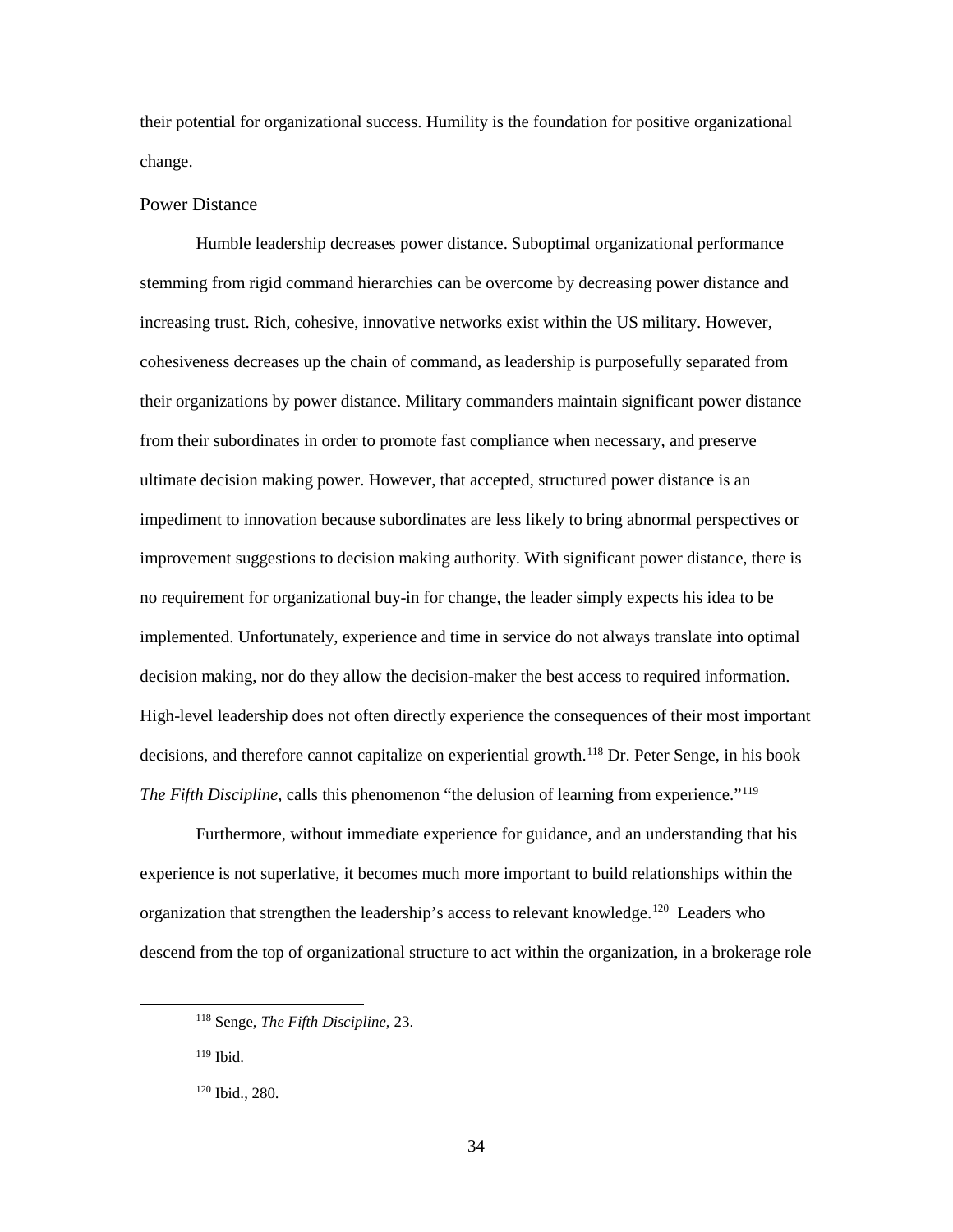their potential for organizational success. Humility is the foundation for positive organizational change.

#### <span id="page-41-0"></span>Power Distance

Humble leadership decreases power distance. Suboptimal organizational performance stemming from rigid command hierarchies can be overcome by decreasing power distance and increasing trust. Rich, cohesive, innovative networks exist within the US military. However, cohesiveness decreases up the chain of command, as leadership is purposefully separated from their organizations by power distance. Military commanders maintain significant power distance from their subordinates in order to promote fast compliance when necessary, and preserve ultimate decision making power. However, that accepted, structured power distance is an impediment to innovation because subordinates are less likely to bring abnormal perspectives or improvement suggestions to decision making authority. With significant power distance, there is no requirement for organizational buy-in for change, the leader simply expects his idea to be implemented. Unfortunately, experience and time in service do not always translate into optimal decision making, nor do they allow the decision-maker the best access to required information. High-level leadership does not often directly experience the consequences of their most important decisions, and therefore cannot capitalize on experiential growth.<sup>[118](#page-41-1)</sup> Dr. Peter Senge, in his book *The Fifth Discipline*, calls this phenomenon "the delusion of learning from experience."<sup>[119](#page-41-2)</sup>

Furthermore, without immediate experience for guidance, and an understanding that his experience is not superlative, it becomes much more important to build relationships within the organization that strengthen the leadership's access to relevant knowledge.[120](#page-41-3) Leaders who descend from the top of organizational structure to act within the organization, in a brokerage role

<span id="page-41-2"></span><sup>119</sup> Ibid.

<span id="page-41-1"></span> <sup>118</sup> Senge, *The Fifth Discipline*, 23.

<span id="page-41-3"></span><sup>120</sup> Ibid., 280.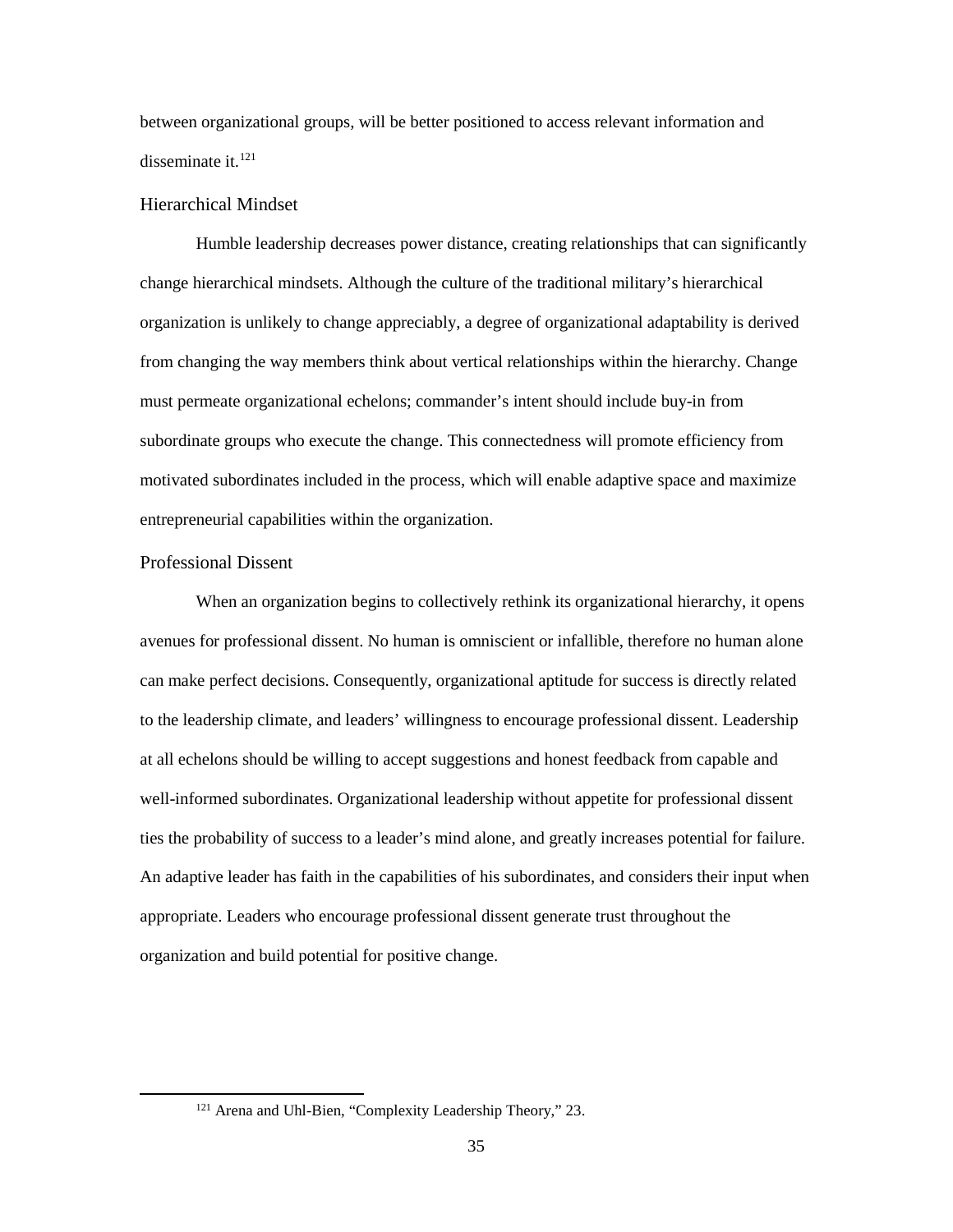between organizational groups, will be better positioned to access relevant information and disseminate it. [121](#page-42-2)

#### <span id="page-42-0"></span>Hierarchical Mindset

Humble leadership decreases power distance, creating relationships that can significantly change hierarchical mindsets. Although the culture of the traditional military's hierarchical organization is unlikely to change appreciably, a degree of organizational adaptability is derived from changing the way members think about vertical relationships within the hierarchy. Change must permeate organizational echelons; commander's intent should include buy-in from subordinate groups who execute the change. This connectedness will promote efficiency from motivated subordinates included in the process, which will enable adaptive space and maximize entrepreneurial capabilities within the organization.

#### <span id="page-42-1"></span>Professional Dissent

When an organization begins to collectively rethink its organizational hierarchy, it opens avenues for professional dissent. No human is omniscient or infallible, therefore no human alone can make perfect decisions. Consequently, organizational aptitude for success is directly related to the leadership climate, and leaders' willingness to encourage professional dissent. Leadership at all echelons should be willing to accept suggestions and honest feedback from capable and well-informed subordinates. Organizational leadership without appetite for professional dissent ties the probability of success to a leader's mind alone, and greatly increases potential for failure. An adaptive leader has faith in the capabilities of his subordinates, and considers their input when appropriate. Leaders who encourage professional dissent generate trust throughout the organization and build potential for positive change.

<span id="page-42-2"></span> <sup>121</sup> Arena and Uhl-Bien, "Complexity Leadership Theory," 23.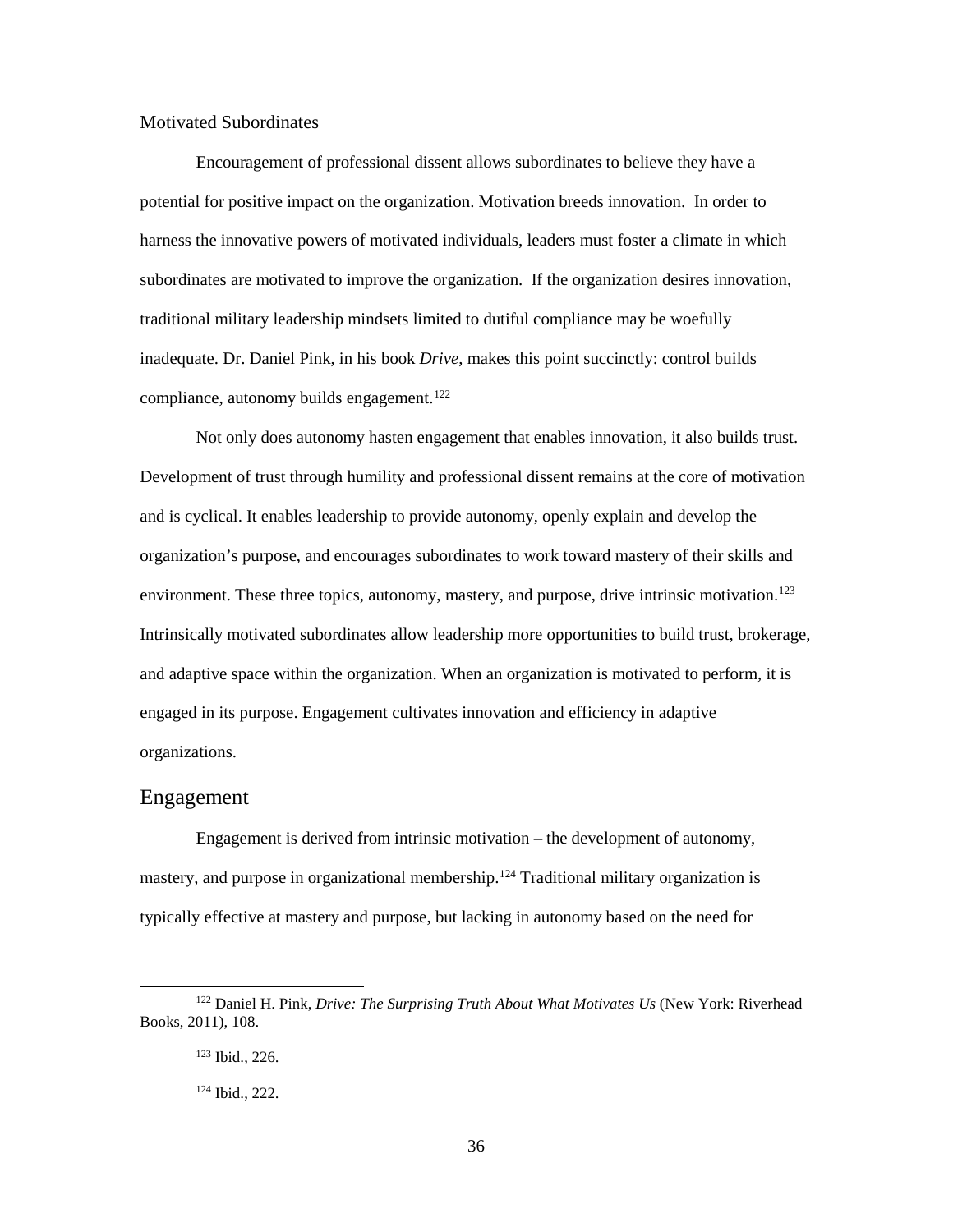#### <span id="page-43-0"></span>Motivated Subordinates

Encouragement of professional dissent allows subordinates to believe they have a potential for positive impact on the organization. Motivation breeds innovation. In order to harness the innovative powers of motivated individuals, leaders must foster a climate in which subordinates are motivated to improve the organization. If the organization desires innovation, traditional military leadership mindsets limited to dutiful compliance may be woefully inadequate. Dr. Daniel Pink, in his book *Drive*, makes this point succinctly: control builds compliance, autonomy builds engagement.<sup>[122](#page-43-2)</sup>

Not only does autonomy hasten engagement that enables innovation, it also builds trust. Development of trust through humility and professional dissent remains at the core of motivation and is cyclical. It enables leadership to provide autonomy, openly explain and develop the organization's purpose, and encourages subordinates to work toward mastery of their skills and environment. These three topics, autonomy, mastery, and purpose, drive intrinsic motivation.<sup>[123](#page-43-3)</sup> Intrinsically motivated subordinates allow leadership more opportunities to build trust, brokerage, and adaptive space within the organization. When an organization is motivated to perform, it is engaged in its purpose. Engagement cultivates innovation and efficiency in adaptive organizations.

## <span id="page-43-1"></span>Engagement

Engagement is derived from intrinsic motivation – the development of autonomy, mastery, and purpose in organizational membership.<sup>[124](#page-43-4)</sup> Traditional military organization is typically effective at mastery and purpose, but lacking in autonomy based on the need for

<span id="page-43-4"></span><span id="page-43-3"></span><span id="page-43-2"></span> <sup>122</sup> Daniel H. Pink, *Drive: The Surprising Truth About What Motivates Us* (New York: Riverhead Books, 2011), 108.

<sup>123</sup> Ibid., 226.

<sup>124</sup> Ibid., 222.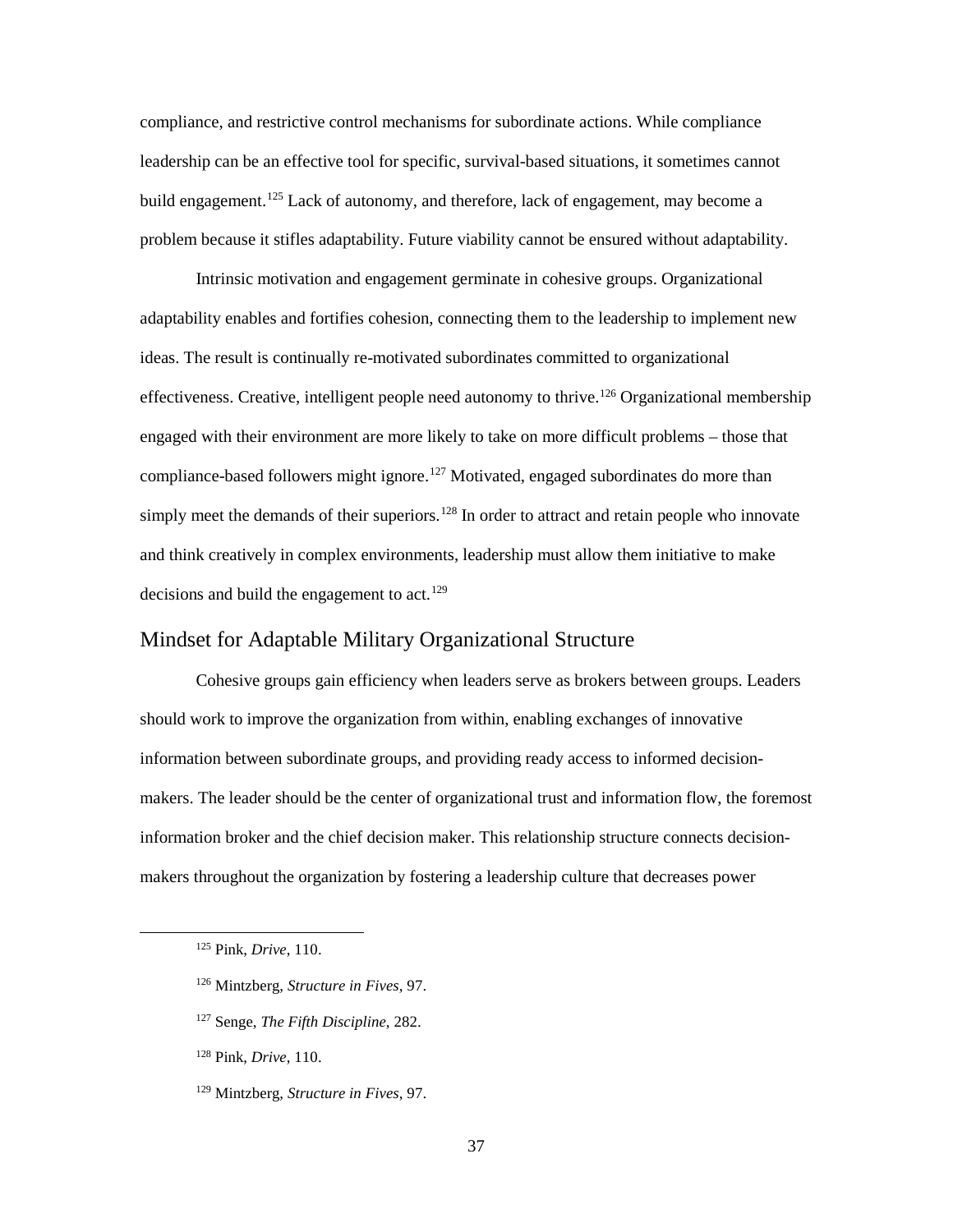compliance, and restrictive control mechanisms for subordinate actions. While compliance leadership can be an effective tool for specific, survival-based situations, it sometimes cannot build engagement.<sup>[125](#page-44-1)</sup> Lack of autonomy, and therefore, lack of engagement, may become a problem because it stifles adaptability. Future viability cannot be ensured without adaptability.

Intrinsic motivation and engagement germinate in cohesive groups. Organizational adaptability enables and fortifies cohesion, connecting them to the leadership to implement new ideas. The result is continually re-motivated subordinates committed to organizational effectiveness. Creative, intelligent people need autonomy to thrive.<sup>[126](#page-44-2)</sup> Organizational membership engaged with their environment are more likely to take on more difficult problems – those that compliance-based followers might ignore.<sup>[127](#page-44-3)</sup> Motivated, engaged subordinates do more than simply meet the demands of their superiors.<sup>128</sup> In order to attract and retain people who innovate and think creatively in complex environments, leadership must allow them initiative to make decisions and build the engagement to act.<sup>[129](#page-44-5)</sup>

## <span id="page-44-0"></span>Mindset for Adaptable Military Organizational Structure

Cohesive groups gain efficiency when leaders serve as brokers between groups. Leaders should work to improve the organization from within, enabling exchanges of innovative information between subordinate groups, and providing ready access to informed decisionmakers. The leader should be the center of organizational trust and information flow, the foremost information broker and the chief decision maker. This relationship structure connects decisionmakers throughout the organization by fostering a leadership culture that decreases power

- <span id="page-44-2"></span><sup>126</sup> Mintzberg, *Structure in Fives*, 97.
- <span id="page-44-3"></span><sup>127</sup> Senge, *The Fifth Discipline*, 282.
- <span id="page-44-4"></span><sup>128</sup> Pink, *Drive*, 110.
- <span id="page-44-5"></span><sup>129</sup> Mintzberg, *Structure in Fives*, 97.

<span id="page-44-1"></span> <sup>125</sup> Pink, *Drive*, 110.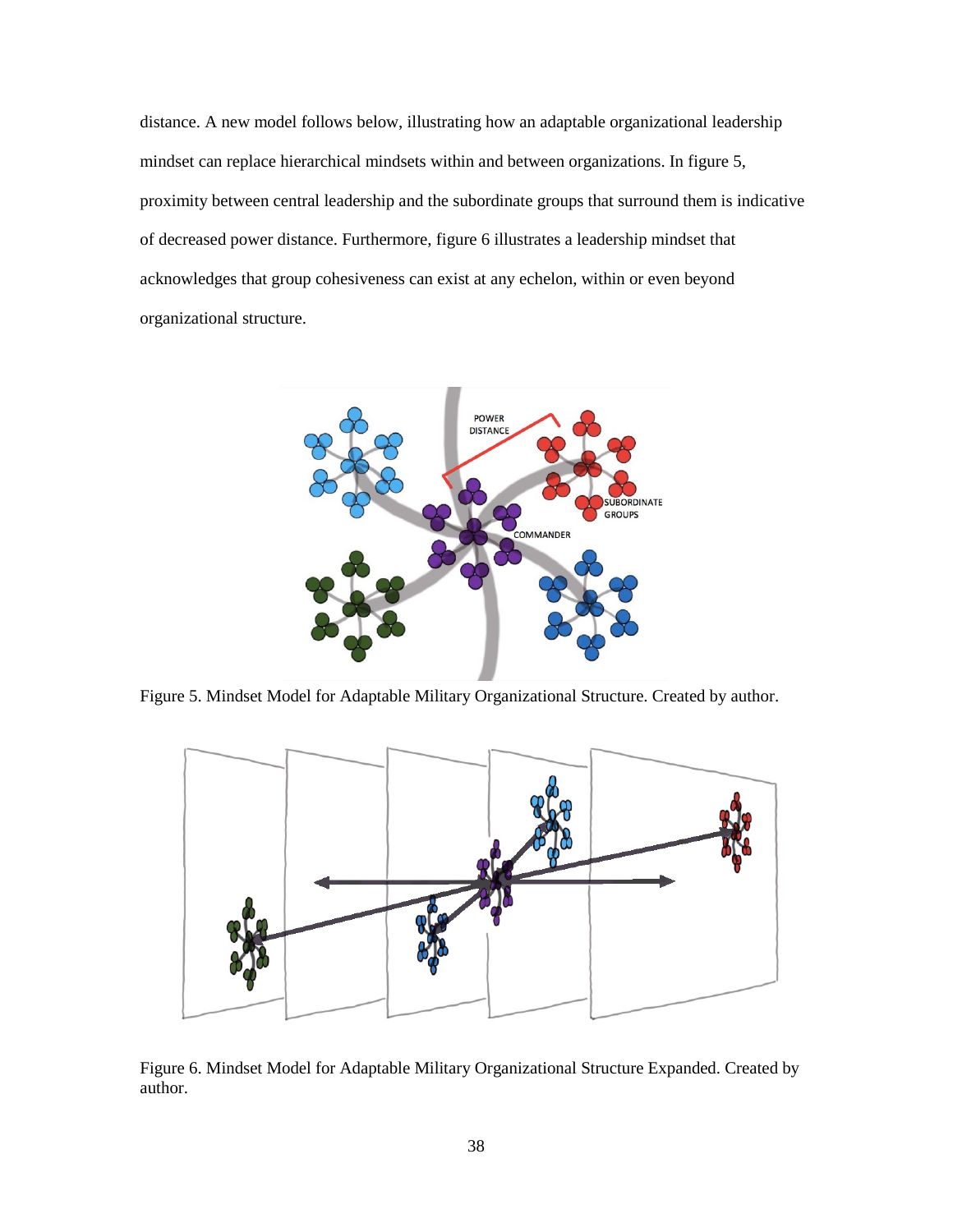distance. A new model follows below, illustrating how an adaptable organizational leadership mindset can replace hierarchical mindsets within and between organizations. In figure 5, proximity between central leadership and the subordinate groups that surround them is indicative of decreased power distance. Furthermore, figure 6 illustrates a leadership mindset that acknowledges that group cohesiveness can exist at any echelon, within or even beyond organizational structure.



<span id="page-45-0"></span>Figure 5. Mindset Model for Adaptable Military Organizational Structure. Created by author.



<span id="page-45-1"></span>Figure 6. Mindset Model for Adaptable Military Organizational Structure Expanded. Created by author.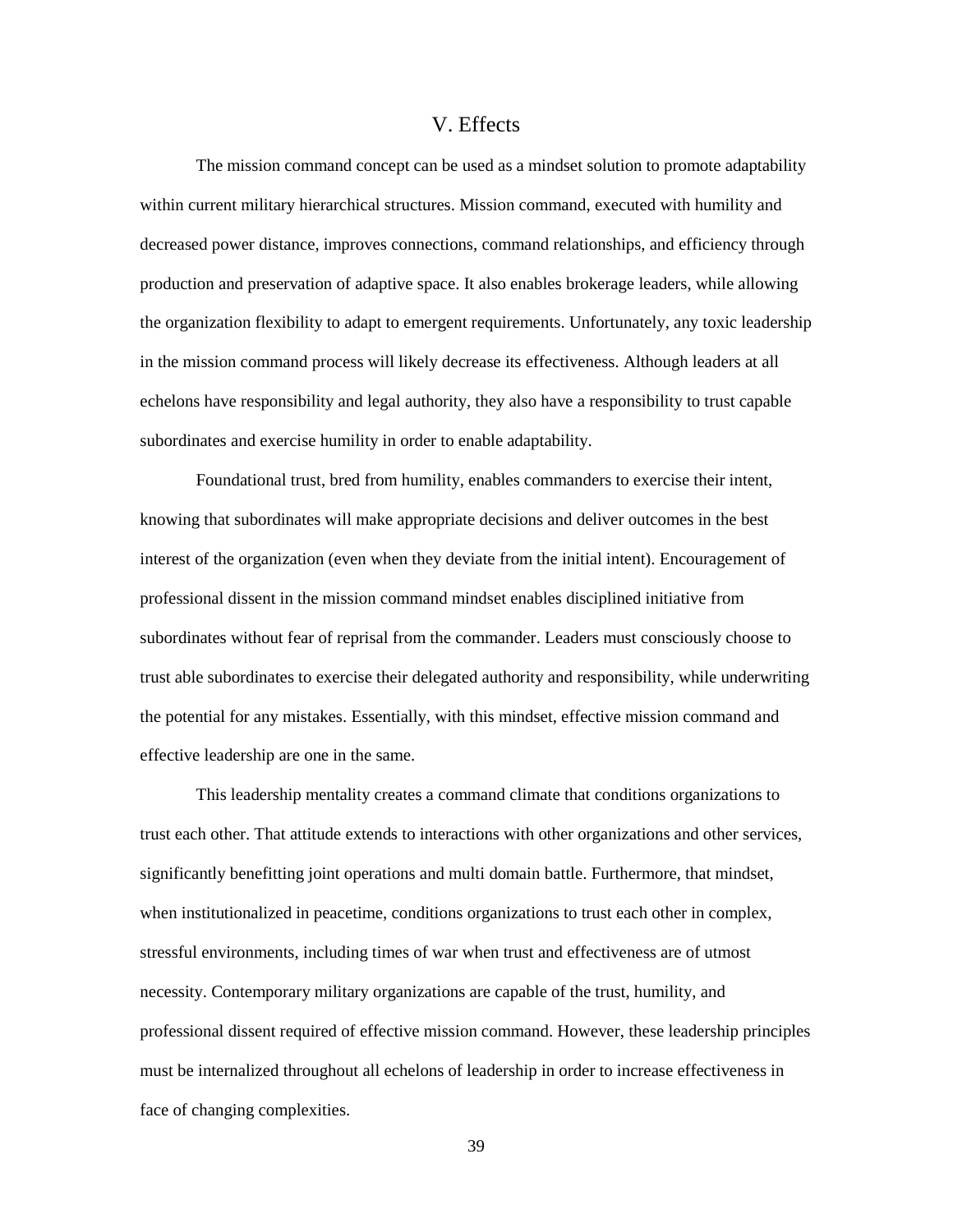## V. Effects

<span id="page-46-0"></span>The mission command concept can be used as a mindset solution to promote adaptability within current military hierarchical structures. Mission command, executed with humility and decreased power distance, improves connections, command relationships, and efficiency through production and preservation of adaptive space. It also enables brokerage leaders, while allowing the organization flexibility to adapt to emergent requirements. Unfortunately, any toxic leadership in the mission command process will likely decrease its effectiveness. Although leaders at all echelons have responsibility and legal authority, they also have a responsibility to trust capable subordinates and exercise humility in order to enable adaptability.

Foundational trust, bred from humility, enables commanders to exercise their intent, knowing that subordinates will make appropriate decisions and deliver outcomes in the best interest of the organization (even when they deviate from the initial intent). Encouragement of professional dissent in the mission command mindset enables disciplined initiative from subordinates without fear of reprisal from the commander. Leaders must consciously choose to trust able subordinates to exercise their delegated authority and responsibility, while underwriting the potential for any mistakes. Essentially, with this mindset, effective mission command and effective leadership are one in the same.

This leadership mentality creates a command climate that conditions organizations to trust each other. That attitude extends to interactions with other organizations and other services, significantly benefitting joint operations and multi domain battle. Furthermore, that mindset, when institutionalized in peacetime, conditions organizations to trust each other in complex, stressful environments, including times of war when trust and effectiveness are of utmost necessity. Contemporary military organizations are capable of the trust, humility, and professional dissent required of effective mission command. However, these leadership principles must be internalized throughout all echelons of leadership in order to increase effectiveness in face of changing complexities.

39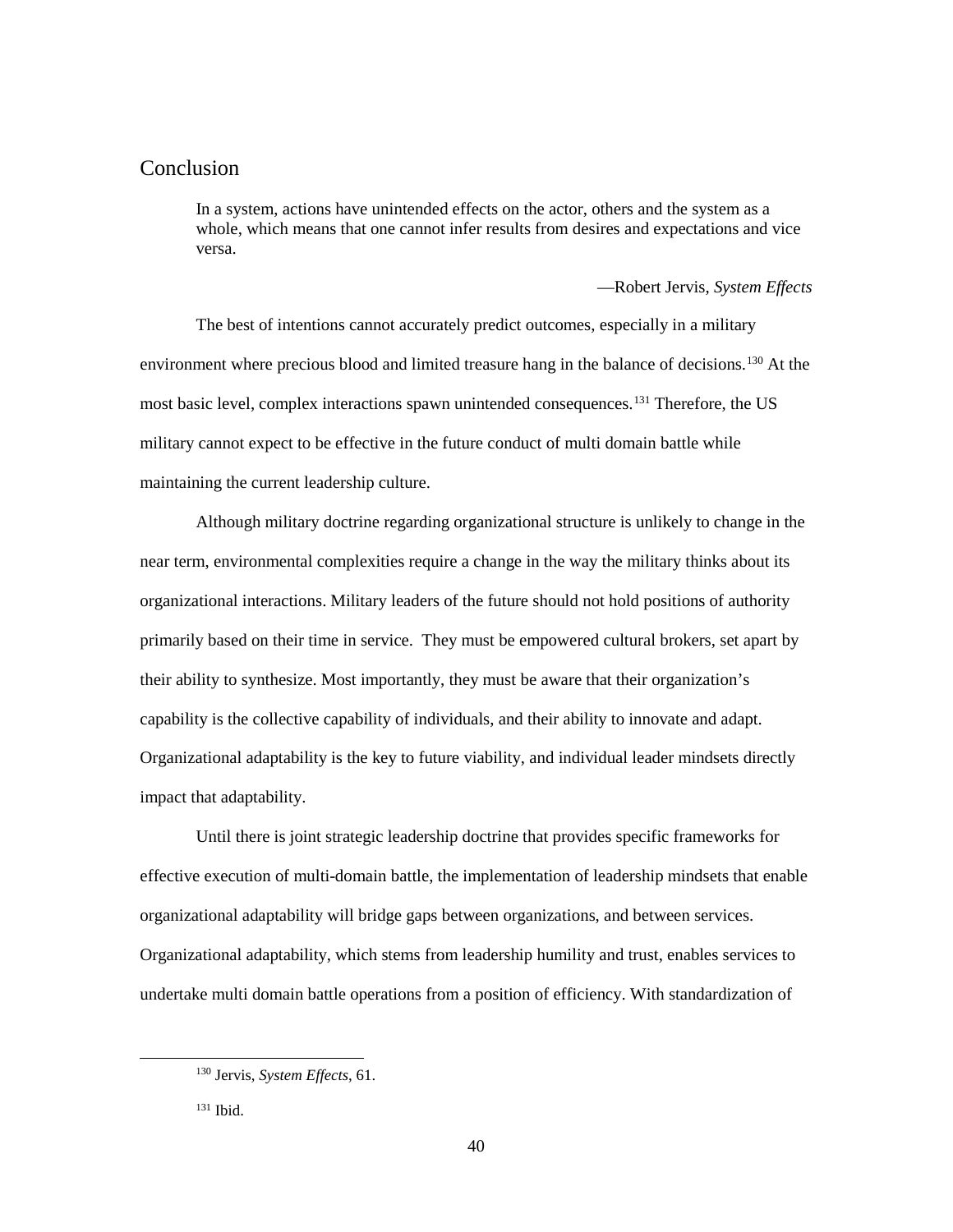# <span id="page-47-0"></span>Conclusion

In a system, actions have unintended effects on the actor, others and the system as a whole, which means that one cannot infer results from desires and expectations and vice versa.

—Robert Jervis, *System Effects*

The best of intentions cannot accurately predict outcomes, especially in a military environment where precious blood and limited treasure hang in the balance of decisions.<sup>[130](#page-47-1)</sup> At the most basic level, complex interactions spawn unintended consequences.<sup>131</sup> Therefore, the US military cannot expect to be effective in the future conduct of multi domain battle while maintaining the current leadership culture.

Although military doctrine regarding organizational structure is unlikely to change in the near term, environmental complexities require a change in the way the military thinks about its organizational interactions. Military leaders of the future should not hold positions of authority primarily based on their time in service. They must be empowered cultural brokers, set apart by their ability to synthesize. Most importantly, they must be aware that their organization's capability is the collective capability of individuals, and their ability to innovate and adapt. Organizational adaptability is the key to future viability, and individual leader mindsets directly impact that adaptability.

Until there is joint strategic leadership doctrine that provides specific frameworks for effective execution of multi-domain battle, the implementation of leadership mindsets that enable organizational adaptability will bridge gaps between organizations, and between services. Organizational adaptability, which stems from leadership humility and trust, enables services to undertake multi domain battle operations from a position of efficiency. With standardization of

<span id="page-47-1"></span> <sup>130</sup> Jervis, *System Effects*, 61.

<span id="page-47-2"></span><sup>131</sup> Ibid.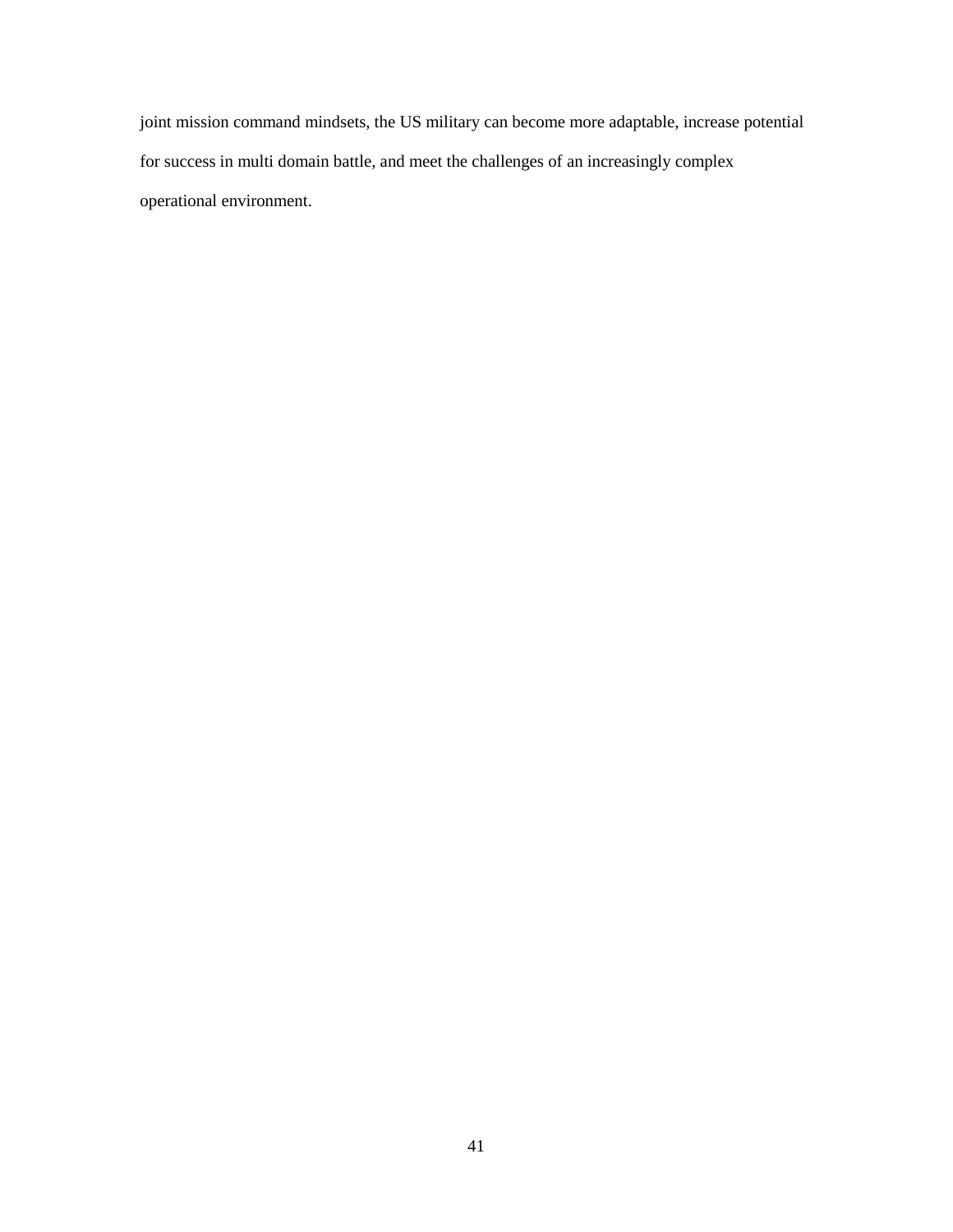joint mission command mindsets, the US military can become more adaptable, increase potential for success in multi domain battle, and meet the challenges of an increasingly complex operational environment.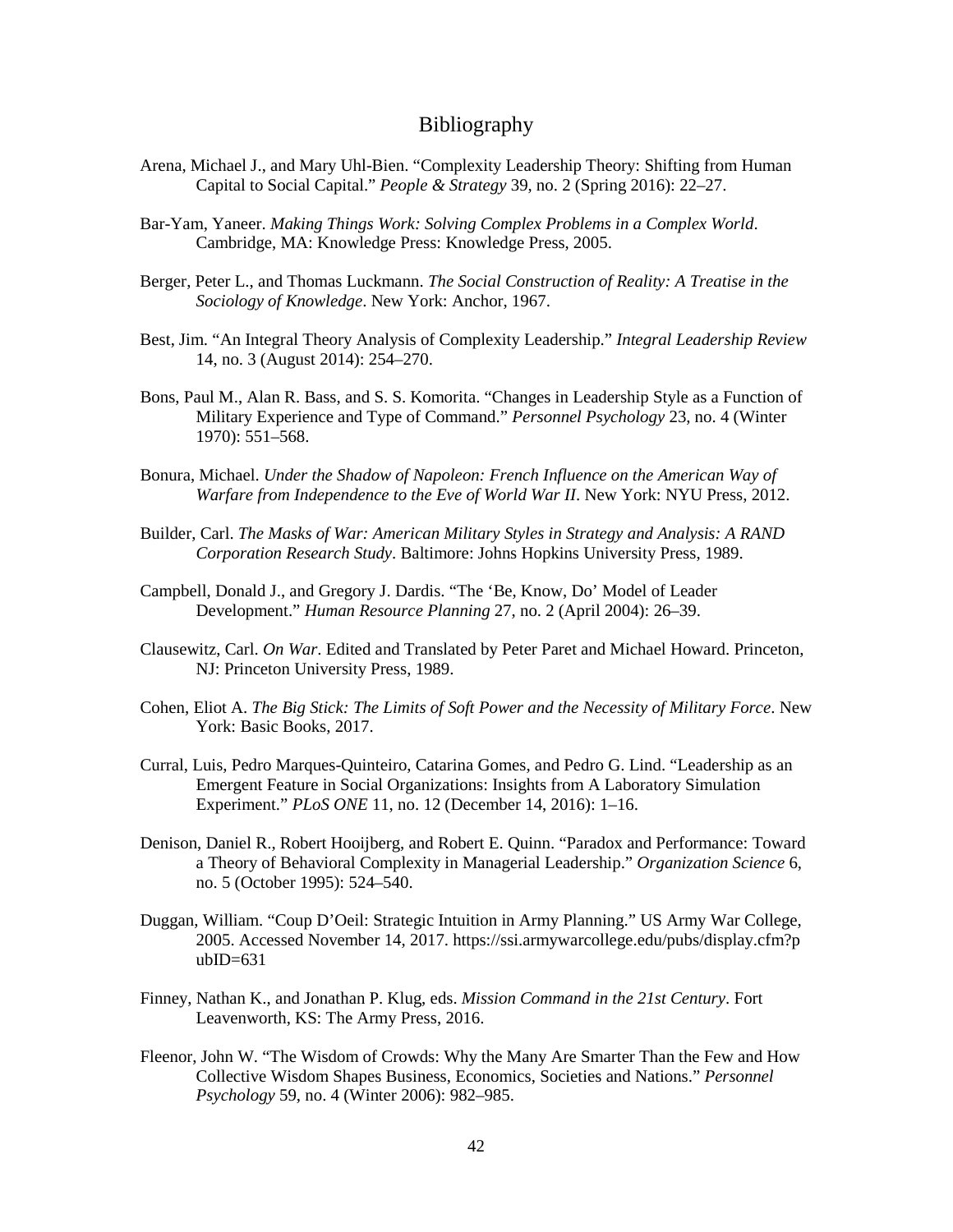## Bibliography

- Arena, Michael J., and Mary Uhl-Bien. "Complexity Leadership Theory: Shifting from Human Capital to Social Capital." *People & Strategy* 39, no. 2 (Spring 2016): 22–27.
- Bar-Yam, Yaneer. *Making Things Work: Solving Complex Problems in a Complex World*. Cambridge, MA: Knowledge Press: Knowledge Press, 2005.
- Berger, Peter L., and Thomas Luckmann. *The Social Construction of Reality: A Treatise in the Sociology of Knowledge*. New York: Anchor, 1967.
- Best, Jim. "An Integral Theory Analysis of Complexity Leadership." *Integral Leadership Review* 14, no. 3 (August 2014): 254–270.
- Bons, Paul M., Alan R. Bass, and S. S. Komorita. "Changes in Leadership Style as a Function of Military Experience and Type of Command." *Personnel Psychology* 23, no. 4 (Winter 1970): 551–568.
- Bonura, Michael. *Under the Shadow of Napoleon: French Influence on the American Way of Warfare from Independence to the Eve of World War II*. New York: NYU Press, 2012.
- Builder, Carl. *The Masks of War: American Military Styles in Strategy and Analysis: A RAND Corporation Research Study*. Baltimore: Johns Hopkins University Press, 1989.
- Campbell, Donald J., and Gregory J. Dardis. "The 'Be, Know, Do' Model of Leader Development." *Human Resource Planning* 27, no. 2 (April 2004): 26–39.
- Clausewitz, Carl. *On War*. Edited and Translated by Peter Paret and Michael Howard. Princeton, NJ: Princeton University Press, 1989.
- Cohen, Eliot A. *The Big Stick: The Limits of Soft Power and the Necessity of Military Force*. New York: Basic Books, 2017.
- Curral, Luis, Pedro Marques-Quinteiro, Catarina Gomes, and Pedro G. Lind. "Leadership as an Emergent Feature in Social Organizations: Insights from A Laboratory Simulation Experiment." *PLoS ONE* 11, no. 12 (December 14, 2016): 1–16.
- Denison, Daniel R., Robert Hooijberg, and Robert E. Quinn. "Paradox and Performance: Toward a Theory of Behavioral Complexity in Managerial Leadership." *Organization Science* 6, no. 5 (October 1995): 524–540.
- Duggan, William. "Coup D'Oeil: Strategic Intuition in Army Planning." US Army War College, 2005. Accessed November 14, 2017. https://ssi.armywarcollege.edu/pubs/display.cfm?p  $ubID=631$
- Finney, Nathan K., and Jonathan P. Klug, eds. *Mission Command in the 21st Century*. Fort Leavenworth, KS: The Army Press, 2016.
- Fleenor, John W. "The Wisdom of Crowds: Why the Many Are Smarter Than the Few and How Collective Wisdom Shapes Business, Economics, Societies and Nations." *Personnel Psychology* 59, no. 4 (Winter 2006): 982–985.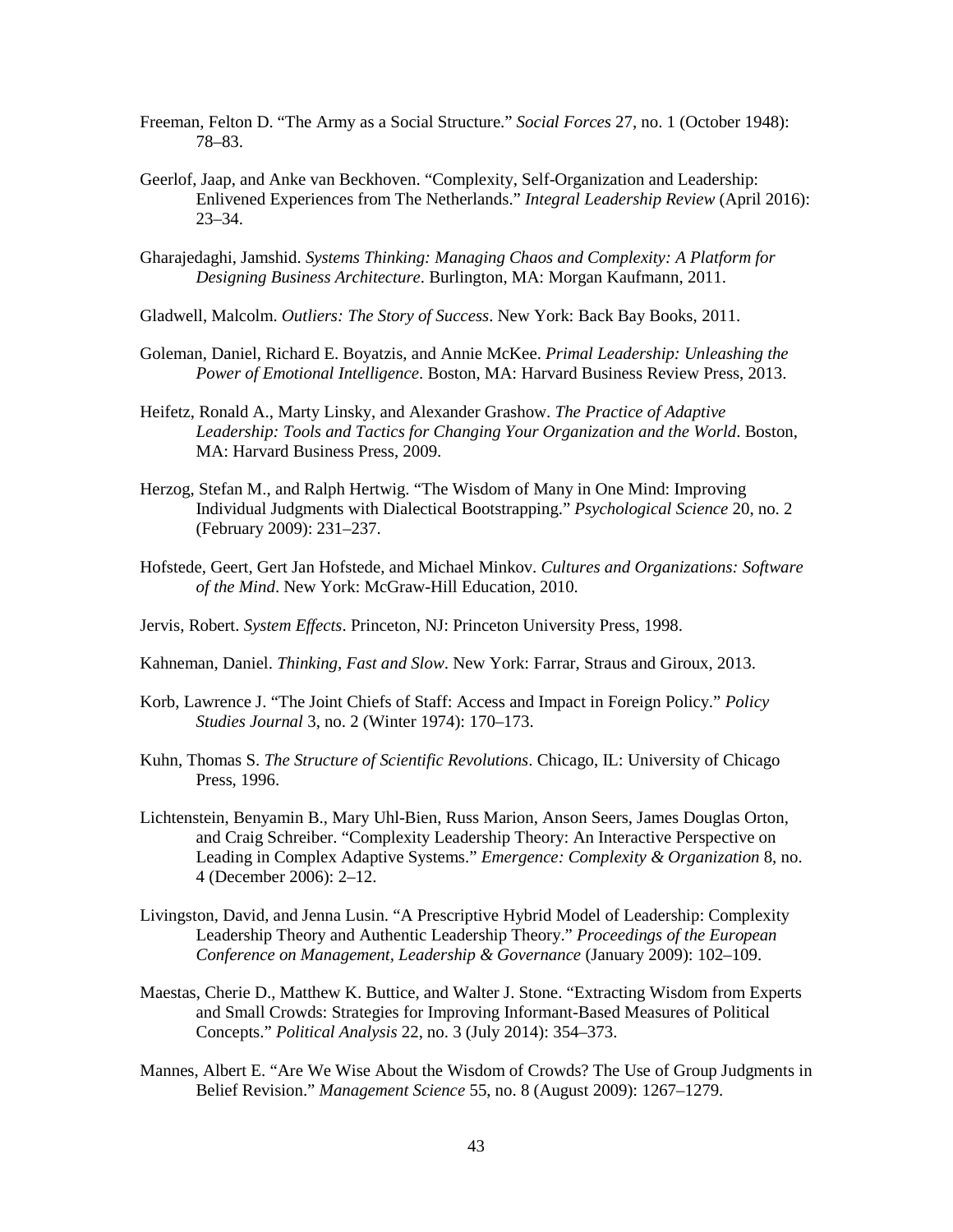- Freeman, Felton D. "The Army as a Social Structure." *Social Forces* 27, no. 1 (October 1948): 78–83.
- Geerlof, Jaap, and Anke van Beckhoven. "Complexity, Self-Organization and Leadership: Enlivened Experiences from The Netherlands." *Integral Leadership Review* (April 2016): 23–34.
- Gharajedaghi, Jamshid. *Systems Thinking: Managing Chaos and Complexity: A Platform for Designing Business Architecture*. Burlington, MA: Morgan Kaufmann, 2011.
- Gladwell, Malcolm. *Outliers: The Story of Success*. New York: Back Bay Books, 2011.
- Goleman, Daniel, Richard E. Boyatzis, and Annie McKee. *Primal Leadership: Unleashing the Power of Emotional Intelligence*. Boston, MA: Harvard Business Review Press, 2013.
- Heifetz, Ronald A., Marty Linsky, and Alexander Grashow. *The Practice of Adaptive Leadership: Tools and Tactics for Changing Your Organization and the World*. Boston, MA: Harvard Business Press, 2009.
- Herzog, Stefan M., and Ralph Hertwig. "The Wisdom of Many in One Mind: Improving Individual Judgments with Dialectical Bootstrapping." *Psychological Science* 20, no. 2 (February 2009): 231–237.
- Hofstede, Geert, Gert Jan Hofstede, and Michael Minkov. *Cultures and Organizations: Software of the Mind*. New York: McGraw-Hill Education, 2010.
- Jervis, Robert. *System Effects*. Princeton, NJ: Princeton University Press, 1998.
- Kahneman, Daniel. *Thinking, Fast and Slow*. New York: Farrar, Straus and Giroux, 2013.
- Korb, Lawrence J. "The Joint Chiefs of Staff: Access and Impact in Foreign Policy." *Policy Studies Journal* 3, no. 2 (Winter 1974): 170–173.
- Kuhn, Thomas S. *The Structure of Scientific Revolutions*. Chicago, IL: University of Chicago Press, 1996.
- Lichtenstein, Benyamin B., Mary Uhl-Bien, Russ Marion, Anson Seers, James Douglas Orton, and Craig Schreiber. "Complexity Leadership Theory: An Interactive Perspective on Leading in Complex Adaptive Systems." *Emergence: Complexity & Organization* 8, no. 4 (December 2006): 2–12.
- Livingston, David, and Jenna Lusin. "A Prescriptive Hybrid Model of Leadership: Complexity Leadership Theory and Authentic Leadership Theory." *Proceedings of the European Conference on Management, Leadership & Governance* (January 2009): 102–109.
- Maestas, Cherie D., Matthew K. Buttice, and Walter J. Stone. "Extracting Wisdom from Experts and Small Crowds: Strategies for Improving Informant-Based Measures of Political Concepts." *Political Analysis* 22, no. 3 (July 2014): 354–373.
- Mannes, Albert E. "Are We Wise About the Wisdom of Crowds? The Use of Group Judgments in Belief Revision." *Management Science* 55, no. 8 (August 2009): 1267–1279.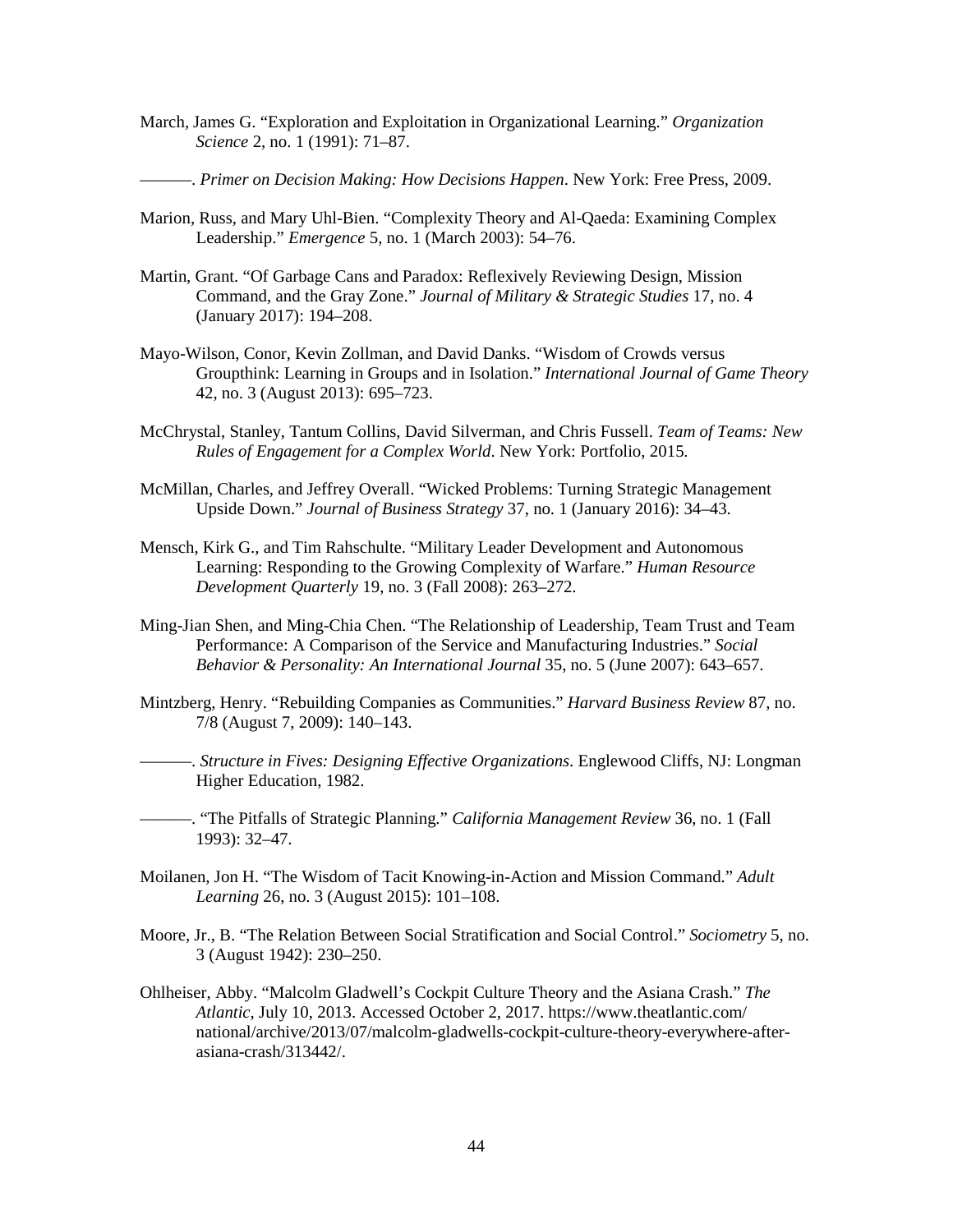- March, James G. "Exploration and Exploitation in Organizational Learning." *Organization Science* 2, no. 1 (1991): 71–87.
- ———. *Primer on Decision Making: How Decisions Happen*. New York: Free Press, 2009.
- Marion, Russ, and Mary Uhl-Bien. "Complexity Theory and Al-Qaeda: Examining Complex Leadership." *Emergence* 5, no. 1 (March 2003): 54–76.
- Martin, Grant. "Of Garbage Cans and Paradox: Reflexively Reviewing Design, Mission Command, and the Gray Zone." *Journal of Military & Strategic Studies* 17, no. 4 (January 2017): 194–208.
- Mayo-Wilson, Conor, Kevin Zollman, and David Danks. "Wisdom of Crowds versus Groupthink: Learning in Groups and in Isolation." *International Journal of Game Theory* 42, no. 3 (August 2013): 695–723.
- McChrystal, Stanley, Tantum Collins, David Silverman, and Chris Fussell. *Team of Teams: New Rules of Engagement for a Complex World*. New York: Portfolio, 2015.
- McMillan, Charles, and Jeffrey Overall. "Wicked Problems: Turning Strategic Management Upside Down." *Journal of Business Strategy* 37, no. 1 (January 2016): 34–43.
- Mensch, Kirk G., and Tim Rahschulte. "Military Leader Development and Autonomous Learning: Responding to the Growing Complexity of Warfare." *Human Resource Development Quarterly* 19, no. 3 (Fall 2008): 263–272.
- Ming-Jian Shen, and Ming-Chia Chen. "The Relationship of Leadership, Team Trust and Team Performance: A Comparison of the Service and Manufacturing Industries." *Social Behavior & Personality: An International Journal* 35, no. 5 (June 2007): 643–657.
- Mintzberg, Henry. "Rebuilding Companies as Communities." *Harvard Business Review* 87, no. 7/8 (August 7, 2009): 140–143.
- ———. *Structure in Fives: Designing Effective Organizations*. Englewood Cliffs, NJ: Longman Higher Education, 1982.
	- ———. "The Pitfalls of Strategic Planning." *California Management Review* 36, no. 1 (Fall 1993): 32–47.
- Moilanen, Jon H. "The Wisdom of Tacit Knowing-in-Action and Mission Command." *Adult Learning* 26, no. 3 (August 2015): 101–108.
- Moore, Jr., B. "The Relation Between Social Stratification and Social Control." *Sociometry* 5, no. 3 (August 1942): 230–250.
- Ohlheiser, Abby. "Malcolm Gladwell's Cockpit Culture Theory and the Asiana Crash." *The Atlantic*, July 10, 2013. Accessed October 2, 2017. https://www.theatlantic.com/ national/archive/2013/07/malcolm-gladwells-cockpit-culture-theory-everywhere-afterasiana-crash/313442/.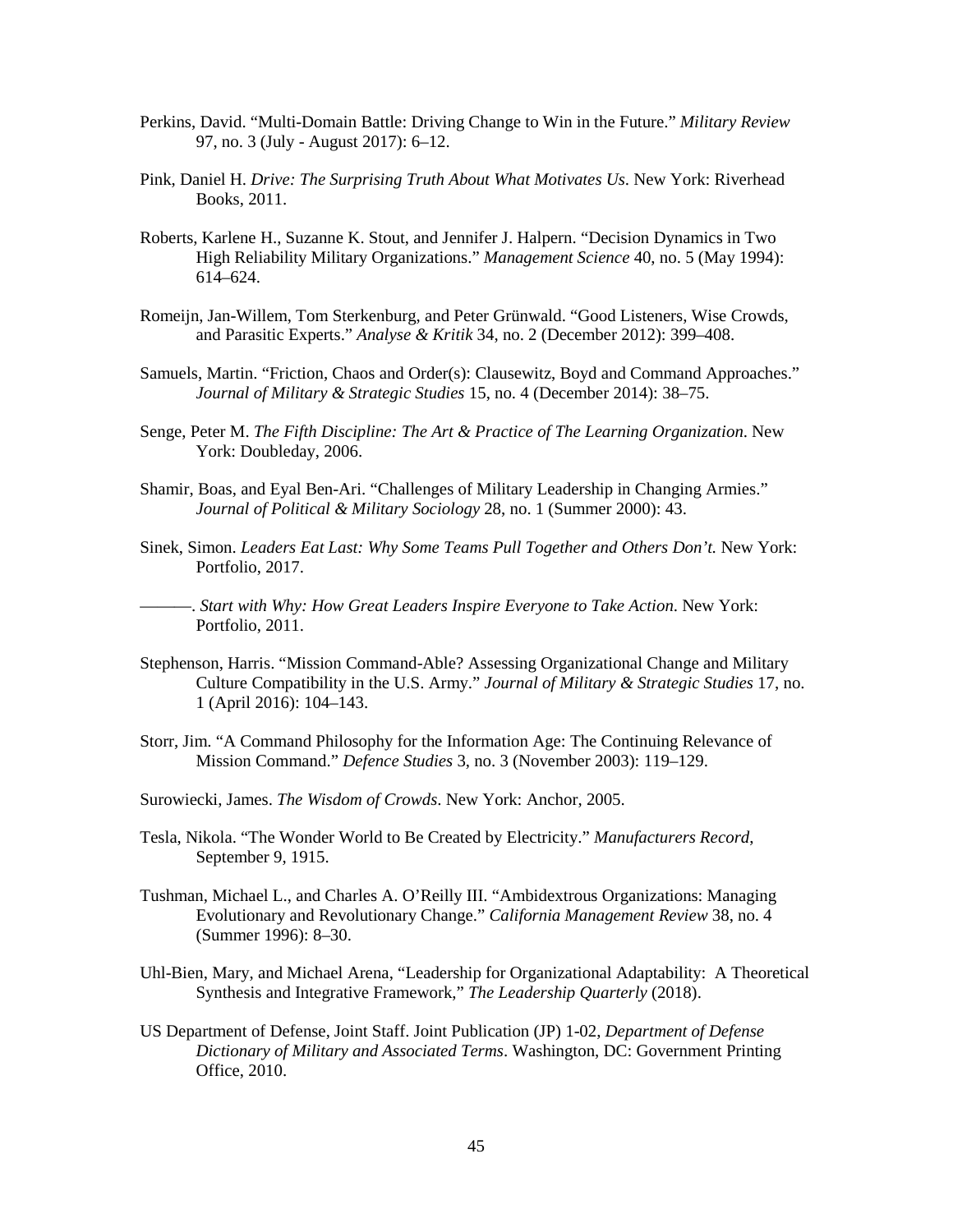- Perkins, David. "Multi-Domain Battle: Driving Change to Win in the Future." *Military Review* 97, no. 3 (July - August 2017): 6–12.
- Pink, Daniel H. *Drive: The Surprising Truth About What Motivates Us*. New York: Riverhead Books, 2011.
- Roberts, Karlene H., Suzanne K. Stout, and Jennifer J. Halpern. "Decision Dynamics in Two High Reliability Military Organizations." *Management Science* 40, no. 5 (May 1994): 614–624.
- Romeijn, Jan-Willem, Tom Sterkenburg, and Peter Grünwald. "Good Listeners, Wise Crowds, and Parasitic Experts." *Analyse & Kritik* 34, no. 2 (December 2012): 399–408.
- Samuels, Martin. "Friction, Chaos and Order(s): Clausewitz, Boyd and Command Approaches." *Journal of Military & Strategic Studies* 15, no. 4 (December 2014): 38–75.
- Senge, Peter M. *The Fifth Discipline: The Art & Practice of The Learning Organization*. New York: Doubleday, 2006.
- Shamir, Boas, and Eyal Ben-Ari. "Challenges of Military Leadership in Changing Armies." *Journal of Political & Military Sociology* 28, no. 1 (Summer 2000): 43.
- Sinek, Simon. *Leaders Eat Last: Why Some Teams Pull Together and Others Don't.* New York: Portfolio, 2017.
- ———. *Start with Why: How Great Leaders Inspire Everyone to Take Action*. New York: Portfolio, 2011.
- Stephenson, Harris. "Mission Command-Able? Assessing Organizational Change and Military Culture Compatibility in the U.S. Army." *Journal of Military & Strategic Studies* 17, no. 1 (April 2016): 104–143.
- Storr, Jim. "A Command Philosophy for the Information Age: The Continuing Relevance of Mission Command." *Defence Studies* 3, no. 3 (November 2003): 119–129.
- Surowiecki, James. *The Wisdom of Crowds*. New York: Anchor, 2005.
- Tesla, Nikola. "The Wonder World to Be Created by Electricity." *Manufacturers Record*, September 9, 1915.
- Tushman, Michael L., and Charles A. O'Reilly III. "Ambidextrous Organizations: Managing Evolutionary and Revolutionary Change." *California Management Review* 38, no. 4 (Summer 1996): 8–30.
- Uhl-Bien, Mary, and Michael Arena, "Leadership for Organizational Adaptability: A Theoretical Synthesis and Integrative Framework," *The Leadership Quarterly* (2018).
- US Department of Defense, Joint Staff. Joint Publication (JP) 1-02, *Department of Defense Dictionary of Military and Associated Terms*. Washington, DC: Government Printing Office, 2010.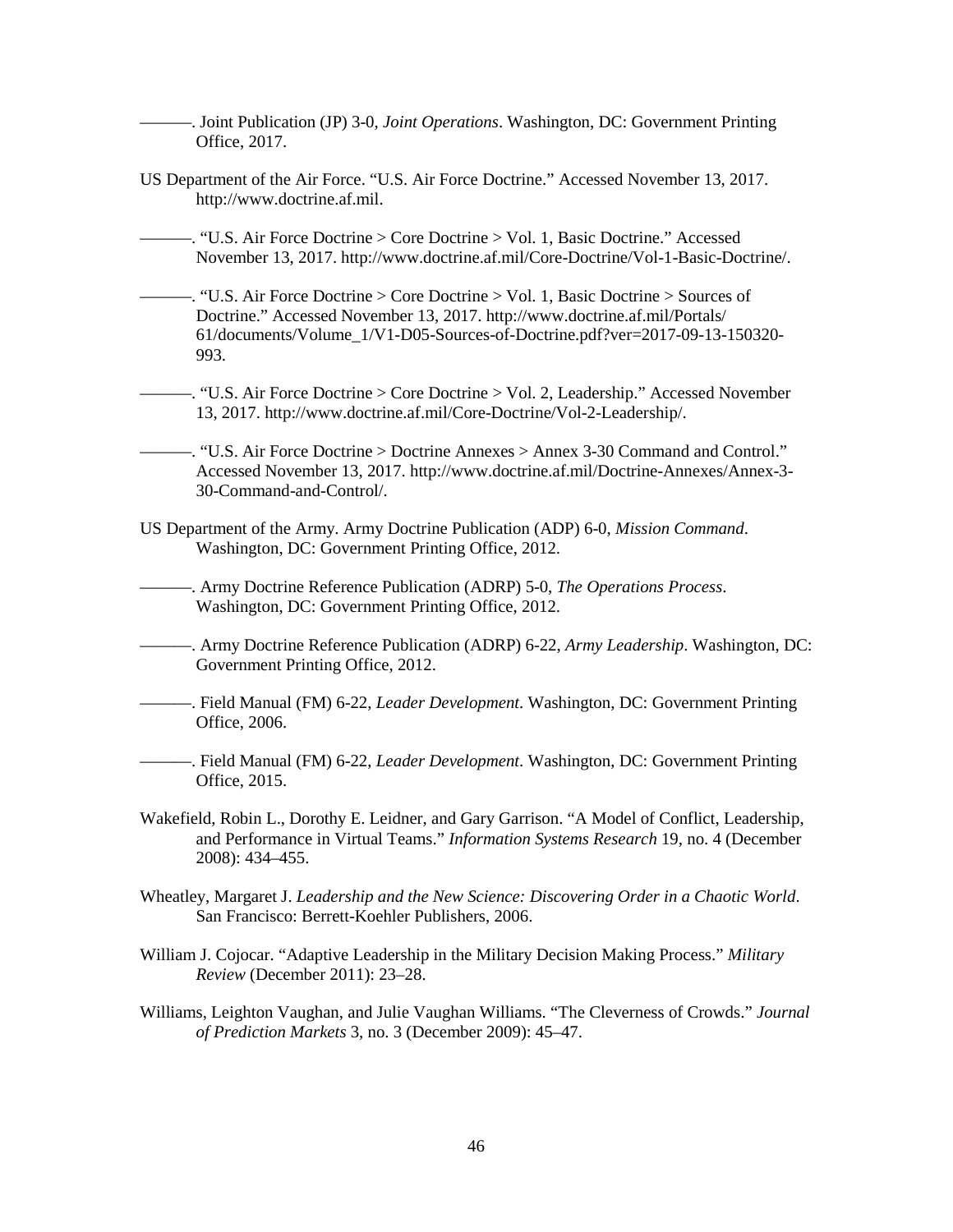- ———. Joint Publication (JP) 3-0, *Joint Operations*. Washington, DC: Government Printing Office, 2017.
- US Department of the Air Force. "U.S. Air Force Doctrine." Accessed November 13, 2017. http://www.doctrine.af.mil.
- ———. "U.S. Air Force Doctrine > Core Doctrine > Vol. 1, Basic Doctrine." Accessed November 13, 2017. http://www.doctrine.af.mil/Core-Doctrine/Vol-1-Basic-Doctrine/.
- ———. "U.S. Air Force Doctrine > Core Doctrine > Vol. 1, Basic Doctrine > Sources of Doctrine." Accessed November 13, 2017. http://www.doctrine.af.mil/Portals/ 61/documents/Volume\_1/V1-D05-Sources-of-Doctrine.pdf?ver=2017-09-13-150320- 993.
- ———. "U.S. Air Force Doctrine > Core Doctrine > Vol. 2, Leadership." Accessed November 13, 2017. http://www.doctrine.af.mil/Core-Doctrine/Vol-2-Leadership/.
- ———. "U.S. Air Force Doctrine > Doctrine Annexes > Annex 3-30 Command and Control." Accessed November 13, 2017. http://www.doctrine.af.mil/Doctrine-Annexes/Annex-3- 30-Command-and-Control/.
- US Department of the Army. Army Doctrine Publication (ADP) 6-0, *Mission Command*. Washington, DC: Government Printing Office, 2012.
	- ———. Army Doctrine Reference Publication (ADRP) 5-0, *The Operations Process*. Washington, DC: Government Printing Office, 2012.
- ———. Army Doctrine Reference Publication (ADRP) 6-22, *Army Leadership*. Washington, DC: Government Printing Office, 2012.
- ———. Field Manual (FM) 6-22, *Leader Development*. Washington, DC: Government Printing Office, 2006.
- ———. Field Manual (FM) 6-22, *Leader Development*. Washington, DC: Government Printing Office, 2015.
- Wakefield, Robin L., Dorothy E. Leidner, and Gary Garrison. "A Model of Conflict, Leadership, and Performance in Virtual Teams." *Information Systems Research* 19, no. 4 (December 2008): 434–455.
- Wheatley, Margaret J. *Leadership and the New Science: Discovering Order in a Chaotic World*. San Francisco: Berrett-Koehler Publishers, 2006.
- William J. Cojocar. "Adaptive Leadership in the Military Decision Making Process." *Military Review* (December 2011): 23–28.
- Williams, Leighton Vaughan, and Julie Vaughan Williams. "The Cleverness of Crowds." *Journal of Prediction Markets* 3, no. 3 (December 2009): 45–47.